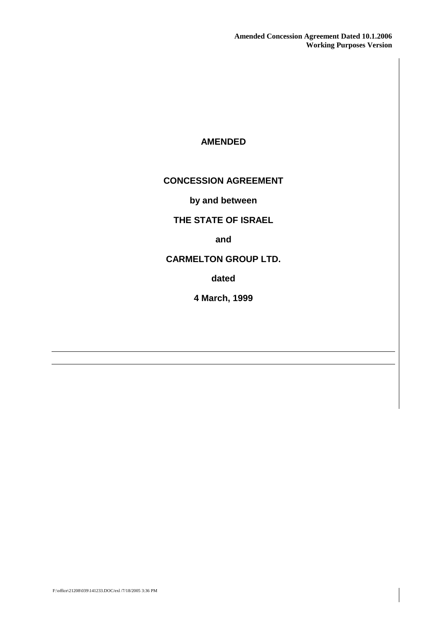### **AMENDED**

#### **CONCESSION AGREEMENT**

### **by and between**

## **THE STATE OF ISRAEL**

#### **and**

## **CARMELTON GROUP LTD.**

**dated**

**4 March, 1999**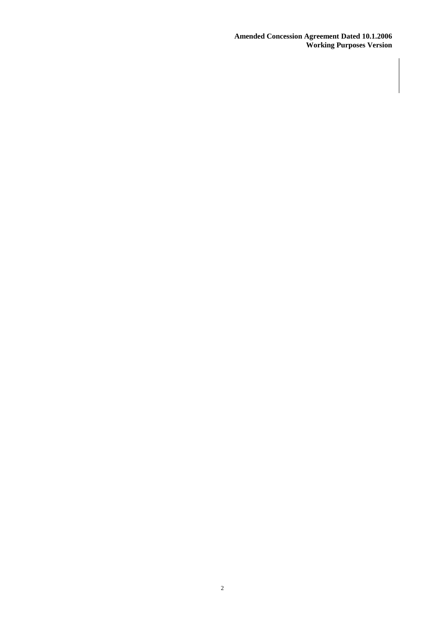**Amended Concession Agreement Dated 10.1.2006 Working Purposes Version**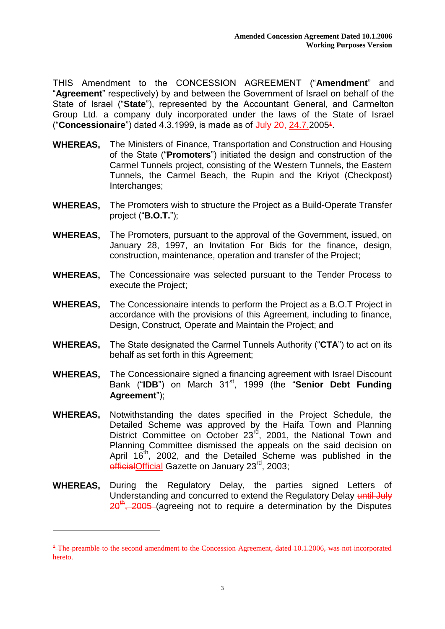THIS Amendment to the CONCESSION AGREEMENT ("**Amendment**" and "**Agreement**" respectively) by and between the Government of Israel on behalf of the State of Israel ("**State**"), represented by the Accountant General, and Carmelton Group Ltd. a company duly incorporated under the laws of the State of Israel ("**Concessionaire**") dated 4.3.1999, is made as of July 20, 24.7.2005**<sup>1</sup>** .

- **WHEREAS,** The Ministers of Finance, Transportation and Construction and Housing of the State ("**Promoters**") initiated the design and construction of the Carmel Tunnels project, consisting of the Western Tunnels, the Eastern Tunnels, the Carmel Beach, the Rupin and the Kriyot (Checkpost) Interchanges;
- **WHEREAS,** The Promoters wish to structure the Project as a Build-Operate Transfer project ("**B.O.T.**");
- **WHEREAS,** The Promoters, pursuant to the approval of the Government, issued, on January 28, 1997, an Invitation For Bids for the finance, design, construction, maintenance, operation and transfer of the Project;
- **WHEREAS,** The Concessionaire was selected pursuant to the Tender Process to execute the Project;
- **WHEREAS,** The Concessionaire intends to perform the Project as a B.O.T Project in accordance with the provisions of this Agreement, including to finance, Design, Construct, Operate and Maintain the Project; and
- **WHEREAS,** The State designated the Carmel Tunnels Authority ("**CTA**") to act on its behalf as set forth in this Agreement;
- **WHEREAS,** The Concessionaire signed a financing agreement with Israel Discount Bank ("**IDB**") on March 31<sup>st</sup>, 1999 (the "Senior Debt Funding **Agreement**");
- **WHEREAS,** Notwithstanding the dates specified in the Project Schedule, the Detailed Scheme was approved by the Haifa Town and Planning District Committee on October 23<sup>rd</sup>, 2001, the National Town and Planning Committee dismissed the appeals on the said decision on April  $16<sup>th</sup>$ , 2002, and the Detailed Scheme was published in the officialOfficial Gazette on January 23<sup>rd</sup>, 2003;
- **WHEREAS,** During the Regulatory Delay, the parties signed Letters of Understanding and concurred to extend the Regulatory Delay until July 20<sup>th</sup>, 2005 (agreeing not to require a determination by the Disputes

 $\overline{a}$ 

<sup>&</sup>lt;sup>1</sup> The preamble to the second amendment to the Concession Agreement, dated 10.1.2006 hereto.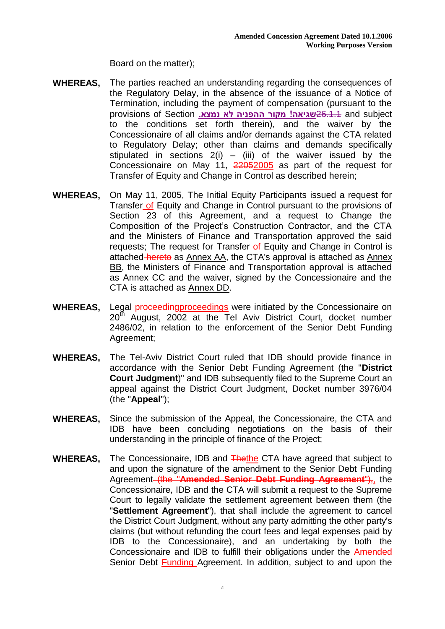Board on the matter);

- **WHEREAS,** The parties reached an understanding regarding the consequences of the Regulatory Delay, in the absence of the issuance of a Notice of Termination, including the payment of compensation (pursuant to the subject and 26.1.1**שגיאה! מקור ההפניה לא נמצא.** Section of provisions to the conditions set forth therein), and the waiver by the Concessionaire of all claims and/or demands against the CTA related to Regulatory Delay; other than claims and demands specifically stipulated in sections  $2(i) - (iii)$  of the waiver issued by the Concessionaire on May 11,  $22052005$  as part of the request for Transfer of Equity and Change in Control as described herein;
- **WHEREAS,** On May 11, 2005, The Initial Equity Participants issued a request for Transfer of Equity and Change in Control pursuant to the provisions of Section 23 of this Agreement, and a request to Change the Composition of the Project's Construction Contractor, and the CTA and the Ministers of Finance and Transportation approved the said requests; The request for Transfer of Equity and Change in Control is attached hereto as Annex AA, the CTA's approval is attached as Annex BB, the Ministers of Finance and Transportation approval is attached as Annex CC and the waiver, signed by the Concessionaire and the CTA is attached as Annex DD.
- **WHEREAS,** Legal **proceedingproceedings** were initiated by the Concessionaire on |  $20<sup>th</sup>$  August, 2002 at the Tel Aviv District Court, docket number 2486/02, in relation to the enforcement of the Senior Debt Funding Agreement;
- **WHEREAS,** The Tel-Aviv District Court ruled that IDB should provide finance in accordance with the Senior Debt Funding Agreement (the "**District Court Judgment**)" and IDB subsequently filed to the Supreme Court an appeal against the District Court Judgment, Docket number 3976/04 (the "**Appeal**");
- **WHEREAS,** Since the submission of the Appeal, the Concessionaire, the CTA and IDB have been concluding negotiations on the basis of their understanding in the principle of finance of the Project;
- **WHEREAS,** The Concessionaire, IDB and Thethe CTA have agreed that subject to and upon the signature of the amendment to the Senior Debt Funding Agreement (the "**Amended Senior Debt Funding Agreement**"),, the Concessionaire, IDB and the CTA will submit a request to the Supreme Court to legally validate the settlement agreement between them (the "**Settlement Agreement**"), that shall include the agreement to cancel the District Court Judgment, without any party admitting the other party's claims (but without refunding the court fees and legal expenses paid by IDB to the Concessionaire), and an undertaking by both the Concessionaire and IDB to fulfill their obligations under the Amended Senior Debt Funding Agreement. In addition, subject to and upon the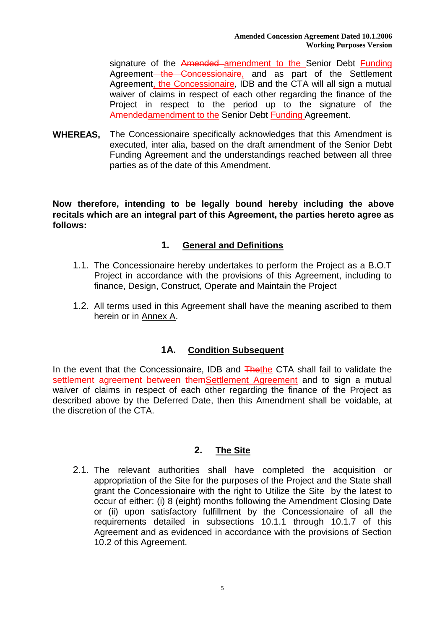signature of the Amended amendment to the Senior Debt Funding Agreement the Concessionaire, and as part of the Settlement Agreement, the Concessionaire, IDB and the CTA will all sign a mutual waiver of claims in respect of each other regarding the finance of the Project in respect to the period up to the signature of the Amendedamendment to the Senior Debt Funding Agreement.

**WHEREAS,** The Concessionaire specifically acknowledges that this Amendment is executed, inter alia, based on the draft amendment of the Senior Debt Funding Agreement and the understandings reached between all three parties as of the date of this Amendment.

**Now therefore, intending to be legally bound hereby including the above recitals which are an integral part of this Agreement, the parties hereto agree as follows:**

### **1. General and Definitions**

- 1.1. The Concessionaire hereby undertakes to perform the Project as a B.O.T Project in accordance with the provisions of this Agreement, including to finance, Design, Construct, Operate and Maintain the Project
- 1.2. All terms used in this Agreement shall have the meaning ascribed to them herein or in Annex A.

### **1A. Condition Subsequent**

In the event that the Concessionaire, IDB and Thethe CTA shall fail to validate the settlement agreement between themSettlement Agreement and to sign a mutual waiver of claims in respect of each other regarding the finance of the Project as described above by the Deferred Date, then this Amendment shall be voidable, at the discretion of the CTA.

### **2. The Site**

2.1. The relevant authorities shall have completed the acquisition or appropriation of the Site for the purposes of the Project and the State shall grant the Concessionaire with the right to Utilize the Site by the latest to occur of either: (i) 8 (eight) months following the Amendment Closing Date or (ii) upon satisfactory fulfillment by the Concessionaire of all the requirements detailed in subsections 10.1.1 through 10.1.7 of this Agreement and as evidenced in accordance with the provisions of Section 10.2 of this Agreement.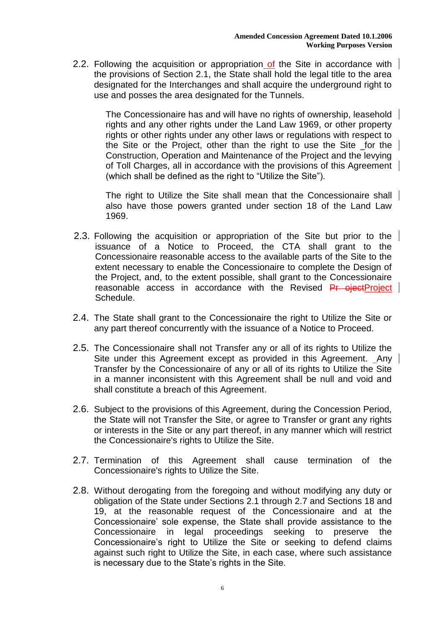2.2. Following the acquisition or appropriation of the Site in accordance with the provisions of Section 2.1, the State shall hold the legal title to the area designated for the Interchanges and shall acquire the underground right to use and posses the area designated for the Tunnels.

The Concessionaire has and will have no rights of ownership, leasehold rights and any other rights under the Land Law 1969, or other property rights or other rights under any other laws or regulations with respect to the Site or the Project, other than the right to use the Site for the Construction, Operation and Maintenance of the Project and the levying of Toll Charges, all in accordance with the provisions of this Agreement (which shall be defined as the right to "Utilize the Site").

The right to Utilize the Site shall mean that the Concessionaire shall also have those powers granted under section 18 of the Land Law 1969.

- 2.3. Following the acquisition or appropriation of the Site but prior to the issuance of a Notice to Proceed, the CTA shall grant to the Concessionaire reasonable access to the available parts of the Site to the extent necessary to enable the Concessionaire to complete the Design of the Project, and, to the extent possible, shall grant to the Concessionaire reasonable access in accordance with the Revised Pr ojectProject Schedule.
- 2.4. The State shall grant to the Concessionaire the right to Utilize the Site or any part thereof concurrently with the issuance of a Notice to Proceed.
- 2.5. The Concessionaire shall not Transfer any or all of its rights to Utilize the Site under this Agreement except as provided in this Agreement. Any Transfer by the Concessionaire of any or all of its rights to Utilize the Site in a manner inconsistent with this Agreement shall be null and void and shall constitute a breach of this Agreement.
- 2.6. Subject to the provisions of this Agreement, during the Concession Period, the State will not Transfer the Site, or agree to Transfer or grant any rights or interests in the Site or any part thereof, in any manner which will restrict the Concessionaire's rights to Utilize the Site.
- 2.7. Termination of this Agreement shall cause termination of the Concessionaire's rights to Utilize the Site.
- 2.8. Without derogating from the foregoing and without modifying any duty or obligation of the State under Sections 2.1 through 2.7 and Sections 18 and 19, at the reasonable request of the Concessionaire and at the Concessionaire' sole expense, the State shall provide assistance to the Concessionaire in legal proceedings seeking to preserve the Concessionaire's right to Utilize the Site or seeking to defend claims against such right to Utilize the Site, in each case, where such assistance is necessary due to the State's rights in the Site.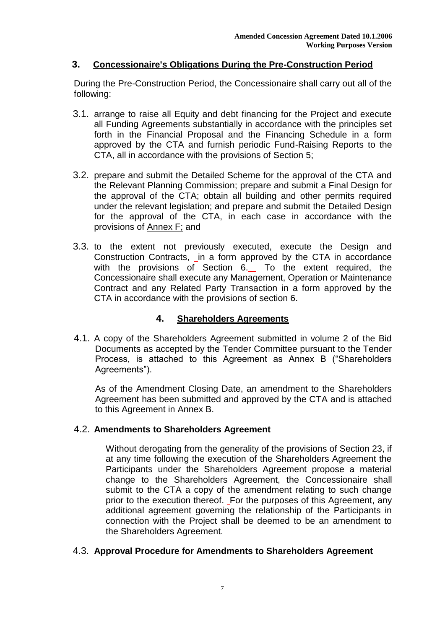## **3. Concessionaire's Obligations During the Pre-Construction Period**

During the Pre-Construction Period, the Concessionaire shall carry out all of the following:

- 3.1. arrange to raise all Equity and debt financing for the Project and execute all Funding Agreements substantially in accordance with the principles set forth in the Financial Proposal and the Financing Schedule in a form approved by the CTA and furnish periodic Fund-Raising Reports to the CTA, all in accordance with the provisions of Section 5;
- 3.2. prepare and submit the Detailed Scheme for the approval of the CTA and the Relevant Planning Commission; prepare and submit a Final Design for the approval of the CTA; obtain all building and other permits required under the relevant legislation; and prepare and submit the Detailed Design for the approval of the CTA, in each case in accordance with the provisions of Annex F; and
- 3.3. to the extent not previously executed, execute the Design and Construction Contracts, in a form approved by the CTA in accordance with the provisions of Section 6. To the extent required, the Concessionaire shall execute any Management, Operation or Maintenance Contract and any Related Party Transaction in a form approved by the CTA in accordance with the provisions of section 6.

# **4. Shareholders Agreements**

4.1. A copy of the Shareholders Agreement submitted in volume 2 of the Bid Documents as accepted by the Tender Committee pursuant to the Tender Process, is attached to this Agreement as Annex B ("Shareholders Agreements").

As of the Amendment Closing Date, an amendment to the Shareholders Agreement has been submitted and approved by the CTA and is attached to this Agreement in Annex B.

## 4.2. **Amendments to Shareholders Agreement**

Without derogating from the generality of the provisions of Section 23, if at any time following the execution of the Shareholders Agreement the Participants under the Shareholders Agreement propose a material change to the Shareholders Agreement, the Concessionaire shall submit to the CTA a copy of the amendment relating to such change prior to the execution thereof. For the purposes of this Agreement, any additional agreement governing the relationship of the Participants in connection with the Project shall be deemed to be an amendment to the Shareholders Agreement.

### 4.3. **Approval Procedure for Amendments to Shareholders Agreement**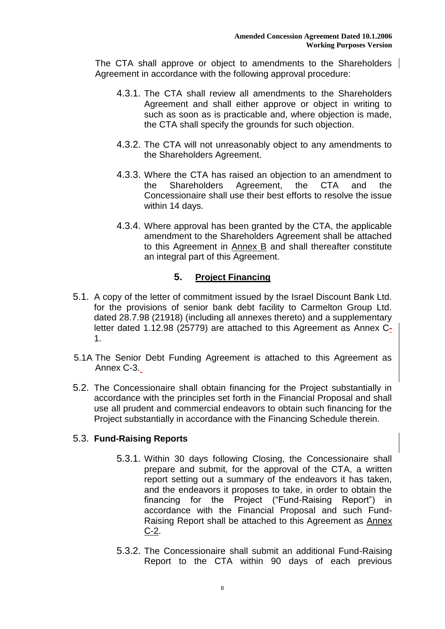The CTA shall approve or object to amendments to the Shareholders Agreement in accordance with the following approval procedure:

- 4.3.1. The CTA shall review all amendments to the Shareholders Agreement and shall either approve or object in writing to such as soon as is practicable and, where objection is made, the CTA shall specify the grounds for such objection.
- 4.3.2. The CTA will not unreasonably object to any amendments to the Shareholders Agreement.
- 4.3.3. Where the CTA has raised an objection to an amendment to<br>the Shareholders Agreement, the CTA and the the Shareholders Agreement, the CTA and the Concessionaire shall use their best efforts to resolve the issue within 14 days.
- 4.3.4. Where approval has been granted by the CTA, the applicable amendment to the Shareholders Agreement shall be attached to this Agreement in Annex B and shall thereafter constitute an integral part of this Agreement.

## **5. Project Financing**

- 5.1. A copy of the letter of commitment issued by the Israel Discount Bank Ltd. for the provisions of senior bank debt facility to Carmelton Group Ltd. dated 28.7.98 (21918) (including all annexes thereto) and a supplementary letter dated 1.12.98 (25779) are attached to this Agreement as Annex  $C_2$ 1.
- 5.1A The Senior Debt Funding Agreement is attached to this Agreement as Annex C-3.
- 5.2. The Concessionaire shall obtain financing for the Project substantially in accordance with the principles set forth in the Financial Proposal and shall use all prudent and commercial endeavors to obtain such financing for the Project substantially in accordance with the Financing Schedule therein.

### 5.3. **Fund-Raising Reports**

- 5.3.1. Within 30 days following Closing, the Concessionaire shall prepare and submit, for the approval of the CTA, a written report setting out a summary of the endeavors it has taken, and the endeavors it proposes to take, in order to obtain the financing for the Project ("Fund-Raising Report") in accordance with the Financial Proposal and such Fund-Raising Report shall be attached to this Agreement as Annex C-2.
- 5.3.2. The Concessionaire shall submit an additional Fund-Raising Report to the CTA within 90 days of each previous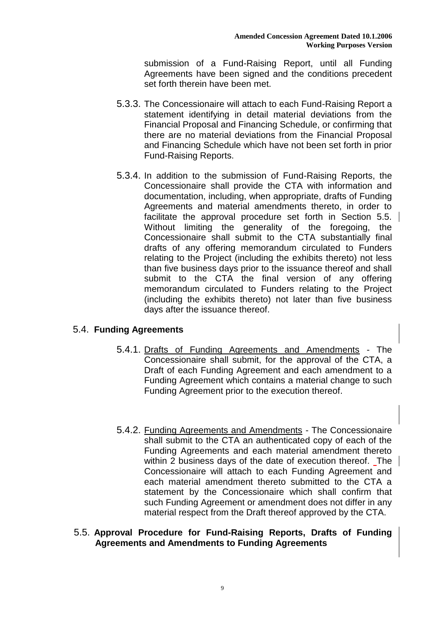submission of a Fund-Raising Report, until all Funding Agreements have been signed and the conditions precedent set forth therein have been met.

- 5.3.3. The Concessionaire will attach to each Fund-Raising Report a statement identifying in detail material deviations from the Financial Proposal and Financing Schedule, or confirming that there are no material deviations from the Financial Proposal and Financing Schedule which have not been set forth in prior Fund-Raising Reports.
- 5.3.4. In addition to the submission of Fund-Raising Reports, the Concessionaire shall provide the CTA with information and documentation, including, when appropriate, drafts of Funding Agreements and material amendments thereto, in order to facilitate the approval procedure set forth in Section 5.5. Without limiting the generality of the foregoing, the Concessionaire shall submit to the CTA substantially final drafts of any offering memorandum circulated to Funders relating to the Project (including the exhibits thereto) not less than five business days prior to the issuance thereof and shall submit to the CTA the final version of any offering memorandum circulated to Funders relating to the Project (including the exhibits thereto) not later than five business days after the issuance thereof.

### 5.4. **Funding Agreements**

- 5.4.1. Drafts of Funding Agreements and Amendments The Concessionaire shall submit, for the approval of the CTA, a Draft of each Funding Agreement and each amendment to a Funding Agreement which contains a material change to such Funding Agreement prior to the execution thereof.
- 5.4.2. Funding Agreements and Amendments The Concessionaire shall submit to the CTA an authenticated copy of each of the Funding Agreements and each material amendment thereto within 2 business days of the date of execution thereof. The Concessionaire will attach to each Funding Agreement and each material amendment thereto submitted to the CTA a statement by the Concessionaire which shall confirm that such Funding Agreement or amendment does not differ in any material respect from the Draft thereof approved by the CTA.

### 5.5. **Approval Procedure for Fund-Raising Reports, Drafts of Funding Agreements and Amendments to Funding Agreements**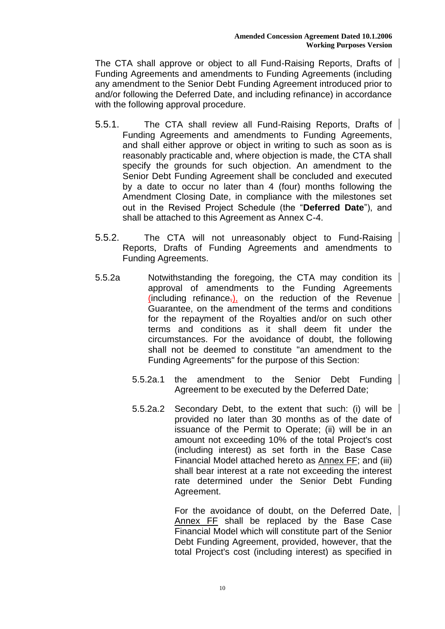The CTA shall approve or object to all Fund-Raising Reports, Drafts of Funding Agreements and amendments to Funding Agreements (including any amendment to the Senior Debt Funding Agreement introduced prior to and/or following the Deferred Date, and including refinance) in accordance with the following approval procedure.

- 5.5.1. The CTA shall review all Fund-Raising Reports, Drafts of Funding Agreements and amendments to Funding Agreements, and shall either approve or object in writing to such as soon as is reasonably practicable and, where objection is made, the CTA shall specify the grounds for such objection. An amendment to the Senior Debt Funding Agreement shall be concluded and executed by a date to occur no later than 4 (four) months following the Amendment Closing Date, in compliance with the milestones set out in the Revised Project Schedule (the "**Deferred Date**"), and shall be attached to this Agreement as Annex C-4.
- 5.5.2. The CTA will not unreasonably object to Fund-Raising Reports, Drafts of Funding Agreements and amendments to Funding Agreements.
- 5.5.2a Notwithstanding the foregoing, the CTA may condition its approval of amendments to the Funding Agreements (including refinance<sub>r</sub>), on the reduction of the Revenue Guarantee, on the amendment of the terms and conditions for the repayment of the Royalties and/or on such other terms and conditions as it shall deem fit under the circumstances. For the avoidance of doubt, the following shall not be deemed to constitute "an amendment to the Funding Agreements" for the purpose of this Section:
	- 5.5.2a.1 the amendment to the Senior Debt Funding Agreement to be executed by the Deferred Date;
	- 5.5.2a.2 Secondary Debt, to the extent that such: (i) will be provided no later than 30 months as of the date of issuance of the Permit to Operate; (ii) will be in an amount not exceeding 10% of the total Project's cost (including interest) as set forth in the Base Case Financial Model attached hereto as Annex FF; and (iii) shall bear interest at a rate not exceeding the interest rate determined under the Senior Debt Funding Agreement.

For the avoidance of doubt, on the Deferred Date, Annex FF shall be replaced by the Base Case Financial Model which will constitute part of the Senior Debt Funding Agreement, provided, however, that the total Project's cost (including interest) as specified in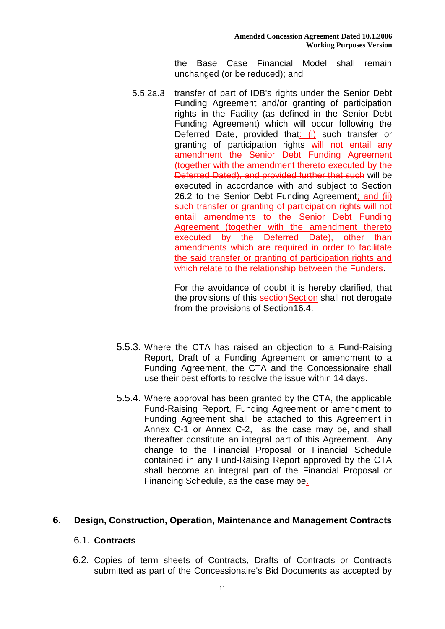the Base Case Financial Model shall remain unchanged (or be reduced); and

5.5.2a.3 transfer of part of IDB's rights under the Senior Debt Funding Agreement and/or granting of participation rights in the Facility (as defined in the Senior Debt Funding Agreement) which will occur following the Deferred Date, provided that: (i) such transfer or granting of participation rights will not entail any amendment the Senior Debt Funding Agreement (together with the amendment thereto executed by the Deferred Dated), and provided further that such will be executed in accordance with and subject to Section 26.2 to the Senior Debt Funding Agreement; and (ii) such transfer or granting of participation rights will not entail amendments to the Senior Debt Funding Agreement (together with the amendment thereto executed by the Deferred Date), other than amendments which are required in order to facilitate the said transfer or granting of participation rights and which relate to the relationship between the Funders.

> For the avoidance of doubt it is hereby clarified, that the provisions of this sectionSection shall not derogate from the provisions of Sectio[n16.4.](#page-30-0)

- 5.5.3. Where the CTA has raised an objection to a Fund-Raising Report, Draft of a Funding Agreement or amendment to a Funding Agreement, the CTA and the Concessionaire shall use their best efforts to resolve the issue within 14 days.
- 5.5.4. Where approval has been granted by the CTA, the applicable Fund-Raising Report, Funding Agreement or amendment to Funding Agreement shall be attached to this Agreement in Annex C-1 or Annex C-2, as the case may be, and shall thereafter constitute an integral part of this Agreement. Any change to the Financial Proposal or Financial Schedule contained in any Fund-Raising Report approved by the CTA shall become an integral part of the Financial Proposal or Financing Schedule, as the case may be.

### **6. Design, Construction, Operation, Maintenance and Management Contracts**

### 6.1. **Contracts**

6.2. Copies of term sheets of Contracts, Drafts of Contracts or Contracts submitted as part of the Concessionaire's Bid Documents as accepted by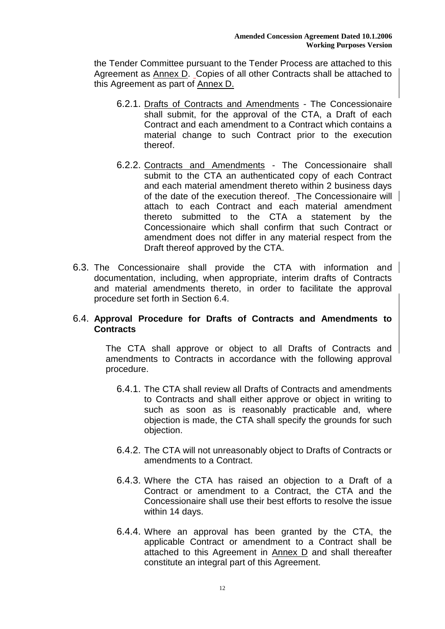the Tender Committee pursuant to the Tender Process are attached to this Agreement as Annex D. Copies of all other Contracts shall be attached to this Agreement as part of Annex D.

- 6.2.1. Drafts of Contracts and Amendments The Concessionaire shall submit, for the approval of the CTA, a Draft of each Contract and each amendment to a Contract which contains a material change to such Contract prior to the execution thereof.
- 6.2.2. Contracts and Amendments The Concessionaire shall submit to the CTA an authenticated copy of each Contract and each material amendment thereto within 2 business days of the date of the execution thereof. The Concessionaire will attach to each Contract and each material amendment thereto submitted to the CTA a statement by the Concessionaire which shall confirm that such Contract or amendment does not differ in any material respect from the Draft thereof approved by the CTA.
- 6.3. The Concessionaire shall provide the CTA with information and documentation, including, when appropriate, interim drafts of Contracts and material amendments thereto, in order to facilitate the approval procedure set forth in Section 6.4.

#### 6.4. **Approval Procedure for Drafts of Contracts and Amendments to Contracts**

The CTA shall approve or object to all Drafts of Contracts and amendments to Contracts in accordance with the following approval procedure.

- 6.4.1. The CTA shall review all Drafts of Contracts and amendments to Contracts and shall either approve or object in writing to such as soon as is reasonably practicable and, where objection is made, the CTA shall specify the grounds for such objection.
- 6.4.2. The CTA will not unreasonably object to Drafts of Contracts or amendments to a Contract.
- 6.4.3. Where the CTA has raised an objection to a Draft of a Contract or amendment to a Contract, the CTA and the Concessionaire shall use their best efforts to resolve the issue within 14 days.
- 6.4.4. Where an approval has been granted by the CTA, the applicable Contract or amendment to a Contract shall be attached to this Agreement in Annex D and shall thereafter constitute an integral part of this Agreement.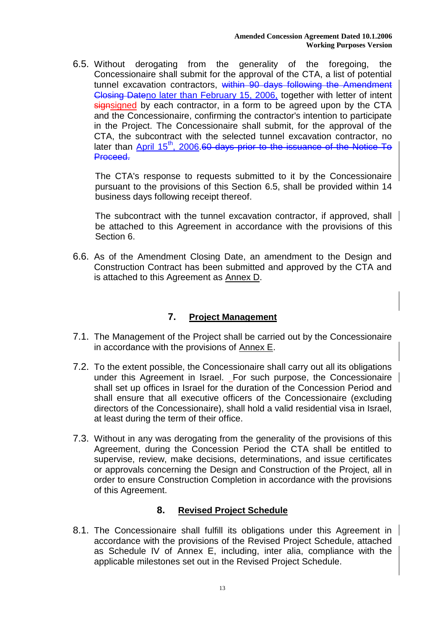<span id="page-12-0"></span>6.5. Without derogating from the generality of the foregoing, the Concessionaire shall submit for the approval of the CTA, a list of potential tunnel excavation contractors, within 90 days following the Amendment Closing Dateno later than February 15, 2006, together with letter of intent signsigned by each contractor, in a form to be agreed upon by the CTA and the Concessionaire, confirming the contractor's intention to participate in the Project. The Concessionaire shall submit, for the approval of the CTA, the subcontract with the selected tunnel excavation contractor, no later than April 15<sup>th</sup>, 2006.60 days prior to the issuance of the Notice To Proceed.

The CTA's response to requests submitted to it by the Concessionaire pursuant to the provisions of this Section [6.5,](#page-12-0) shall be provided within 14 business days following receipt thereof.

The subcontract with the tunnel excavation contractor, if approved, shall | be attached to this Agreement in accordance with the provisions of this Section 6.

6.6. As of the Amendment Closing Date, an amendment to the Design and Construction Contract has been submitted and approved by the CTA and is attached to this Agreement as Annex D.

## **7. Project Management**

- 7.1. The Management of the Project shall be carried out by the Concessionaire in accordance with the provisions of Annex E.
- 7.2. To the extent possible, the Concessionaire shall carry out all its obligations under this Agreement in Israel. For such purpose, the Concessionaire shall set up offices in Israel for the duration of the Concession Period and shall ensure that all executive officers of the Concessionaire (excluding directors of the Concessionaire), shall hold a valid residential visa in Israel, at least during the term of their office.
- 7.3. Without in any was derogating from the generality of the provisions of this Agreement, during the Concession Period the CTA shall be entitled to supervise, review, make decisions, determinations, and issue certificates or approvals concerning the Design and Construction of the Project, all in order to ensure Construction Completion in accordance with the provisions of this Agreement.

## **8. Revised Project Schedule**

8.1. The Concessionaire shall fulfill its obligations under this Agreement in accordance with the provisions of the Revised Project Schedule, attached as Schedule IV of Annex E, including, inter alia, compliance with the applicable milestones set out in the Revised Project Schedule.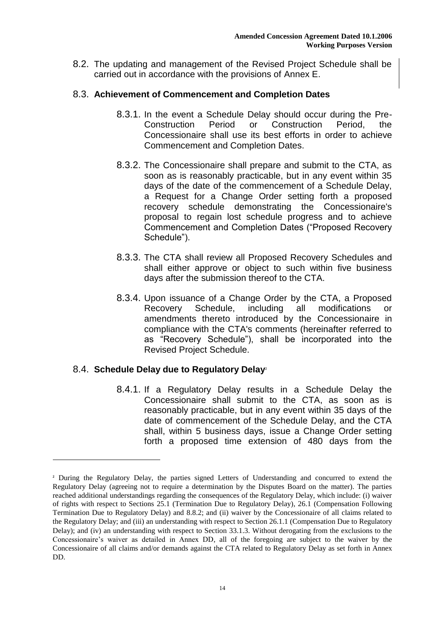8.2. The updating and management of the Revised Project Schedule shall be carried out in accordance with the provisions of Annex E.

#### 8.3. **Achievement of Commencement and Completion Dates**

- 8.3.1. In the event a Schedule Delay should occur during the Pre-Construction Period or Construction Period, the Concessionaire shall use its best efforts in order to achieve Commencement and Completion Dates.
- 8.3.2. The Concessionaire shall prepare and submit to the CTA, as soon as is reasonably practicable, but in any event within 35 days of the date of the commencement of a Schedule Delay, a Request for a Change Order setting forth a proposed recovery schedule demonstrating the Concessionaire's proposal to regain lost schedule progress and to achieve Commencement and Completion Dates ("Proposed Recovery Schedule").
- 8.3.3. The CTA shall review all Proposed Recovery Schedules and shall either approve or object to such within five business days after the submission thereof to the CTA.
- 8.3.4. Upon issuance of a Change Order by the CTA, a Proposed Recovery Schedule, including all modifications or amendments thereto introduced by the Concessionaire in compliance with the CTA's comments (hereinafter referred to as "Recovery Schedule"), shall be incorporated into the Revised Project Schedule.

### 8.4. **Schedule Delay due to Regulatory Delay**<sup>2</sup>

 $\overline{a}$ 

8.4.1. If a Regulatory Delay results in a Schedule Delay the Concessionaire shall submit to the CTA, as soon as is reasonably practicable, but in any event within 35 days of the date of commencement of the Schedule Delay, and the CTA shall, within 5 business days, issue a Change Order setting forth a proposed time extension of 480 days from the

**<sup>2</sup>** During the Regulatory Delay, the parties signed Letters of Understanding and concurred to extend the Regulatory Delay (agreeing not to require a determination by the Disputes Board on the matter). The parties reached additional understandings regarding the consequences of the Regulatory Delay, which include: (i) waiver of rights with respect to Sections 25.1 (Termination Due to Regulatory Delay), 26.1 (Compensation Following Termination Due to Regulatory Delay) and [8.8.2;](#page-17-0) and (ii) waiver by the Concessionaire of all claims related to the Regulatory Delay; and (iii) an understanding with respect to Section [26.1.1](#page-61-0) (Compensation Due to Regulatory Delay); and (iv) an understanding with respect to Section 33.1.3. Without derogating from the exclusions to the Concessionaire's waiver as detailed in Annex DD, all of the foregoing are subject to the waiver by the Concessionaire of all claims and/or demands against the CTA related to Regulatory Delay as set forth in Annex DD.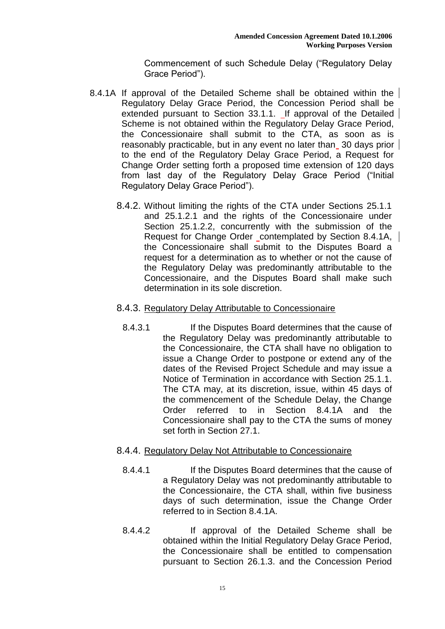Commencement of such Schedule Delay ("Regulatory Delay Grace Period").

- 8.4.1A If approval of the Detailed Scheme shall be obtained within the Regulatory Delay Grace Period, the Concession Period shall be extended pursuant to Section 33.1.1. If approval of the Detailed | Scheme is not obtained within the Regulatory Delay Grace Period, the Concessionaire shall submit to the CTA, as soon as is reasonably practicable, but in any event no later than 30 days prior to the end of the Regulatory Delay Grace Period, a Request for Change Order setting forth a proposed time extension of 120 days from last day of the Regulatory Delay Grace Period ("Initial Regulatory Delay Grace Period").
	- 8.4.2. Without limiting the rights of the CTA under Sections 25.1.1 and 25.1.2.1 and the rights of the Concessionaire under Section 25.1.2.2, concurrently with the submission of the Request for Change Order \_contemplated by Section 8.4.1A, | the Concessionaire shall submit to the Disputes Board a request for a determination as to whether or not the cause of the Regulatory Delay was predominantly attributable to the Concessionaire, and the Disputes Board shall make such determination in its sole discretion.

#### 8.4.3. Regulatory Delay Attributable to Concessionaire

8.4.3.1 If the Disputes Board determines that the cause of the Regulatory Delay was predominantly attributable to the Concessionaire, the CTA shall have no obligation to issue a Change Order to postpone or extend any of the dates of the Revised Project Schedule and may issue a Notice of Termination in accordance with Section 25.1.1. The CTA may, at its discretion, issue, within 45 days of the commencement of the Schedule Delay, the Change Order referred to in Section 8.4.1A and the Concessionaire shall pay to the CTA the sums of money set forth in Section 27.1.

### 8.4.4. Regulatory Delay Not Attributable to Concessionaire

- 8.4.4.1 If the Disputes Board determines that the cause of a Regulatory Delay was not predominantly attributable to the Concessionaire, the CTA shall, within five business days of such determination, issue the Change Order referred to in Section 8.4.1A.
- 8.4.4.2 If approval of the Detailed Scheme shall be obtained within the Initial Regulatory Delay Grace Period, the Concessionaire shall be entitled to compensation pursuant to Section 26.1.3. and the Concession Period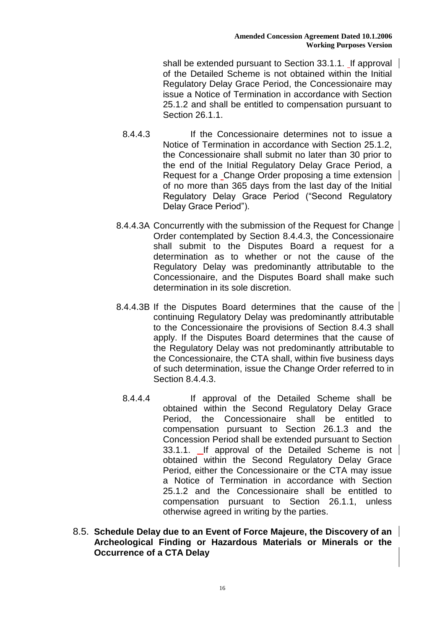shall be extended pursuant to Section 33.1.1. If approval of the Detailed Scheme is not obtained within the Initial Regulatory Delay Grace Period, the Concessionaire may issue a Notice of Termination in accordance with Section 25.1.2 and shall be entitled to compensation pursuant to Section 26.1.1.

- 8.4.4.3 If the Concessionaire determines not to issue a Notice of Termination in accordance with Section 25.1.2, the Concessionaire shall submit no later than 30 prior to the end of the Initial Regulatory Delay Grace Period, a Request for a Change Order proposing a time extension of no more than 365 days from the last day of the Initial Regulatory Delay Grace Period ("Second Regulatory Delay Grace Period").
- 8.4.4.3A Concurrently with the submission of the Request for Change Order contemplated by Section 8.4.4.3, the Concessionaire shall submit to the Disputes Board a request for a determination as to whether or not the cause of the Regulatory Delay was predominantly attributable to the Concessionaire, and the Disputes Board shall make such determination in its sole discretion.
- 8.4.4.3B If the Disputes Board determines that the cause of the continuing Regulatory Delay was predominantly attributable to the Concessionaire the provisions of Section 8.4.3 shall apply. If the Disputes Board determines that the cause of the Regulatory Delay was not predominantly attributable to the Concessionaire, the CTA shall, within five business days of such determination, issue the Change Order referred to in Section 8.4.4.3.
	- 8.4.4.4 If approval of the Detailed Scheme shall be obtained within the Second Regulatory Delay Grace Period, the Concessionaire shall be entitled to compensation pursuant to Section 26.1.3 and the Concession Period shall be extended pursuant to Section 33.1.1. If approval of the Detailed Scheme is not obtained within the Second Regulatory Delay Grace Period, either the Concessionaire or the CTA may issue a Notice of Termination in accordance with Section 25.1.2 and the Concessionaire shall be entitled to compensation pursuant to Section 26.1.1, unless otherwise agreed in writing by the parties.
- 8.5. **Schedule Delay due to an Event of Force Majeure, the Discovery of an Archeological Finding or Hazardous Materials or Minerals or the Occurrence of a CTA Delay**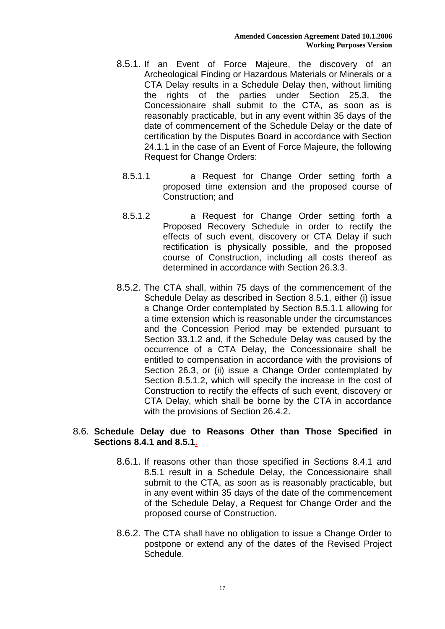- 8.5.1. If an Event of Force Majeure, the discovery of an Archeological Finding or Hazardous Materials or Minerals or a CTA Delay results in a Schedule Delay then, without limiting the rights of the parties under Section 25.3, the Concessionaire shall submit to the CTA, as soon as is reasonably practicable, but in any event within 35 days of the date of commencement of the Schedule Delay or the date of certification by the Disputes Board in accordance with Section 24.1.1 in the case of an Event of Force Majeure, the following Request for Change Orders:
	- 8.5.1.1 a Request for Change Order setting forth a proposed time extension and the proposed course of Construction; and
- 8.5.1.2 a Request for Change Order setting forth a Proposed Recovery Schedule in order to rectify the effects of such event, discovery or CTA Delay if such rectification is physically possible, and the proposed course of Construction, including all costs thereof as determined in accordance with Section 26.3.3.
- 8.5.2. The CTA shall, within 75 days of the commencement of the Schedule Delay as described in Section 8.5.1, either (i) issue a Change Order contemplated by Section 8.5.1.1 allowing for a time extension which is reasonable under the circumstances and the Concession Period may be extended pursuant to Section 33.1.2 and, if the Schedule Delay was caused by the occurrence of a CTA Delay, the Concessionaire shall be entitled to compensation in accordance with the provisions of Section 26.3, or (ii) issue a Change Order contemplated by Section 8.5.1.2, which will specify the increase in the cost of Construction to rectify the effects of such event, discovery or CTA Delay, which shall be borne by the CTA in accordance with the provisions of Section 26.4.2.

#### 8.6. **Schedule Delay due to Reasons Other than Those Specified in Sections 8.4.1 and 8.5.1.**

- 8.6.1. If reasons other than those specified in Sections 8.4.1 and 8.5.1 result in a Schedule Delay, the Concessionaire shall submit to the CTA, as soon as is reasonably practicable, but in any event within 35 days of the date of the commencement of the Schedule Delay, a Request for Change Order and the proposed course of Construction.
- 8.6.2. The CTA shall have no obligation to issue a Change Order to postpone or extend any of the dates of the Revised Project Schedule.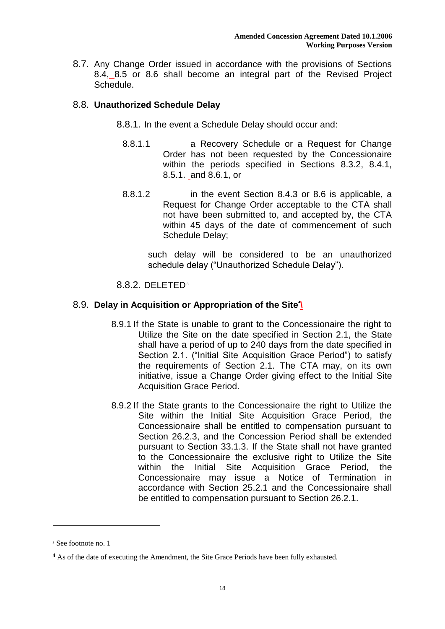8.7. Any Change Order issued in accordance with the provisions of Sections 8.4, 8.5 or 8.6 shall become an integral part of the Revised Project Schedule.

#### 8.8. **Unauthorized Schedule Delay**

8.8.1. In the event a Schedule Delay should occur and:

- 8.8.1.1 a Recovery Schedule or a Request for Change Order has not been requested by the Concessionaire within the periods specified in Sections 8.3.2, 8.4.1, 8.5.1. and 8.6.1, or
- 8.8.1.2 in the event Section 8.4.3 or 8.6 is applicable, a Request for Change Order acceptable to the CTA shall not have been submitted to, and accepted by, the CTA within 45 days of the date of commencement of such Schedule Delay;

such delay will be considered to be an unauthorized schedule delay ("Unauthorized Schedule Delay").

### 8.8.2. DELETED<sup>3</sup>

## <span id="page-17-0"></span>8.9. **Delay in Acquisition or Appropriation of the Site<sup>4</sup> \**

- 8.9.1 If the State is unable to grant to the Concessionaire the right to Utilize the Site on the date specified in Section 2.1, the State shall have a period of up to 240 days from the date specified in Section 2.1. ("Initial Site Acquisition Grace Period") to satisfy the requirements of Section 2.1. The CTA may, on its own initiative, issue a Change Order giving effect to the Initial Site Acquisition Grace Period.
- 8.9.2 If the State grants to the Concessionaire the right to Utilize the Site within the Initial Site Acquisition Grace Period, the Concessionaire shall be entitled to compensation pursuant to Section 26.2.3, and the Concession Period shall be extended pursuant to Section 33.1.3. If the State shall not have granted to the Concessionaire the exclusive right to Utilize the Site within the Initial Site Acquisition Grace Period, the Concessionaire may issue a Notice of Termination in accordance with Section 25.2.1 and the Concessionaire shall be entitled to compensation pursuant to Section 26.2.1.

 $\overline{a}$ 

**<sup>3</sup>** See footnote no. 1

**<sup>4</sup>** As of the date of executing the Amendment, the Site Grace Periods have been fully exhausted.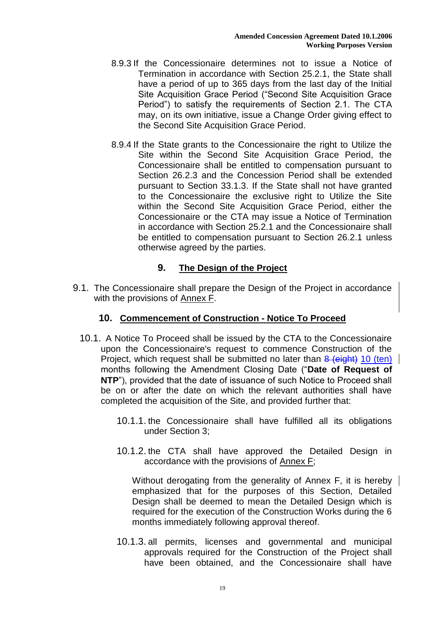- 8.9.3 If the Concessionaire determines not to issue a Notice of Termination in accordance with Section 25.2.1, the State shall have a period of up to 365 days from the last day of the Initial Site Acquisition Grace Period ("Second Site Acquisition Grace Period") to satisfy the requirements of Section 2.1. The CTA may, on its own initiative, issue a Change Order giving effect to the Second Site Acquisition Grace Period.
- 8.9.4 If the State grants to the Concessionaire the right to Utilize the Site within the Second Site Acquisition Grace Period, the Concessionaire shall be entitled to compensation pursuant to Section 26.2.3 and the Concession Period shall be extended pursuant to Section 33.1.3. If the State shall not have granted to the Concessionaire the exclusive right to Utilize the Site within the Second Site Acquisition Grace Period, either the Concessionaire or the CTA may issue a Notice of Termination in accordance with Section 25.2.1 and the Concessionaire shall be entitled to compensation pursuant to Section 26.2.1 unless otherwise agreed by the parties.

### **9. The Design of the Project**

9.1. The Concessionaire shall prepare the Design of the Project in accordance with the provisions of Annex F.

### **10. Commencement of Construction - Notice To Proceed**

- 10.1. A Notice To Proceed shall be issued by the CTA to the Concessionaire upon the Concessionaire's request to commence Construction of the Project, which request shall be submitted no later than  $8 \cdot \frac{\text{(eight)}}{10}$  (ten) months following the Amendment Closing Date ("**Date of Request of NTP**"), provided that the date of issuance of such Notice to Proceed shall be on or after the date on which the relevant authorities shall have completed the acquisition of the Site, and provided further that:
	- 10.1.1. the Concessionaire shall have fulfilled all its obligations under Section 3;
	- 10.1.2. the CTA shall have approved the Detailed Design in accordance with the provisions of Annex F;

Without derogating from the generality of Annex F, it is hereby | emphasized that for the purposes of this Section, Detailed Design shall be deemed to mean the Detailed Design which is required for the execution of the Construction Works during the 6 months immediately following approval thereof.

10.1.3. all permits, licenses and governmental and municipal approvals required for the Construction of the Project shall have been obtained, and the Concessionaire shall have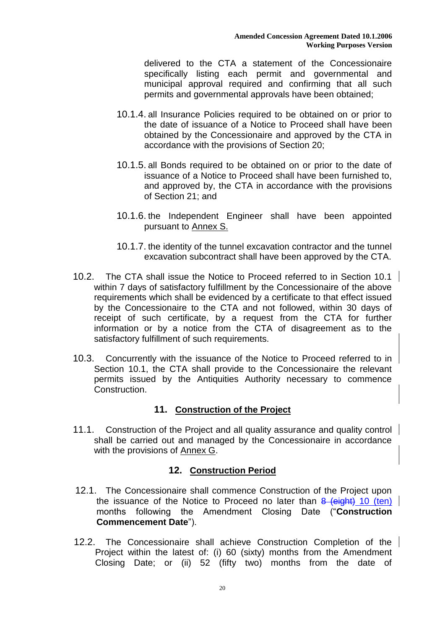delivered to the CTA a statement of the Concessionaire specifically listing each permit and governmental and municipal approval required and confirming that all such permits and governmental approvals have been obtained;

- 10.1.4. all Insurance Policies required to be obtained on or prior to the date of issuance of a Notice to Proceed shall have been obtained by the Concessionaire and approved by the CTA in accordance with the provisions of Section 20;
- 10.1.5. all Bonds required to be obtained on or prior to the date of issuance of a Notice to Proceed shall have been furnished to, and approved by, the CTA in accordance with the provisions of Section 21; and
- 10.1.6. the Independent Engineer shall have been appointed pursuant to Annex S.
- 10.1.7. the identity of the tunnel excavation contractor and the tunnel excavation subcontract shall have been approved by the CTA.
- 10.2. The CTA shall issue the Notice to Proceed referred to in Section 10.1 | within 7 days of satisfactory fulfillment by the Concessionaire of the above requirements which shall be evidenced by a certificate to that effect issued by the Concessionaire to the CTA and not followed, within 30 days of receipt of such certificate, by a request from the CTA for further information or by a notice from the CTA of disagreement as to the satisfactory fulfillment of such requirements.
- 10.3. Concurrently with the issuance of the Notice to Proceed referred to in Section 10.1, the CTA shall provide to the Concessionaire the relevant permits issued by the Antiquities Authority necessary to commence Construction.

### **11. Construction of the Project**

11.1. Construction of the Project and all quality assurance and quality control shall be carried out and managed by the Concessionaire in accordance with the provisions of Annex G.

## **12. Construction Period**

- 12.1. The Concessionaire shall commence Construction of the Project upon the issuance of the Notice to Proceed no later than  $8$  (eight) 10 (ten) months following the Amendment Closing Date ("**Construction Commencement Date**").
- 12.2. The Concessionaire shall achieve Construction Completion of the Project within the latest of: (i) 60 (sixty) months from the Amendment Closing Date; or (ii) 52 (fifty two) months from the date of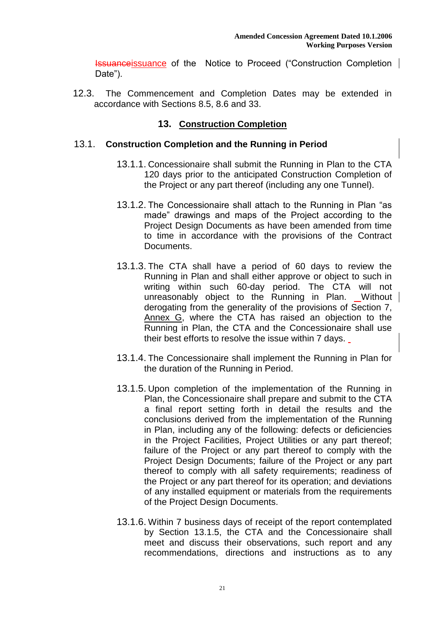**ISSUANCE** Issuance of the Notice to Proceed ("Construction Completion | Date").

12.3. The Commencement and Completion Dates may be extended in accordance with Sections 8.5, 8.6 and 33.

### **13. Construction Completion**

#### 13.1. **Construction Completion and the Running in Period**

- 13.1.1. Concessionaire shall submit the Running in Plan to the CTA 120 days prior to the anticipated Construction Completion of the Project or any part thereof (including any one Tunnel).
- 13.1.2. The Concessionaire shall attach to the Running in Plan "as made" drawings and maps of the Project according to the Project Design Documents as have been amended from time to time in accordance with the provisions of the Contract Documents.
- 13.1.3. The CTA shall have a period of 60 days to review the Running in Plan and shall either approve or object to such in writing within such 60-day period. The CTA will not unreasonably object to the Running in Plan. \_Without | derogating from the generality of the provisions of Section 7, Annex G, where the CTA has raised an objection to the Running in Plan, the CTA and the Concessionaire shall use their best efforts to resolve the issue within 7 days.
- 13.1.4. The Concessionaire shall implement the Running in Plan for the duration of the Running in Period.
- 13.1.5. Upon completion of the implementation of the Running in Plan, the Concessionaire shall prepare and submit to the CTA a final report setting forth in detail the results and the conclusions derived from the implementation of the Running in Plan, including any of the following: defects or deficiencies in the Project Facilities, Project Utilities or any part thereof; failure of the Project or any part thereof to comply with the Project Design Documents; failure of the Project or any part thereof to comply with all safety requirements; readiness of the Project or any part thereof for its operation; and deviations of any installed equipment or materials from the requirements of the Project Design Documents.
- 13.1.6. Within 7 business days of receipt of the report contemplated by Section 13.1.5, the CTA and the Concessionaire shall meet and discuss their observations, such report and any recommendations, directions and instructions as to any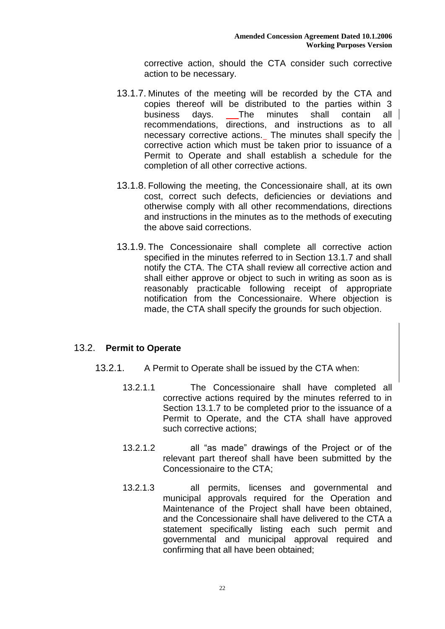corrective action, should the CTA consider such corrective action to be necessary.

- 13.1.7. Minutes of the meeting will be recorded by the CTA and copies thereof will be distributed to the parties within 3 business days. The minutes shall contain all recommendations, directions, and instructions as to all necessary corrective actions. The minutes shall specify the corrective action which must be taken prior to issuance of a Permit to Operate and shall establish a schedule for the completion of all other corrective actions.
- 13.1.8. Following the meeting, the Concessionaire shall, at its own cost, correct such defects, deficiencies or deviations and otherwise comply with all other recommendations, directions and instructions in the minutes as to the methods of executing the above said corrections.
- 13.1.9. The Concessionaire shall complete all corrective action specified in the minutes referred to in Section 13.1.7 and shall notify the CTA. The CTA shall review all corrective action and shall either approve or object to such in writing as soon as is reasonably practicable following receipt of appropriate notification from the Concessionaire. Where objection is made, the CTA shall specify the grounds for such objection.

### 13.2. **Permit to Operate**

- 13.2.1. A Permit to Operate shall be issued by the CTA when:
	- 13.2.1.1 The Concessionaire shall have completed all corrective actions required by the minutes referred to in Section 13.1.7 to be completed prior to the issuance of a Permit to Operate, and the CTA shall have approved such corrective actions;
	- 13.2.1.2 all "as made" drawings of the Project or of the relevant part thereof shall have been submitted by the Concessionaire to the CTA;
	- 13.2.1.3 all permits, licenses and governmental and municipal approvals required for the Operation and Maintenance of the Project shall have been obtained, and the Concessionaire shall have delivered to the CTA a statement specifically listing each such permit and governmental and municipal approval required and confirming that all have been obtained;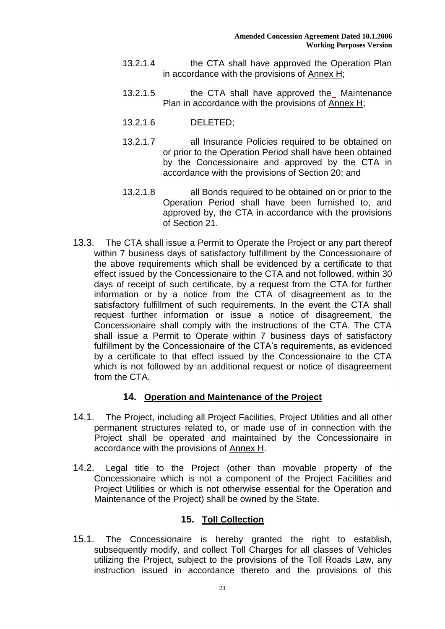- 13.2.1.4 the CTA shall have approved the Operation Plan in accordance with the provisions of Annex H;
- 13.2.1.5 the CTA shall have approved the Maintenance Plan in accordance with the provisions of Annex H;
- 13.2.1.6 DELETED;
- 13.2.1.7 all Insurance Policies required to be obtained on or prior to the Operation Period shall have been obtained by the Concessionaire and approved by the CTA in accordance with the provisions of Section 20; and
- 13.2.1.8 all Bonds required to be obtained on or prior to the Operation Period shall have been furnished to, and approved by, the CTA in accordance with the provisions of Section 21.
- 13.3. The CTA shall issue a Permit to Operate the Project or any part thereof | within 7 business days of satisfactory fulfillment by the Concessionaire of the above requirements which shall be evidenced by a certificate to that effect issued by the Concessionaire to the CTA and not followed, within 30 days of receipt of such certificate, by a request from the CTA for further information or by a notice from the CTA of disagreement as to the satisfactory fulfillment of such requirements. In the event the CTA shall request further information or issue a notice of disagreement, the Concessionaire shall comply with the instructions of the CTA. The CTA shall issue a Permit to Operate within 7 business days of satisfactory fulfillment by the Concessionaire of the CTA's requirements, as evidenced by a certificate to that effect issued by the Concessionaire to the CTA which is not followed by an additional request or notice of disagreement from the CTA.

## **14. Operation and Maintenance of the Project**

- 14.1. The Project, including all Project Facilities, Project Utilities and all other permanent structures related to, or made use of in connection with the Project shall be operated and maintained by the Concessionaire in accordance with the provisions of Annex H.
- 14.2. Legal title to the Project (other than movable property of the Concessionaire which is not a component of the Project Facilities and Project Utilities or which is not otherwise essential for the Operation and Maintenance of the Project) shall be owned by the State.

## **15. Toll Collection**

15.1. The Concessionaire is hereby granted the right to establish, subsequently modify, and collect Toll Charges for all classes of Vehicles utilizing the Project, subject to the provisions of the Toll Roads Law, any instruction issued in accordance thereto and the provisions of this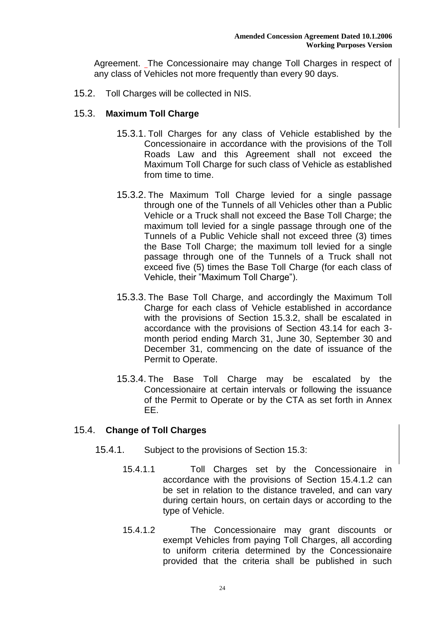Agreement. The Concessionaire may change Toll Charges in respect of any class of Vehicles not more frequently than every 90 days.

15.2. Toll Charges will be collected in NIS.

### 15.3. **Maximum Toll Charge**

- 15.3.1. Toll Charges for any class of Vehicle established by the Concessionaire in accordance with the provisions of the Toll Roads Law and this Agreement shall not exceed the Maximum Toll Charge for such class of Vehicle as established from time to time.
- 15.3.2. The Maximum Toll Charge levied for a single passage through one of the Tunnels of all Vehicles other than a Public Vehicle or a Truck shall not exceed the Base Toll Charge; the maximum toll levied for a single passage through one of the Tunnels of a Public Vehicle shall not exceed three (3) times the Base Toll Charge; the maximum toll levied for a single passage through one of the Tunnels of a Truck shall not exceed five (5) times the Base Toll Charge (for each class of Vehicle, their "Maximum Toll Charge").
- 15.3.3. The Base Toll Charge, and accordingly the Maximum Toll Charge for each class of Vehicle established in accordance with the provisions of Section 15.3.2, shall be escalated in accordance with the provisions of Section 43.14 for each 3 month period ending March 31, June 30, September 30 and December 31, commencing on the date of issuance of the Permit to Operate.
- 15.3.4. The Base Toll Charge may be escalated by the Concessionaire at certain intervals or following the issuance of the Permit to Operate or by the CTA as set forth in Annex EE.

### 15.4. **Change of Toll Charges**

- 15.4.1. Subject to the provisions of Section 15.3:
	- 15.4.1.1 Toll Charges set by the Concessionaire in accordance with the provisions of Section 15.4.1.2 can be set in relation to the distance traveled, and can vary during certain hours, on certain days or according to the type of Vehicle.
	- 15.4.1.2 The Concessionaire may grant discounts or exempt Vehicles from paying Toll Charges, all according to uniform criteria determined by the Concessionaire provided that the criteria shall be published in such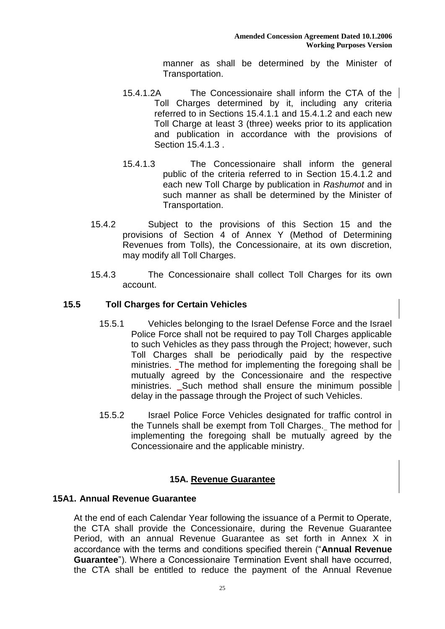manner as shall be determined by the Minister of Transportation.

- 15.4.1.2A The Concessionaire shall inform the CTA of the Toll Charges determined by it, including any criteria referred to in Sections 15.4.1.1 and 15.4.1.2 and each new Toll Charge at least 3 (three) weeks prior to its application and publication in accordance with the provisions of Section 15.4.1.3 .
- 15.4.1.3 The Concessionaire shall inform the general public of the criteria referred to in Section 15.4.1.2 and each new Toll Charge by publication in *Rashumot* and in such manner as shall be determined by the Minister of Transportation.
- 15.4.2 Subject to the provisions of this Section 15 and the provisions of Section 4 of Annex Y (Method of Determining Revenues from Tolls), the Concessionaire, at its own discretion, may modify all Toll Charges.
- 15.4.3 The Concessionaire shall collect Toll Charges for its own account.

### **15.5 Toll Charges for Certain Vehicles**

- 15.5.1 Vehicles belonging to the Israel Defense Force and the Israel Police Force shall not be required to pay Toll Charges applicable to such Vehicles as they pass through the Project; however, such Toll Charges shall be periodically paid by the respective ministries. The method for implementing the foregoing shall be | mutually agreed by the Concessionaire and the respective ministries. Such method shall ensure the minimum possible delay in the passage through the Project of such Vehicles.
- 15.5.2 Israel Police Force Vehicles designated for traffic control in the Tunnels shall be exempt from Toll Charges. The method for implementing the foregoing shall be mutually agreed by the Concessionaire and the applicable ministry.

### **15A. Revenue Guarantee**

#### **15A1. Annual Revenue Guarantee**

At the end of each Calendar Year following the issuance of a Permit to Operate, the CTA shall provide the Concessionaire, during the Revenue Guarantee Period, with an annual Revenue Guarantee as set forth in Annex X in accordance with the terms and conditions specified therein ("**Annual Revenue Guarantee**"). Where a Concessionaire Termination Event shall have occurred, the CTA shall be entitled to reduce the payment of the Annual Revenue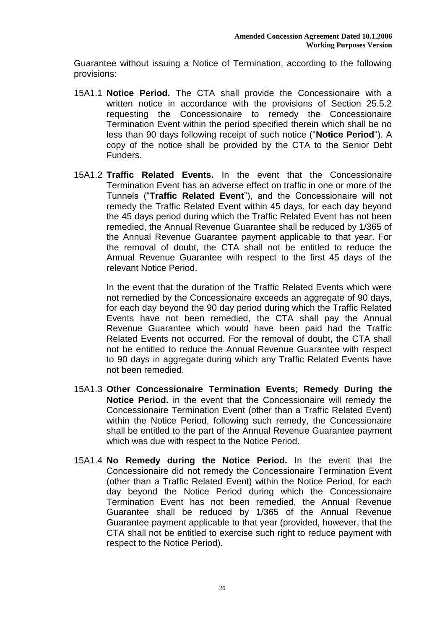Guarantee without issuing a Notice of Termination, according to the following provisions:

- 15A1.1 **Notice Period.** The CTA shall provide the Concessionaire with a written notice in accordance with the provisions of Section 25.5.2 requesting the Concessionaire to remedy the Concessionaire Termination Event within the period specified therein which shall be no less than 90 days following receipt of such notice ("**Notice Period**"). A copy of the notice shall be provided by the CTA to the Senior Debt Funders.
- 15A1.2 **Traffic Related Events.** In the event that the Concessionaire Termination Event has an adverse effect on traffic in one or more of the Tunnels ("**Traffic Related Event**"), and the Concessionaire will not remedy the Traffic Related Event within 45 days, for each day beyond the 45 days period during which the Traffic Related Event has not been remedied, the Annual Revenue Guarantee shall be reduced by 1/365 of the Annual Revenue Guarantee payment applicable to that year. For the removal of doubt, the CTA shall not be entitled to reduce the Annual Revenue Guarantee with respect to the first 45 days of the relevant Notice Period.

In the event that the duration of the Traffic Related Events which were not remedied by the Concessionaire exceeds an aggregate of 90 days, for each day beyond the 90 day period during which the Traffic Related Events have not been remedied, the CTA shall pay the Annual Revenue Guarantee which would have been paid had the Traffic Related Events not occurred. For the removal of doubt, the CTA shall not be entitled to reduce the Annual Revenue Guarantee with respect to 90 days in aggregate during which any Traffic Related Events have not been remedied.

- 15A1.3 **Other Concessionaire Termination Events**; **Remedy During the Notice Period.** in the event that the Concessionaire will remedy the Concessionaire Termination Event (other than a Traffic Related Event) within the Notice Period, following such remedy, the Concessionaire shall be entitled to the part of the Annual Revenue Guarantee payment which was due with respect to the Notice Period.
- 15A1.4 **No Remedy during the Notice Period.** In the event that the Concessionaire did not remedy the Concessionaire Termination Event (other than a Traffic Related Event) within the Notice Period, for each day beyond the Notice Period during which the Concessionaire Termination Event has not been remedied, the Annual Revenue Guarantee shall be reduced by 1/365 of the Annual Revenue Guarantee payment applicable to that year (provided, however, that the CTA shall not be entitled to exercise such right to reduce payment with respect to the Notice Period).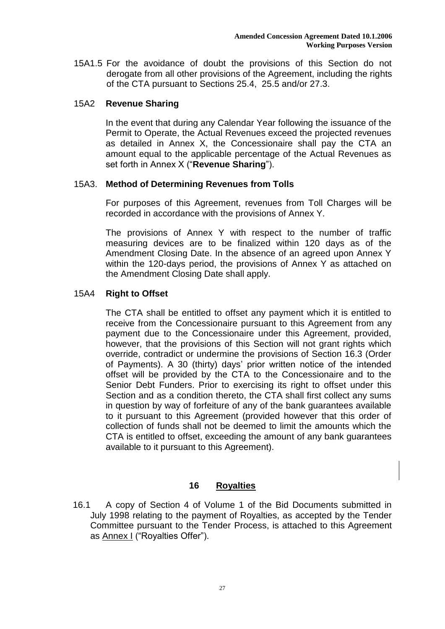15A1.5 For the avoidance of doubt the provisions of this Section do not derogate from all other provisions of the Agreement, including the rights of the CTA pursuant to Sections 25.4, 25.5 and/or 27.3.

#### 15A2 **Revenue Sharing**

In the event that during any Calendar Year following the issuance of the Permit to Operate, the Actual Revenues exceed the projected revenues as detailed in Annex X, the Concessionaire shall pay the CTA an amount equal to the applicable percentage of the Actual Revenues as set forth in Annex X ("**Revenue Sharing**").

#### 15A3. **Method of Determining Revenues from Tolls**

For purposes of this Agreement, revenues from Toll Charges will be recorded in accordance with the provisions of Annex Y.

The provisions of Annex Y with respect to the number of traffic measuring devices are to be finalized within 120 days as of the Amendment Closing Date. In the absence of an agreed upon Annex Y within the 120-days period, the provisions of Annex Y as attached on the Amendment Closing Date shall apply.

### 15A4 **Right to Offset**

The CTA shall be entitled to offset any payment which it is entitled to receive from the Concessionaire pursuant to this Agreement from any payment due to the Concessionaire under this Agreement, provided, however, that the provisions of this Section will not grant rights which override, contradict or undermine the provisions of Section 16.3 (Order of Payments). A 30 (thirty) days' prior written notice of the intended offset will be provided by the CTA to the Concessionaire and to the Senior Debt Funders. Prior to exercising its right to offset under this Section and as a condition thereto, the CTA shall first collect any sums in question by way of forfeiture of any of the bank guarantees available to it pursuant to this Agreement (provided however that this order of collection of funds shall not be deemed to limit the amounts which the CTA is entitled to offset, exceeding the amount of any bank guarantees available to it pursuant to this Agreement).

#### **16 Royalties**

16.1 A copy of Section 4 of Volume 1 of the Bid Documents submitted in July 1998 relating to the payment of Royalties, as accepted by the Tender Committee pursuant to the Tender Process, is attached to this Agreement as Annex I ("Royalties Offer").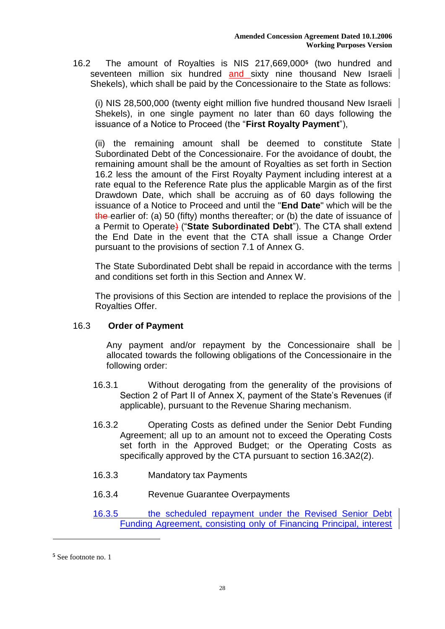16.2 The amount of Royalties is NIS 217,669,000**<sup>5</sup>** (two hundred and seventeen million six hundred and sixty nine thousand New Israeli Shekels), which shall be paid by the Concessionaire to the State as follows:

(i) NIS 28,500,000 (twenty eight million five hundred thousand New Israeli Shekels), in one single payment no later than 60 days following the issuance of a Notice to Proceed (the "**First Royalty Payment**"),

(ii) the remaining amount shall be deemed to constitute State Subordinated Debt of the Concessionaire. For the avoidance of doubt, the remaining amount shall be the amount of Royalties as set forth in Section 16.2 less the amount of the First Royalty Payment including interest at a rate equal to the Reference Rate plus the applicable Margin as of the first Drawdown Date, which shall be accruing as of 60 days following the issuance of a Notice to Proceed and until the "**End Date**" which will be the the earlier of: (a) 50 (fifty) months thereafter; or (b) the date of issuance of a Permit to Operate) ("**State Subordinated Debt**"). The CTA shall extend the End Date in the event that the CTA shall issue a Change Order pursuant to the provisions of section 7.1 of Annex G.

The State Subordinated Debt shall be repaid in accordance with the terms and conditions set forth in this Section and Annex W.

The provisions of this Section are intended to replace the provisions of the Royalties Offer.

### <span id="page-27-1"></span>16.3 **Order of Payment**

Any payment and/or repayment by the Concessionaire shall be allocated towards the following obligations of the Concessionaire in the following order:

- 16.3.1 Without derogating from the generality of the provisions of Section 2 of Part II of Annex X, payment of the State's Revenues (if applicable), pursuant to the Revenue Sharing mechanism.
- <span id="page-27-2"></span>16.3.2 Operating Costs as defined under the Senior Debt Funding Agreement; all up to an amount not to exceed the Operating Costs set forth in the Approved Budget; or the Operating Costs as specifically approved by the CTA pursuant to section 16.3A2(2).
- 16.3.3 Mandatory tax Payments
- 16.3.4 Revenue Guarantee Overpayments
- 16.3.5 the scheduled repayment under the Revised Senior Debt Funding Agreement, consisting only of Financing Principal, interest

<span id="page-27-0"></span> $\overline{a}$ 

**<sup>5</sup>** See footnote no. 1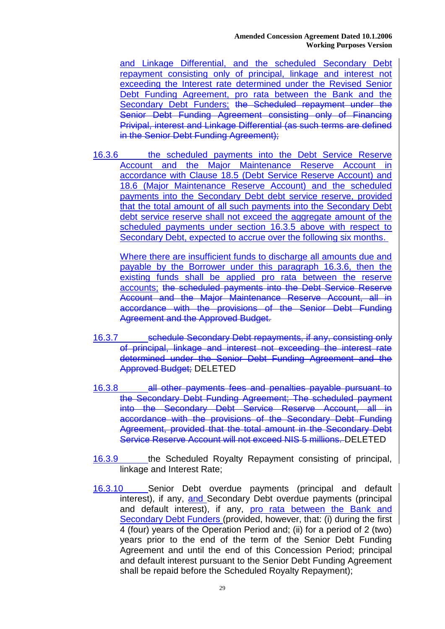and Linkage Differential, and the scheduled Secondary Debt repayment consisting only of principal, linkage and interest not exceeding the Interest rate determined under the Revised Senior Debt Funding Agreement, pro rata between the Bank and the Secondary Debt Funders; the Scheduled repayment under the Senior Debt Funding Agreement consisting only of Financing Privipal, interest and Linkage Differential (as such terms are defined in the Senior Debt Funding Agreement);

<span id="page-28-0"></span>16.3.6 the scheduled payments into the Debt Service Reserve Account and the Major Maintenance Reserve Account in accordance with Clause 18.5 (Debt Service Reserve Account) and 18.6 (Major Maintenance Reserve Account) and the scheduled payments into the Secondary Debt debt service reserve, provided that the total amount of all such payments into the Secondary Debt debt service reserve shall not exceed the aggregate amount of the scheduled payments under section 16.3.5 above with respect to Secondary Debt, expected to accrue over the following six months.

Where there are insufficient funds to discharge all amounts due and payable by the Borrower under this paragraph 16.3.6, then the existing funds shall be applied pro rata between the reserve accounts; the scheduled payments into the Debt Service Reserve Account and the Major Maintenance Reserve Account, all in accordance with the provisions of the Senior Debt Funding Agreement and the Approved Budget.

- 16.3.7 Schedule Secondary Debt repayments, if any, consisting only of principal, linkage and interest not exceeding the interest rate determined under the Senior Debt Funding Agreement and the Approved Budget; DELETED
- 16.3.8 all other payments fees and penalties payable pursuant to the Secondary Debt Funding Agreement; The scheduled payment into the Secondary Debt Service Reserve Account, all in accordance with the provisions of the Secondary Debt Funding Agreement, provided that the total amount in the Secondary Debt Service Reserve Account will not exceed NIS 5 millions. DELETED
- 16.3.9 the Scheduled Royalty Repayment consisting of principal, linkage and Interest Rate;
- <span id="page-28-1"></span>16.3.10 Senior Debt overdue payments (principal and default interest), if any, and Secondary Debt overdue payments (principal and default interest), if any, pro rata between the Bank and Secondary Debt Funders (provided, however, that: (i) during the first 4 (four) years of the Operation Period and; (ii) for a period of 2 (two) years prior to the end of the term of the Senior Debt Funding Agreement and until the end of this Concession Period; principal and default interest pursuant to the Senior Debt Funding Agreement shall be repaid before the Scheduled Royalty Repayment);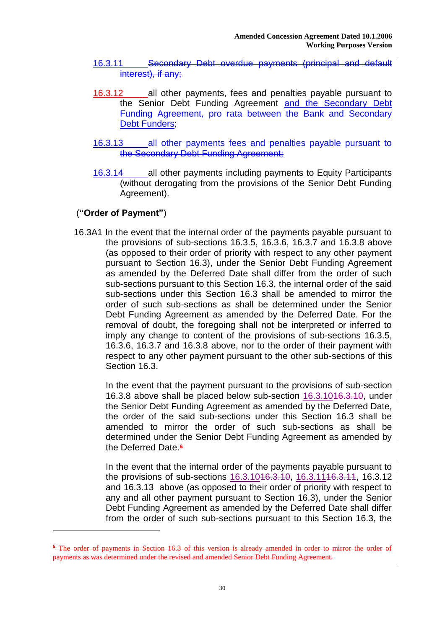- <span id="page-29-0"></span>16.3.11 Secondary Debt overdue payments (principal and default interest), if any;
- <span id="page-29-1"></span>16.3.12 \_\_\_\_\_ all other payments, fees and penalties payable pursuant to the Senior Debt Funding Agreement and the Secondary Debt Funding Agreement, pro rata between the Bank and Secondary Debt Funders;
- <span id="page-29-2"></span>16.3.13 all other payments fees and penalties payable pursuant to the Secondary Debt Funding Agreement;
- 16.3.14 all other payments including payments to Equity Participants (without derogating from the provisions of the Senior Debt Funding Agreement).

### (**"Order of Payment"**)

 $\overline{a}$ 

16.3A1 In the event that the internal order of the payments payable pursuant to the provisions of sub-sections [16.3.5,](#page-27-0) [16.3.6, 16.3.7](#page-28-0) and 16.3.8 above (as opposed to their order of priority with respect to any other payment pursuant to Section 16.3), under the Senior Debt Funding Agreement as amended by the Deferred Date shall differ from the order of such sub-sections pursuant to this Section 16.3, the internal order of the said sub-sections under this Section 16.3 shall be amended to mirror the order of such sub-sections as shall be determined under the Senior Debt Funding Agreement as amended by the Deferred Date. For the removal of doubt, the foregoing shall not be interpreted or inferred to imply any change to content of the provisions of sub-sections [16.3.5,](#page-27-0) [16.3.6, 16.3.7](#page-28-0) and 16.3.8 above, nor to the order of their payment with respect to any other payment pursuant to the other sub-sections of this Section 16.3.

In the event that the payment pursuant to the provisions of sub-section 16.3.8 above shall be placed below sub-section 16.3.1046.3.10, under the Senior Debt Funding Agreement as amended by the Deferred Date, the order of the said sub-sections under this Section 16.3 shall be amended to mirror the order of such sub-sections as shall be determined under the Senior Debt Funding Agreement as amended by the Deferred Date.**<sup>6</sup>**

In the event that the internal order of the payments payable pursuant to the provisions of sub-sections [16.3.1016.3.10,](#page-28-1) [16.3.1116.3.11,](#page-29-0) [16.3.12](#page-29-1) and [16.3.13](#page-29-2) above (as opposed to their order of priority with respect to any and all other payment pursuant to Section 16.3), under the Senior Debt Funding Agreement as amended by the Deferred Date shall differ from the order of such sub-sections pursuant to this Section 16.3, the

**<sup>6</sup>** The order of payments in Section 16.3 of this version is already amended in order to mi payments as was determined under the revised and amended Senior Debt Funding Agreement.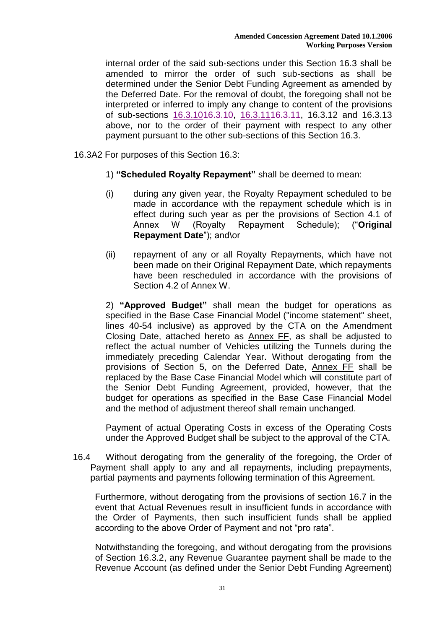internal order of the said sub-sections under this Section 16.3 shall be amended to mirror the order of such sub-sections as shall be determined under the Senior Debt Funding Agreement as amended by the Deferred Date. For the removal of doubt, the foregoing shall not be interpreted or inferred to imply any change to content of the provisions of sub-sections 16.3.10<del>16.3.10</del>, 16.3.11<del>16.3.11</del>, [16.3.12](#page-29-1) and [16.3.13](#page-29-2) above, nor to the order of their payment with respect to any other payment pursuant to the other sub-sections of this Section 16.3.

16.3A2 For purposes of this Section [16.3:](#page-27-1)

- 1) **"Scheduled Royalty Repayment"** shall be deemed to mean:
- (i) during any given year, the Royalty Repayment scheduled to be made in accordance with the repayment schedule which is in effect during such year as per the provisions of Section 4.1 of Annex W (Royalty Repayment Schedule); ("**Original Repayment Date**"); and\or
- (ii) repayment of any or all Royalty Repayments, which have not been made on their Original Repayment Date, which repayments have been rescheduled in accordance with the provisions of Section 4.2 of Annex W.

2) **"Approved Budget"** shall mean the budget for operations as specified in the Base Case Financial Model ("income statement" sheet, lines 40-54 inclusive) as approved by the CTA on the Amendment Closing Date, attached hereto as Annex FF, as shall be adjusted to reflect the actual number of Vehicles utilizing the Tunnels during the immediately preceding Calendar Year. Without derogating from the provisions of Section 5, on the Deferred Date, Annex FF shall be replaced by the Base Case Financial Model which will constitute part of the Senior Debt Funding Agreement, provided, however, that the budget for operations as specified in the Base Case Financial Model and the method of adjustment thereof shall remain unchanged.

Payment of actual Operating Costs in excess of the Operating Costs under the Approved Budget shall be subject to the approval of the CTA.

<span id="page-30-0"></span>16.4 Without derogating from the generality of the foregoing, the Order of Payment shall apply to any and all repayments, including prepayments, partial payments and payments following termination of this Agreement.

Furthermore, without derogating from the provisions of section 16.7 in the event that Actual Revenues result in insufficient funds in accordance with the Order of Payments, then such insufficient funds shall be applied according to the above Order of Payment and not "pro rata".

Notwithstanding the foregoing, and without derogating from the provisions of Section [16.3.2,](#page-27-2) any Revenue Guarantee payment shall be made to the Revenue Account (as defined under the Senior Debt Funding Agreement)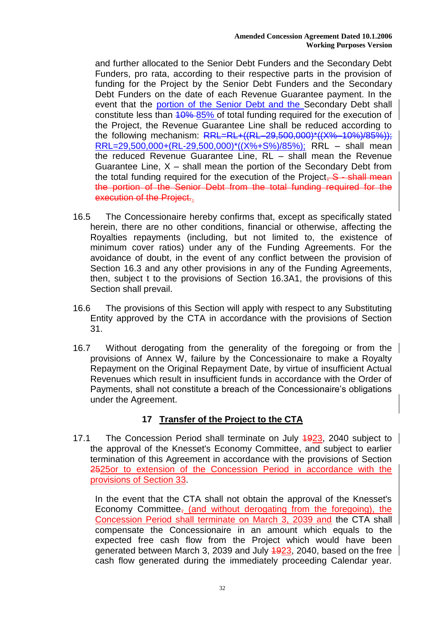and further allocated to the Senior Debt Funders and the Secondary Debt Funders, pro rata, according to their respective parts in the provision of funding for the Project by the Senior Debt Funders and the Secondary Debt Funders on the date of each Revenue Guarantee payment. In the event that the portion of the Senior Debt and the Secondary Debt shall constitute less than 10% 85% of total funding required for the execution of the Project, the Revenue Guarantee Line shall be reduced according to the following mechanism: RRL=RL+((RL–29,500,000)\*((X%–10%)/85%)); RRL=29,500,000+(RL-29,500,000)\*((X%+S%)/85%); RRL – shall mean the reduced Revenue Guarantee Line, RL – shall mean the Revenue Guarantee Line, X – shall mean the portion of the Secondary Debt from the total funding required for the execution of the Project,  $S -$  shall mean the portion of the Senior Debt from the total funding required for the execution of the Project..

- 16.5 The Concessionaire hereby confirms that, except as specifically stated herein, there are no other conditions, financial or otherwise, affecting the Royalties repayments (including, but not limited to, the existence of minimum cover ratios) under any of the Funding Agreements. For the avoidance of doubt, in the event of any conflict between the provision of Section 16.3 and any other provisions in any of the Funding Agreements, then, subject t to the provisions of Section 16.3A1, the provisions of this Section shall prevail.
- 16.6 The provisions of this Section will apply with respect to any Substituting Entity approved by the CTA in accordance with the provisions of Section 31.
- 16.7 Without derogating from the generality of the foregoing or from the provisions of Annex W, failure by the Concessionaire to make a Royalty Repayment on the Original Repayment Date, by virtue of insufficient Actual Revenues which result in insufficient funds in accordance with the Order of Payments, shall not constitute a breach of the Concessionaire's obligations under the Agreement.

## **17 Transfer of the Project to the CTA**

17.1 The Concession Period shall terminate on July 4923, 2040 subject to the approval of the Knesset's Economy Committee, and subject to earlier termination of this Agreement in accordance with the provisions of Section 2525or to extension of the Concession Period in accordance with the provisions of Section 33.

In the event that the CTA shall not obtain the approval of the Knesset's Economy Committee<sub>r</sub> (and without derogating from the foregoing), the Concession Period shall terminate on March 3, 2039 and the CTA shall compensate the Concessionaire in an amount which equals to the expected free cash flow from the Project which would have been generated between March 3, 2039 and July 4923, 2040, based on the free cash flow generated during the immediately proceeding Calendar year.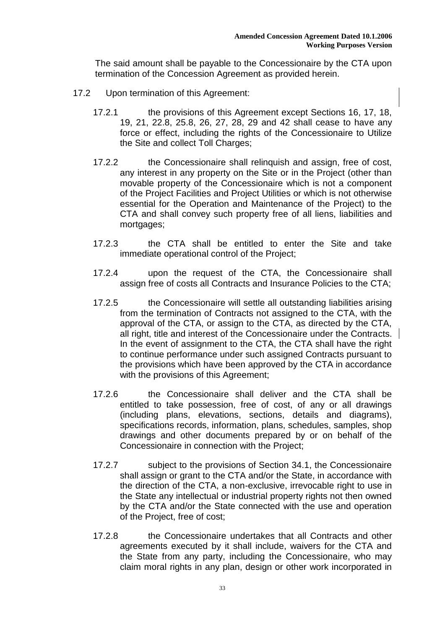The said amount shall be payable to the Concessionaire by the CTA upon termination of the Concession Agreement as provided herein.

- 17.2 Upon termination of this Agreement:
	- 17.2.1 the provisions of this Agreement except Sections 16, 17, 18, 19, 21, 22.8, 25.8, 26, 27, 28, 29 and 42 shall cease to have any force or effect, including the rights of the Concessionaire to Utilize the Site and collect Toll Charges;
	- 17.2.2 the Concessionaire shall relinquish and assign, free of cost, any interest in any property on the Site or in the Project (other than movable property of the Concessionaire which is not a component of the Project Facilities and Project Utilities or which is not otherwise essential for the Operation and Maintenance of the Project) to the CTA and shall convey such property free of all liens, liabilities and mortgages;
	- 17.2.3 the CTA shall be entitled to enter the Site and take immediate operational control of the Project;
	- 17.2.4 upon the request of the CTA, the Concessionaire shall assign free of costs all Contracts and Insurance Policies to the CTA;
	- 17.2.5 the Concessionaire will settle all outstanding liabilities arising from the termination of Contracts not assigned to the CTA, with the approval of the CTA, or assign to the CTA, as directed by the CTA, all right, title and interest of the Concessionaire under the Contracts. In the event of assignment to the CTA, the CTA shall have the right to continue performance under such assigned Contracts pursuant to the provisions which have been approved by the CTA in accordance with the provisions of this Agreement;
	- 17.2.6 the Concessionaire shall deliver and the CTA shall be entitled to take possession, free of cost, of any or all drawings (including plans, elevations, sections, details and diagrams), specifications records, information, plans, schedules, samples, shop drawings and other documents prepared by or on behalf of the Concessionaire in connection with the Project;
	- 17.2.7 subject to the provisions of Section 34.1, the Concessionaire shall assign or grant to the CTA and/or the State, in accordance with the direction of the CTA, a non-exclusive, irrevocable right to use in the State any intellectual or industrial property rights not then owned by the CTA and/or the State connected with the use and operation of the Project, free of cost;
	- 17.2.8 the Concessionaire undertakes that all Contracts and other agreements executed by it shall include, waivers for the CTA and the State from any party, including the Concessionaire, who may claim moral rights in any plan, design or other work incorporated in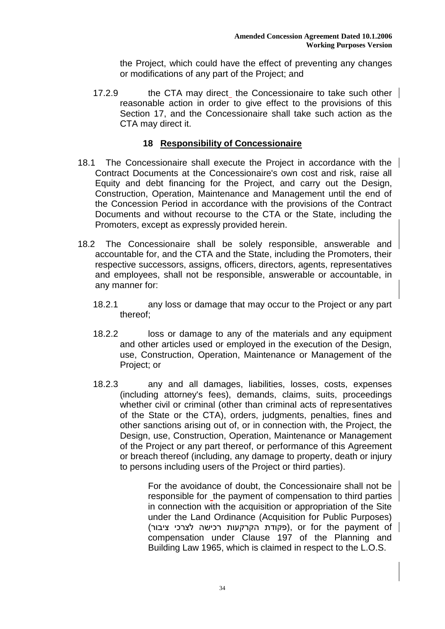the Project, which could have the effect of preventing any changes or modifications of any part of the Project; and

17.2.9 the CTA may direct\_ the Concessionaire to take such other | reasonable action in order to give effect to the provisions of this Section 17, and the Concessionaire shall take such action as the CTA may direct it.

#### **18 Responsibility of Concessionaire**

- 18.1 The Concessionaire shall execute the Project in accordance with the Contract Documents at the Concessionaire's own cost and risk, raise all Equity and debt financing for the Project, and carry out the Design, Construction, Operation, Maintenance and Management until the end of the Concession Period in accordance with the provisions of the Contract Documents and without recourse to the CTA or the State, including the Promoters, except as expressly provided herein.
- 18.2 The Concessionaire shall be solely responsible, answerable and accountable for, and the CTA and the State, including the Promoters, their respective successors, assigns, officers, directors, agents, representatives and employees, shall not be responsible, answerable or accountable, in any manner for:
	- 18.2.1 any loss or damage that may occur to the Project or any part thereof;
	- 18.2.2 loss or damage to any of the materials and any equipment and other articles used or employed in the execution of the Design, use, Construction, Operation, Maintenance or Management of the Project; or
	- 18.2.3 any and all damages, liabilities, losses, costs, expenses (including attorney's fees), demands, claims, suits, proceedings whether civil or criminal (other than criminal acts of representatives of the State or the CTA), orders, judgments, penalties, fines and other sanctions arising out of, or in connection with, the Project, the Design, use, Construction, Operation, Maintenance or Management of the Project or any part thereof, or performance of this Agreement or breach thereof (including, any damage to property, death or injury to persons including users of the Project or third parties).

For the avoidance of doubt, the Concessionaire shall not be responsible for the payment of compensation to third parties in connection with the acquisition or appropriation of the Site under the Land Ordinance (Acquisition for Public Purposes) of payment the for or ,)פקודת הקרקעות רכישה לצרכי ציבור) compensation under Clause 197 of the Planning and Building Law 1965, which is claimed in respect to the L.O.S.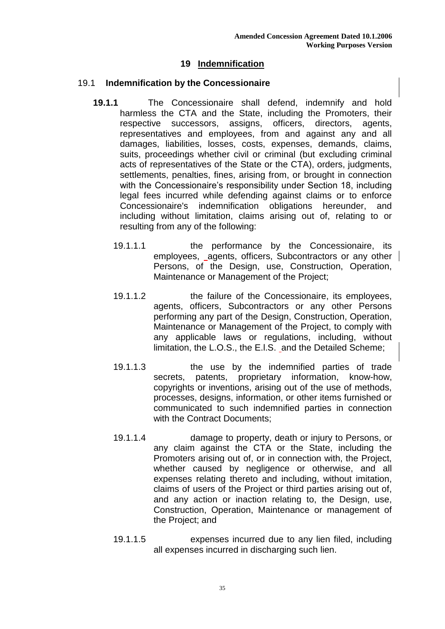## **19 Indemnification**

#### 19.1 **Indemnification by the Concessionaire**

- **19.1.1** The Concessionaire shall defend, indemnify and hold harmless the CTA and the State, including the Promoters, their respective successors, assigns, officers, directors, agents, representatives and employees, from and against any and all damages, liabilities, losses, costs, expenses, demands, claims, suits, proceedings whether civil or criminal (but excluding criminal acts of representatives of the State or the CTA), orders, judgments, settlements, penalties, fines, arising from, or brought in connection with the Concessionaire's responsibility under Section 18, including legal fees incurred while defending against claims or to enforce Concessionaire's indemnification obligations hereunder, and including without limitation, claims arising out of, relating to or resulting from any of the following:
	- 19.1.1.1 the performance by the Concessionaire, its employees, agents, officers, Subcontractors or any other | Persons, of the Design, use, Construction, Operation, Maintenance or Management of the Project;
	- 19.1.1.2 the failure of the Concessionaire, its employees, agents, officers, Subcontractors or any other Persons performing any part of the Design, Construction, Operation, Maintenance or Management of the Project, to comply with any applicable laws or regulations, including, without limitation, the L.O.S., the E.l.S. and the Detailed Scheme;
	- 19.1.1.3 the use by the indemnified parties of trade secrets, patents, proprietary information, know-how, copyrights or inventions, arising out of the use of methods, processes, designs, information, or other items furnished or communicated to such indemnified parties in connection with the Contract Documents;
	- 19.1.1.4 damage to property, death or injury to Persons, or any claim against the CTA or the State, including the Promoters arising out of, or in connection with, the Project, whether caused by negligence or otherwise, and all expenses relating thereto and including, without imitation, claims of users of the Project or third parties arising out of, and any action or inaction relating to, the Design, use, Construction, Operation, Maintenance or management of the Project; and
	- 19.1.1.5 expenses incurred due to any lien filed, including all expenses incurred in discharging such lien.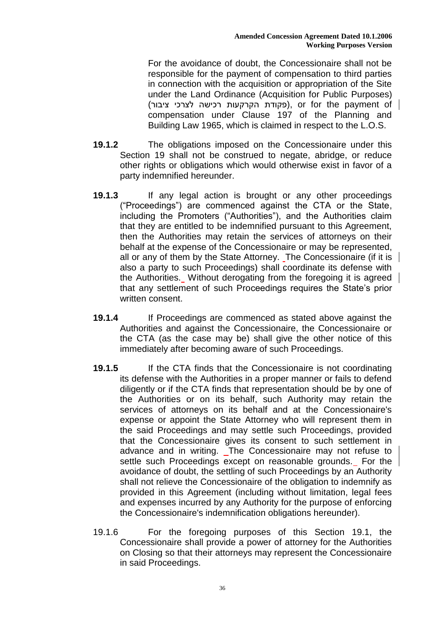For the avoidance of doubt, the Concessionaire shall not be responsible for the payment of compensation to third parties in connection with the acquisition or appropriation of the Site under the Land Ordinance (Acquisition for Public Purposes) of payment the for or ,)פקודת הקרקעות רכישה לצרכי ציבור) compensation under Clause 197 of the Planning and Building Law 1965, which is claimed in respect to the L.O.S.

- **19.1.2** The obligations imposed on the Concessionaire under this Section 19 shall not be construed to negate, abridge, or reduce other rights or obligations which would otherwise exist in favor of a party indemnified hereunder.
- **19.1.3** If any legal action is brought or any other proceedings ("Proceedings") are commenced against the CTA or the State, including the Promoters ("Authorities"), and the Authorities claim that they are entitled to be indemnified pursuant to this Agreement, then the Authorities may retain the services of attorneys on their behalf at the expense of the Concessionaire or may be represented, all or any of them by the State Attorney. The Concessionaire (if it is  $\parallel$ also a party to such Proceedings) shall coordinate its defense with the Authorities. Without derogating from the foregoing it is agreed that any settlement of such Proceedings requires the State's prior written consent.
- **19.1.4** If Proceedings are commenced as stated above against the Authorities and against the Concessionaire, the Concessionaire or the CTA (as the case may be) shall give the other notice of this immediately after becoming aware of such Proceedings.
- **19.1.5** If the CTA finds that the Concessionaire is not coordinating its defense with the Authorities in a proper manner or fails to defend diligently or if the CTA finds that representation should be by one of the Authorities or on its behalf, such Authority may retain the services of attorneys on its behalf and at the Concessionaire's expense or appoint the State Attorney who will represent them in the said Proceedings and may settle such Proceedings, provided that the Concessionaire gives its consent to such settlement in advance and in writing. The Concessionaire may not refuse to settle such Proceedings except on reasonable grounds. For the avoidance of doubt, the settling of such Proceedings by an Authority shall not relieve the Concessionaire of the obligation to indemnify as provided in this Agreement (including without limitation, legal fees and expenses incurred by any Authority for the purpose of enforcing the Concessionaire's indemnification obligations hereunder).
- 19.1.6 For the foregoing purposes of this Section 19.1, the Concessionaire shall provide a power of attorney for the Authorities on Closing so that their attorneys may represent the Concessionaire in said Proceedings.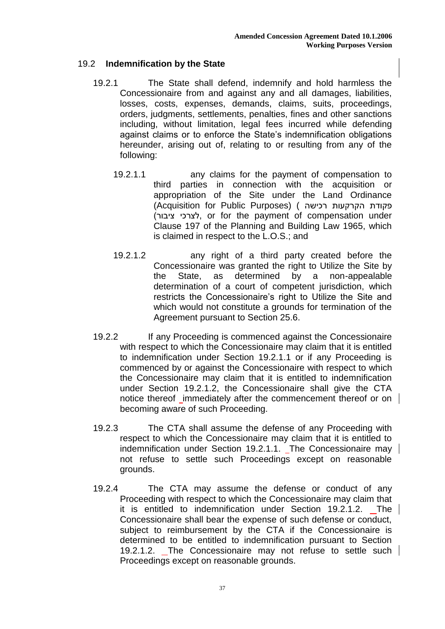### 19.2 **Indemnification by the State**

- 19.2.1 The State shall defend, indemnify and hold harmless the Concessionaire from and against any and all damages, liabilities, losses, costs, expenses, demands, claims, suits, proceedings, orders, judgments, settlements, penalties, fines and other sanctions including, without limitation, legal fees incurred while defending against claims or to enforce the State's indemnification obligations hereunder, arising out of, relating to or resulting from any of the following:
	- 19.2.1.1 any claims for the payment of compensation to third parties in connection with the acquisition or appropriation of the Site under the Land Ordinance (Acquisition for Public Purposes) ( רכישה הקרקעות פקודת )ציבור לצרכי, or for the payment of compensation under Clause 197 of the Planning and Building Law 1965, which is claimed in respect to the L.O.S.; and
	- 19.2.1.2 any right of a third party created before the Concessionaire was granted the right to Utilize the Site by the State, as determined by a non-appealable determination of a court of competent jurisdiction, which restricts the Concessionaire's right to Utilize the Site and which would not constitute a grounds for termination of the Agreement pursuant to Section 25.6.
- 19.2.2 If any Proceeding is commenced against the Concessionaire with respect to which the Concessionaire may claim that it is entitled to indemnification under Section 19.2.1.1 or if any Proceeding is commenced by or against the Concessionaire with respect to which the Concessionaire may claim that it is entitled to indemnification under Section 19.2.1.2, the Concessionaire shall give the CTA notice thereof immediately after the commencement thereof or on | becoming aware of such Proceeding.
- 19.2.3 The CTA shall assume the defense of any Proceeding with respect to which the Concessionaire may claim that it is entitled to indemnification under Section 19.2.1.1. The Concessionaire may | not refuse to settle such Proceedings except on reasonable grounds.
- 19.2.4 The CTA may assume the defense or conduct of any Proceeding with respect to which the Concessionaire may claim that it is entitled to indemnification under Section 19.2.1.2. The Concessionaire shall bear the expense of such defense or conduct, subject to reimbursement by the CTA if the Concessionaire is determined to be entitled to indemnification pursuant to Section 19.2.1.2. The Concessionaire may not refuse to settle such Proceedings except on reasonable grounds.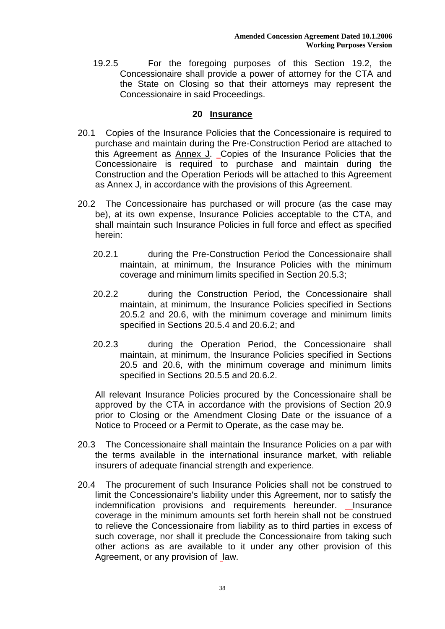19.2.5 For the foregoing purposes of this Section 19.2, the Concessionaire shall provide a power of attorney for the CTA and the State on Closing so that their attorneys may represent the Concessionaire in said Proceedings.

#### **20 Insurance**

- 20.1 Copies of the Insurance Policies that the Concessionaire is required to | purchase and maintain during the Pre-Construction Period are attached to this Agreement as  $\Delta$ nnex J. Copies of the Insurance Policies that the Concessionaire is required to purchase and maintain during the Construction and the Operation Periods will be attached to this Agreement as Annex J, in accordance with the provisions of this Agreement.
- 20.2 The Concessionaire has purchased or will procure (as the case may be), at its own expense, Insurance Policies acceptable to the CTA, and shall maintain such Insurance Policies in full force and effect as specified herein:
	- 20.2.1 during the Pre-Construction Period the Concessionaire shall maintain, at minimum, the Insurance Policies with the minimum coverage and minimum limits specified in Section 20.5.3;
	- 20.2.2 during the Construction Period, the Concessionaire shall maintain, at minimum, the Insurance Policies specified in Sections 20.5.2 and 20.6, with the minimum coverage and minimum limits specified in Sections 20.5.4 and 20.6.2; and
	- 20.2.3 during the Operation Period, the Concessionaire shall maintain, at minimum, the Insurance Policies specified in Sections 20.5 and 20.6, with the minimum coverage and minimum limits specified in Sections 20.5.5 and 20.6.2.

All relevant Insurance Policies procured by the Concessionaire shall be approved by the CTA in accordance with the provisions of Section 20.9 prior to Closing or the Amendment Closing Date or the issuance of a Notice to Proceed or a Permit to Operate, as the case may be.

- 20.3 The Concessionaire shall maintain the Insurance Policies on a par with the terms available in the international insurance market, with reliable insurers of adequate financial strength and experience.
- 20.4 The procurement of such Insurance Policies shall not be construed to limit the Concessionaire's liability under this Agreement, nor to satisfy the indemnification provisions and requirements hereunder. Insurance coverage in the minimum amounts set forth herein shall not be construed to relieve the Concessionaire from liability as to third parties in excess of such coverage, nor shall it preclude the Concessionaire from taking such other actions as are available to it under any other provision of this Agreement, or any provision of law.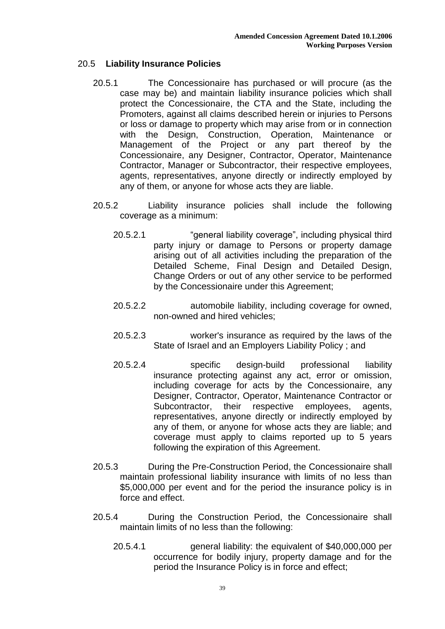### 20.5 **Liability Insurance Policies**

- 20.5.1 The Concessionaire has purchased or will procure (as the case may be) and maintain liability insurance policies which shall protect the Concessionaire, the CTA and the State, including the Promoters, against all claims described herein or injuries to Persons or loss or damage to property which may arise from or in connection with the Design, Construction, Operation, Maintenance or Management of the Project or any part thereof by the Concessionaire, any Designer, Contractor, Operator, Maintenance Contractor, Manager or Subcontractor, their respective employees, agents, representatives, anyone directly or indirectly employed by any of them, or anyone for whose acts they are liable.
- 20.5.2 Liability insurance policies shall include the following coverage as a minimum:
	- 20.5.2.1 "general liability coverage", including physical third party injury or damage to Persons or property damage arising out of all activities including the preparation of the Detailed Scheme, Final Design and Detailed Design, Change Orders or out of any other service to be performed by the Concessionaire under this Agreement;
	- 20.5.2.2 automobile liability, including coverage for owned, non-owned and hired vehicles;
	- 20.5.2.3 worker's insurance as required by the laws of the State of Israel and an Employers Liability Policy ; and
	- 20.5.2.4 specific design-build professional liability insurance protecting against any act, error or omission, including coverage for acts by the Concessionaire, any Designer, Contractor, Operator, Maintenance Contractor or Subcontractor, their respective employees, agents, representatives, anyone directly or indirectly employed by any of them, or anyone for whose acts they are liable; and coverage must apply to claims reported up to 5 years following the expiration of this Agreement.
- 20.5.3 During the Pre-Construction Period, the Concessionaire shall maintain professional liability insurance with limits of no less than \$5,000,000 per event and for the period the insurance policy is in force and effect.
- 20.5.4 During the Construction Period, the Concessionaire shall maintain limits of no less than the following:
	- 20.5.4.1 general liability: the equivalent of \$40,000,000 per occurrence for bodily injury, property damage and for the period the Insurance Policy is in force and effect;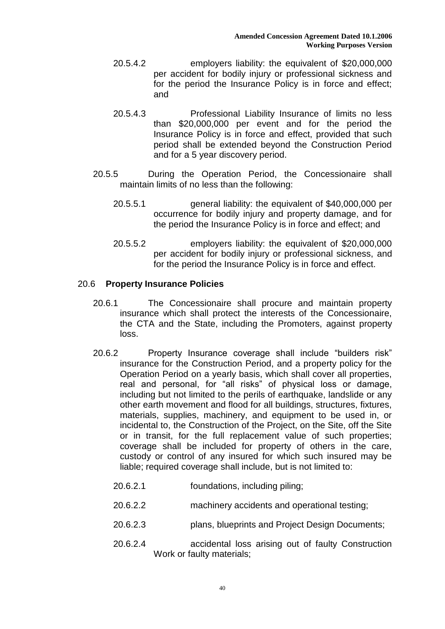- 20.5.4.2 employers liability: the equivalent of \$20,000,000 per accident for bodily injury or professional sickness and for the period the Insurance Policy is in force and effect; and
- 20.5.4.3 Professional Liability Insurance of limits no less than \$20,000,000 per event and for the period the Insurance Policy is in force and effect, provided that such period shall be extended beyond the Construction Period and for a 5 year discovery period.
- 20.5.5 During the Operation Period, the Concessionaire shall maintain limits of no less than the following:
	- 20.5.5.1 general liability: the equivalent of \$40,000,000 per occurrence for bodily injury and property damage, and for the period the Insurance Policy is in force and effect; and
	- 20.5.5.2 employers liability: the equivalent of \$20,000,000 per accident for bodily injury or professional sickness, and for the period the Insurance Policy is in force and effect.

### 20.6 **Property Insurance Policies**

- 20.6.1 The Concessionaire shall procure and maintain property insurance which shall protect the interests of the Concessionaire, the CTA and the State, including the Promoters, against property loss.
- 20.6.2 Property Insurance coverage shall include "builders risk" insurance for the Construction Period, and a property policy for the Operation Period on a yearly basis, which shall cover all properties, real and personal, for "all risks" of physical loss or damage, including but not limited to the perils of earthquake, landslide or any other earth movement and flood for all buildings, structures, fixtures, materials, supplies, machinery, and equipment to be used in, or incidental to, the Construction of the Project, on the Site, off the Site or in transit, for the full replacement value of such properties; coverage shall be included for property of others in the care, custody or control of any insured for which such insured may be liable; required coverage shall include, but is not limited to:
	- 20.6.2.1 foundations, including piling;
	- 20.6.2.2 machinery accidents and operational testing;
	- 20.6.2.3 plans, blueprints and Project Design Documents;
	- 20.6.2.4 accidental loss arising out of faulty Construction Work or faulty materials;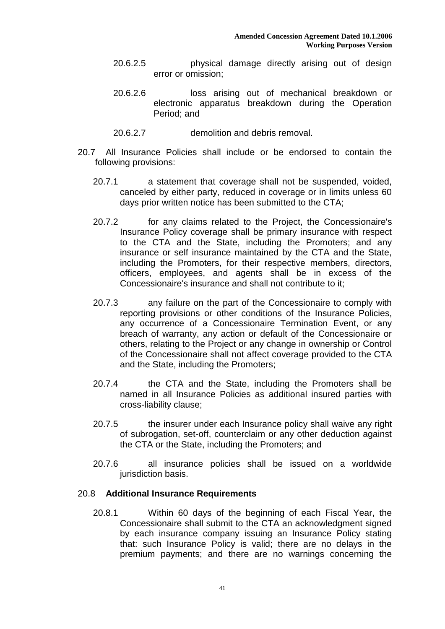- 20.6.2.5 physical damage directly arising out of design error or omission;
- 20.6.2.6 loss arising out of mechanical breakdown or electronic apparatus breakdown during the Operation Period; and
- 20.6.2.7 demolition and debris removal.
- 20.7 All Insurance Policies shall include or be endorsed to contain the following provisions:
	- 20.7.1 a statement that coverage shall not be suspended, voided, canceled by either party, reduced in coverage or in limits unless 60 days prior written notice has been submitted to the CTA;
	- 20.7.2 for any claims related to the Project, the Concessionaire's Insurance Policy coverage shall be primary insurance with respect to the CTA and the State, including the Promoters; and any insurance or self insurance maintained by the CTA and the State, including the Promoters, for their respective members, directors, officers, employees, and agents shall be in excess of the Concessionaire's insurance and shall not contribute to it;
	- 20.7.3 any failure on the part of the Concessionaire to comply with reporting provisions or other conditions of the Insurance Policies, any occurrence of a Concessionaire Termination Event, or any breach of warranty, any action or default of the Concessionaire or others, relating to the Project or any change in ownership or Control of the Concessionaire shall not affect coverage provided to the CTA and the State, including the Promoters;
	- 20.7.4 the CTA and the State, including the Promoters shall be named in all Insurance Policies as additional insured parties with cross-liability clause;
	- 20.7.5 the insurer under each Insurance policy shall waive any right of subrogation, set-off, counterclaim or any other deduction against the CTA or the State, including the Promoters; and
	- 20.7.6 all insurance policies shall be issued on a worldwide jurisdiction basis.

### 20.8 **Additional Insurance Requirements**

20.8.1 Within 60 days of the beginning of each Fiscal Year, the Concessionaire shall submit to the CTA an acknowledgment signed by each insurance company issuing an Insurance Policy stating that: such Insurance Policy is valid; there are no delays in the premium payments; and there are no warnings concerning the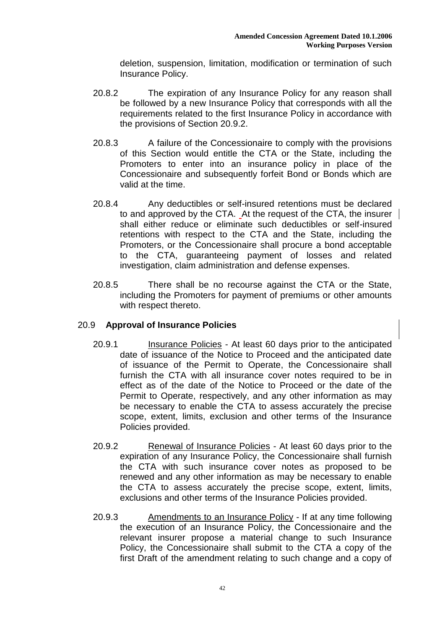deletion, suspension, limitation, modification or termination of such Insurance Policy.

- 20.8.2 The expiration of any Insurance Policy for any reason shall be followed by a new Insurance Policy that corresponds with all the requirements related to the first Insurance Policy in accordance with the provisions of Section 20.9.2.
- 20.8.3 A failure of the Concessionaire to comply with the provisions of this Section would entitle the CTA or the State, including the Promoters to enter into an insurance policy in place of the Concessionaire and subsequently forfeit Bond or Bonds which are valid at the time.
- 20.8.4 Any deductibles or self-insured retentions must be declared to and approved by the CTA.  $\Delta t$  the request of the CTA, the insurer | shall either reduce or eliminate such deductibles or self-insured retentions with respect to the CTA and the State, including the Promoters, or the Concessionaire shall procure a bond acceptable to the CTA, guaranteeing payment of losses and related investigation, claim administration and defense expenses.
- 20.8.5 There shall be no recourse against the CTA or the State, including the Promoters for payment of premiums or other amounts with respect thereto.

### 20.9 **Approval of Insurance Policies**

- 20.9.1 Insurance Policies At least 60 days prior to the anticipated date of issuance of the Notice to Proceed and the anticipated date of issuance of the Permit to Operate, the Concessionaire shall furnish the CTA with all insurance cover notes required to be in effect as of the date of the Notice to Proceed or the date of the Permit to Operate, respectively, and any other information as may be necessary to enable the CTA to assess accurately the precise scope, extent, limits, exclusion and other terms of the Insurance Policies provided.
- 20.9.2 Renewal of Insurance Policies At least 60 days prior to the expiration of any Insurance Policy, the Concessionaire shall furnish the CTA with such insurance cover notes as proposed to be renewed and any other information as may be necessary to enable the CTA to assess accurately the precise scope, extent, limits, exclusions and other terms of the Insurance Policies provided.
- 20.9.3 Amendments to an Insurance Policy If at any time following the execution of an Insurance Policy, the Concessionaire and the relevant insurer propose a material change to such Insurance Policy, the Concessionaire shall submit to the CTA a copy of the first Draft of the amendment relating to such change and a copy of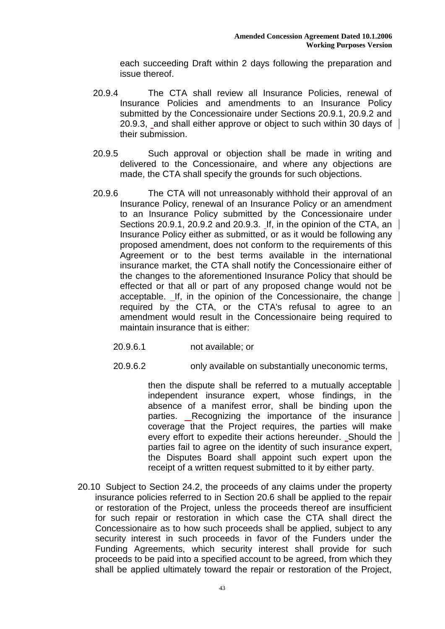each succeeding Draft within 2 days following the preparation and issue thereof.

- 20.9.4 The CTA shall review all Insurance Policies, renewal of Insurance Policies and amendments to an Insurance Policy submitted by the Concessionaire under Sections 20.9.1, 20.9.2 and 20.9.3, and shall either approve or object to such within 30 days of | their submission.
- 20.9.5 Such approval or objection shall be made in writing and delivered to the Concessionaire, and where any objections are made, the CTA shall specify the grounds for such objections.
- 20.9.6 The CTA will not unreasonably withhold their approval of an Insurance Policy, renewal of an Insurance Policy or an amendment to an Insurance Policy submitted by the Concessionaire under Sections 20.9.1, 20.9.2 and 20.9.3. If, in the opinion of the CTA, an  $\vert$ Insurance Policy either as submitted, or as it would be following any proposed amendment, does not conform to the requirements of this Agreement or to the best terms available in the international insurance market, the CTA shall notify the Concessionaire either of the changes to the aforementioned Insurance Policy that should be effected or that all or part of any proposed change would not be acceptable. If, in the opinion of the Concessionaire, the change  $|$ required by the CTA, or the CTA's refusal to agree to an amendment would result in the Concessionaire being required to maintain insurance that is either:
	- 20.9.6.1 not available; or
	- 20.9.6.2 only available on substantially uneconomic terms,

then the dispute shall be referred to a mutually acceptable independent insurance expert, whose findings, in the absence of a manifest error, shall be binding upon the parties. Recognizing the importance of the insurance coverage that the Project requires, the parties will make every effort to expedite their actions hereunder. Should the parties fail to agree on the identity of such insurance expert, the Disputes Board shall appoint such expert upon the receipt of a written request submitted to it by either party.

20.10 Subject to Section 24.2, the proceeds of any claims under the property insurance policies referred to in Section 20.6 shall be applied to the repair or restoration of the Project, unless the proceeds thereof are insufficient for such repair or restoration in which case the CTA shall direct the Concessionaire as to how such proceeds shall be applied, subject to any security interest in such proceeds in favor of the Funders under the Funding Agreements, which security interest shall provide for such proceeds to be paid into a specified account to be agreed, from which they shall be applied ultimately toward the repair or restoration of the Project,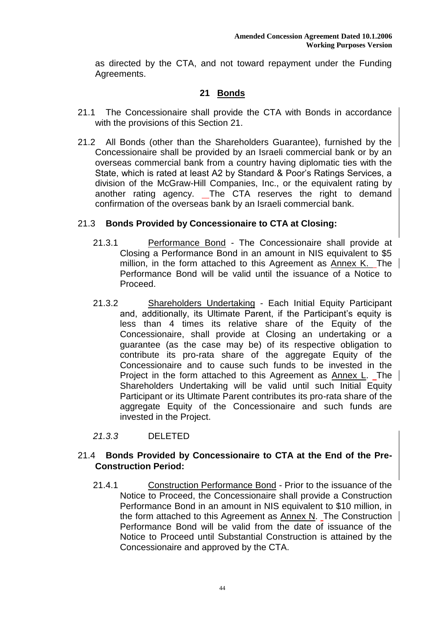as directed by the CTA, and not toward repayment under the Funding Agreements.

# **21 Bonds**

- 21.1 The Concessionaire shall provide the CTA with Bonds in accordance with the provisions of this Section 21.
- 21.2 All Bonds (other than the Shareholders Guarantee), furnished by the Concessionaire shall be provided by an Israeli commercial bank or by an overseas commercial bank from a country having diplomatic ties with the State, which is rated at least A2 by Standard & Poor's Ratings Services, a division of the McGraw-Hill Companies, Inc., or the equivalent rating by another rating agency. The CTA reserves the right to demand confirmation of the overseas bank by an Israeli commercial bank.

### 21.3 **Bonds Provided by Concessionaire to CTA at Closing:**

- 21.3.1 Performance Bond The Concessionaire shall provide at Closing a Performance Bond in an amount in NIS equivalent to \$5 million, in the form attached to this Agreement as Annex K. The Performance Bond will be valid until the issuance of a Notice to Proceed.
- 21.3.2 Shareholders Undertaking Each Initial Equity Participant and, additionally, its Ultimate Parent, if the Participant's equity is less than 4 times its relative share of the Equity of the Concessionaire, shall provide at Closing an undertaking or a guarantee (as the case may be) of its respective obligation to contribute its pro-rata share of the aggregate Equity of the Concessionaire and to cause such funds to be invested in the Project in the form attached to this Agreement as Annex L. The Shareholders Undertaking will be valid until such Initial Equity Participant or its Ultimate Parent contributes its pro-rata share of the aggregate Equity of the Concessionaire and such funds are invested in the Project.

### *21.3.3* DELETED

#### 21.4 **Bonds Provided by Concessionaire to CTA at the End of the Pre-Construction Period:**

21.4.1 Construction Performance Bond - Prior to the issuance of the Notice to Proceed, the Concessionaire shall provide a Construction Performance Bond in an amount in NIS equivalent to \$10 million, in the form attached to this Agreement as Annex N. The Construction Performance Bond will be valid from the date of issuance of the Notice to Proceed until Substantial Construction is attained by the Concessionaire and approved by the CTA.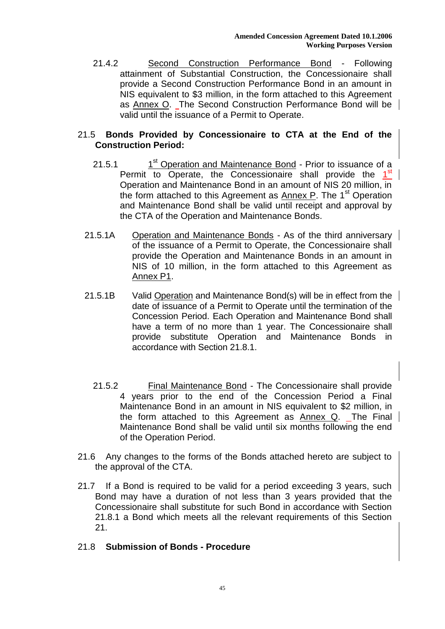21.4.2 Second Construction Performance Bond - Following attainment of Substantial Construction, the Concessionaire shall provide a Second Construction Performance Bond in an amount in NIS equivalent to \$3 million, in the form attached to this Agreement as Annex O. The Second Construction Performance Bond will be valid until the issuance of a Permit to Operate.

### 21.5 **Bonds Provided by Concessionaire to CTA at the End of the Construction Period:**

- $21.5.1$ 1<sup>st</sup> Operation and Maintenance Bond - Prior to issuance of a Permit to Operate, the Concessionaire shall provide the  $1<sup>st</sup>$ Operation and Maintenance Bond in an amount of NIS 20 million, in the form attached to this Agreement as Annex P. The  $1<sup>st</sup>$  Operation and Maintenance Bond shall be valid until receipt and approval by the CTA of the Operation and Maintenance Bonds.
- 21.5.1A Operation and Maintenance Bonds As of the third anniversary | of the issuance of a Permit to Operate, the Concessionaire shall provide the Operation and Maintenance Bonds in an amount in NIS of 10 million, in the form attached to this Agreement as Annex P1.
- 21.5.1B Valid Operation and Maintenance Bond(s) will be in effect from the date of issuance of a Permit to Operate until the termination of the Concession Period. Each Operation and Maintenance Bond shall have a term of no more than 1 year. The Concessionaire shall provide substitute Operation and Maintenance Bonds in accordance with Section 21.8.1.
	- 21.5.2 Final Maintenance Bond The Concessionaire shall provide 4 years prior to the end of the Concession Period a Final Maintenance Bond in an amount in NIS equivalent to \$2 million, in the form attached to this Agreement as Annex Q. The Final Maintenance Bond shall be valid until six months following the end of the Operation Period.
- 21.6 Any changes to the forms of the Bonds attached hereto are subject to the approval of the CTA.
- 21.7 If a Bond is required to be valid for a period exceeding 3 years, such Bond may have a duration of not less than 3 years provided that the Concessionaire shall substitute for such Bond in accordance with Section 21.8.1 a Bond which meets all the relevant requirements of this Section 21.

### 21.8 **Submission of Bonds - Procedure**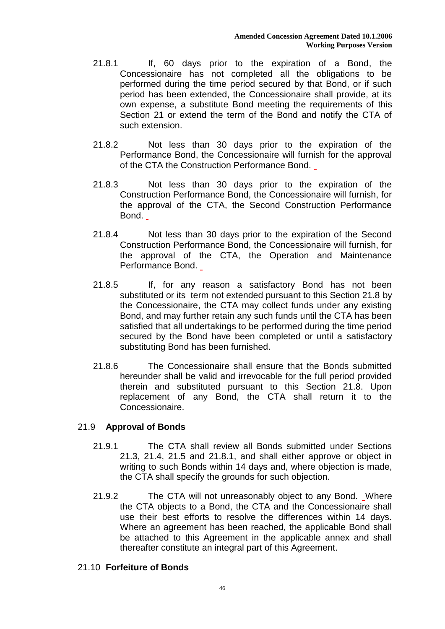- 21.8.1 If, 60 days prior to the expiration of a Bond, the Concessionaire has not completed all the obligations to be performed during the time period secured by that Bond, or if such period has been extended, the Concessionaire shall provide, at its own expense, a substitute Bond meeting the requirements of this Section 21 or extend the term of the Bond and notify the CTA of such extension.
- 21.8.2 Not less than 30 days prior to the expiration of the Performance Bond, the Concessionaire will furnish for the approval of the CTA the Construction Performance Bond.
- 21.8.3 Not less than 30 days prior to the expiration of the Construction Performance Bond, the Concessionaire will furnish, for the approval of the CTA, the Second Construction Performance Bond.
- 21.8.4 Not less than 30 days prior to the expiration of the Second Construction Performance Bond, the Concessionaire will furnish, for the approval of the CTA, the Operation and Maintenance Performance Bond.
- 21.8.5 If, for any reason a satisfactory Bond has not been substituted or its term not extended pursuant to this Section 21.8 by the Concessionaire, the CTA may collect funds under any existing Bond, and may further retain any such funds until the CTA has been satisfied that all undertakings to be performed during the time period secured by the Bond have been completed or until a satisfactory substituting Bond has been furnished.
- 21.8.6 The Concessionaire shall ensure that the Bonds submitted hereunder shall be valid and irrevocable for the full period provided therein and substituted pursuant to this Section 21.8. Upon replacement of any Bond, the CTA shall return it to the Concessionaire.

### 21.9 **Approval of Bonds**

- 21.9.1 The CTA shall review all Bonds submitted under Sections 21.3, 21.4, 21.5 and 21.8.1, and shall either approve or object in writing to such Bonds within 14 days and, where objection is made, the CTA shall specify the grounds for such objection.
- 21.9.2 The CTA will not unreasonably object to any Bond. Where the CTA objects to a Bond, the CTA and the Concessionaire shall use their best efforts to resolve the differences within 14 days. Where an agreement has been reached, the applicable Bond shall be attached to this Agreement in the applicable annex and shall thereafter constitute an integral part of this Agreement.

#### 21.10 **Forfeiture of Bonds**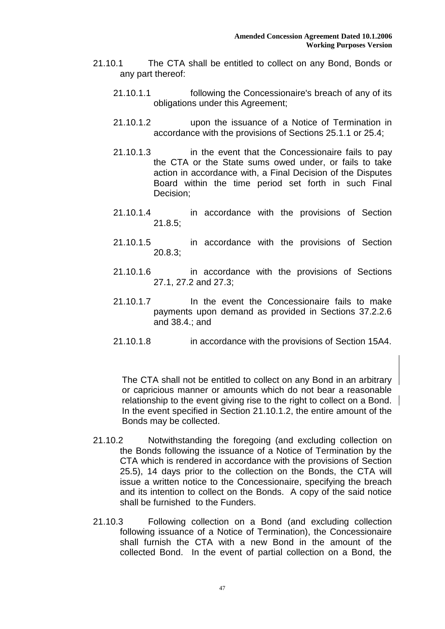- 21.10.1 The CTA shall be entitled to collect on any Bond, Bonds or any part thereof:
	- 21.10.1.1 following the Concessionaire's breach of any of its obligations under this Agreement;
	- 21.10.1.2 upon the issuance of a Notice of Termination in accordance with the provisions of Sections 25.1.1 or 25.4;
	- 21.10.1.3 in the event that the Concessionaire fails to pay the CTA or the State sums owed under, or fails to take action in accordance with, a Final Decision of the Disputes Board within the time period set forth in such Final Decision;
	- 21.10.1.4 in accordance with the provisions of Section 21.8.5;
	- 21.10.1.5 in accordance with the provisions of Section 20.8.3;
	- 21.10.1.6 in accordance with the provisions of Sections 27.1, 27.2 and 27.3;
	- 21.10.1.7 In the event the Concessionaire fails to make payments upon demand as provided in Sections 37.2.2.6 and 38.4.; and
	- 21.10.1.8 in accordance with the provisions of Section 15A4.

The CTA shall not be entitled to collect on any Bond in an arbitrary or capricious manner or amounts which do not bear a reasonable relationship to the event giving rise to the right to collect on a Bond. In the event specified in Section 21.10.1.2, the entire amount of the Bonds may be collected.

- 21.10.2 Notwithstanding the foregoing (and excluding collection on the Bonds following the issuance of a Notice of Termination by the CTA which is rendered in accordance with the provisions of Section 25.5), 14 days prior to the collection on the Bonds, the CTA will issue a written notice to the Concessionaire, specifying the breach and its intention to collect on the Bonds. A copy of the said notice shall be furnished to the Funders.
- 21.10.3 Following collection on a Bond (and excluding collection following issuance of a Notice of Termination), the Concessionaire shall furnish the CTA with a new Bond in the amount of the collected Bond. In the event of partial collection on a Bond, the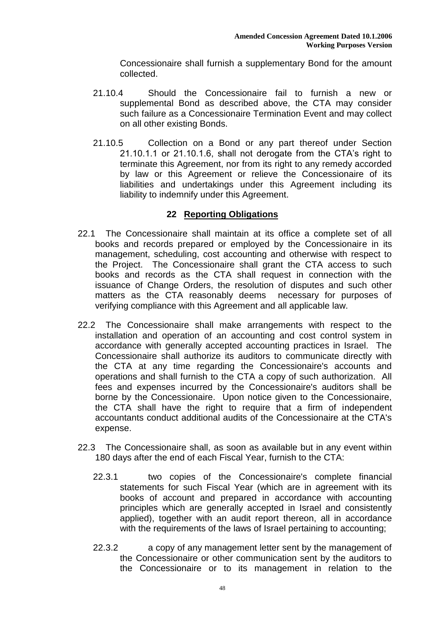Concessionaire shall furnish a supplementary Bond for the amount collected.

- 21.10.4 Should the Concessionaire fail to furnish a new or supplemental Bond as described above, the CTA may consider such failure as a Concessionaire Termination Event and may collect on all other existing Bonds.
- 21.10.5 Collection on a Bond or any part thereof under Section 21.10.1.1 or 21.10.1.6, shall not derogate from the CTA's right to terminate this Agreement, nor from its right to any remedy accorded by law or this Agreement or relieve the Concessionaire of its liabilities and undertakings under this Agreement including its liability to indemnify under this Agreement.

# **22 Reporting Obligations**

- 22.1 The Concessionaire shall maintain at its office a complete set of all books and records prepared or employed by the Concessionaire in its management, scheduling, cost accounting and otherwise with respect to the Project. The Concessionaire shall grant the CTA access to such books and records as the CTA shall request in connection with the issuance of Change Orders, the resolution of disputes and such other matters as the CTA reasonably deems necessary for purposes of verifying compliance with this Agreement and all applicable law.
- 22.2 The Concessionaire shall make arrangements with respect to the installation and operation of an accounting and cost control system in accordance with generally accepted accounting practices in Israel. The Concessionaire shall authorize its auditors to communicate directly with the CTA at any time regarding the Concessionaire's accounts and operations and shall furnish to the CTA a copy of such authorization. All fees and expenses incurred by the Concessionaire's auditors shall be borne by the Concessionaire. Upon notice given to the Concessionaire, the CTA shall have the right to require that a firm of independent accountants conduct additional audits of the Concessionaire at the CTA's expense.
- 22.3 The Concessionaire shall, as soon as available but in any event within 180 days after the end of each Fiscal Year, furnish to the CTA:
	- 22.3.1 two copies of the Concessionaire's complete financial statements for such Fiscal Year (which are in agreement with its books of account and prepared in accordance with accounting principles which are generally accepted in Israel and consistently applied), together with an audit report thereon, all in accordance with the requirements of the laws of Israel pertaining to accounting;
	- 22.3.2 a copy of any management letter sent by the management of the Concessionaire or other communication sent by the auditors to the Concessionaire or to its management in relation to the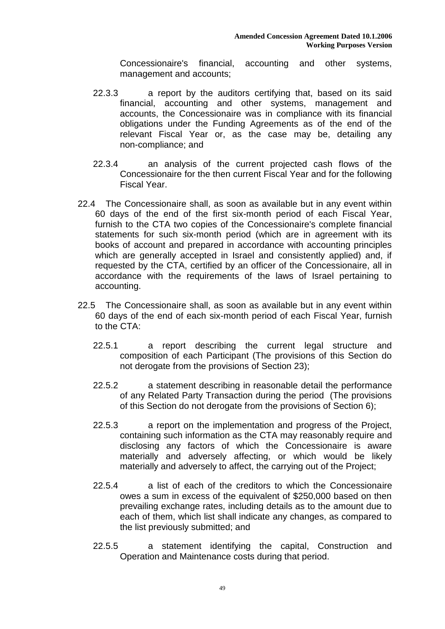Concessionaire's financial, accounting and other systems, management and accounts;

- 22.3.3 a report by the auditors certifying that, based on its said financial, accounting and other systems, management and accounts, the Concessionaire was in compliance with its financial obligations under the Funding Agreements as of the end of the relevant Fiscal Year or, as the case may be, detailing any non-compliance; and
- 22.3.4 an analysis of the current projected cash flows of the Concessionaire for the then current Fiscal Year and for the following Fiscal Year.
- 22.4 The Concessionaire shall, as soon as available but in any event within 60 days of the end of the first six-month period of each Fiscal Year, furnish to the CTA two copies of the Concessionaire's complete financial statements for such six-month period (which are in agreement with its books of account and prepared in accordance with accounting principles which are generally accepted in Israel and consistently applied) and, if requested by the CTA, certified by an officer of the Concessionaire, all in accordance with the requirements of the laws of Israel pertaining to accounting.
- 22.5 The Concessionaire shall, as soon as available but in any event within 60 days of the end of each six-month period of each Fiscal Year, furnish to the CTA:
	- 22.5.1 a report describing the current legal structure and composition of each Participant (The provisions of this Section do not derogate from the provisions of Section 23);
	- 22.5.2 a statement describing in reasonable detail the performance of any Related Party Transaction during the period (The provisions of this Section do not derogate from the provisions of Section 6);
	- 22.5.3 a report on the implementation and progress of the Project, containing such information as the CTA may reasonably require and disclosing any factors of which the Concessionaire is aware materially and adversely affecting, or which would be likely materially and adversely to affect, the carrying out of the Project;
	- 22.5.4 a list of each of the creditors to which the Concessionaire owes a sum in excess of the equivalent of \$250,000 based on then prevailing exchange rates, including details as to the amount due to each of them, which list shall indicate any changes, as compared to the list previously submitted; and
	- 22.5.5 a statement identifying the capital, Construction and Operation and Maintenance costs during that period.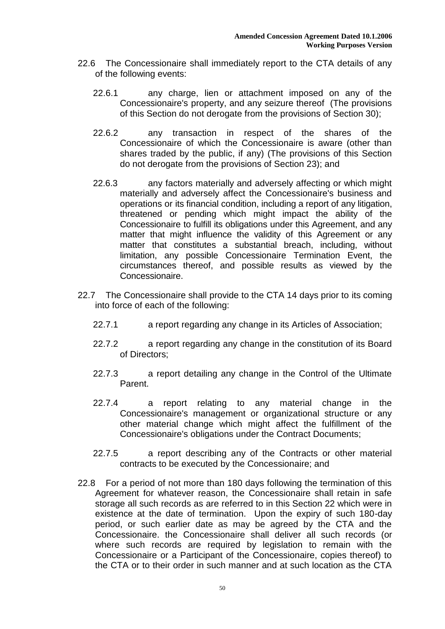- 22.6 The Concessionaire shall immediately report to the CTA details of any of the following events:
	- 22.6.1 any charge, lien or attachment imposed on any of the Concessionaire's property, and any seizure thereof (The provisions of this Section do not derogate from the provisions of Section 30);
	- 22.6.2 any transaction in respect of the shares of the Concessionaire of which the Concessionaire is aware (other than shares traded by the public, if any) (The provisions of this Section do not derogate from the provisions of Section 23); and
	- 22.6.3 any factors materially and adversely affecting or which might materially and adversely affect the Concessionaire's business and operations or its financial condition, including a report of any litigation, threatened or pending which might impact the ability of the Concessionaire to fulfill its obligations under this Agreement, and any matter that might influence the validity of this Agreement or any matter that constitutes a substantial breach, including, without limitation, any possible Concessionaire Termination Event, the circumstances thereof, and possible results as viewed by the Concessionaire.
- 22.7 The Concessionaire shall provide to the CTA 14 days prior to its coming into force of each of the following:
	- 22.7.1 a report regarding any change in its Articles of Association;
	- 22.7.2 a report regarding any change in the constitution of its Board of Directors;
	- 22.7.3 a report detailing any change in the Control of the Ultimate Parent.
	- 22.7.4 a report relating to any material change in the Concessionaire's management or organizational structure or any other material change which might affect the fulfillment of the Concessionaire's obligations under the Contract Documents;
	- 22.7.5 a report describing any of the Contracts or other material contracts to be executed by the Concessionaire; and
- 22.8 For a period of not more than 180 days following the termination of this Agreement for whatever reason, the Concessionaire shall retain in safe storage all such records as are referred to in this Section 22 which were in existence at the date of termination. Upon the expiry of such 180-day period, or such earlier date as may be agreed by the CTA and the Concessionaire. the Concessionaire shall deliver all such records (or where such records are required by legislation to remain with the Concessionaire or a Participant of the Concessionaire, copies thereof) to the CTA or to their order in such manner and at such location as the CTA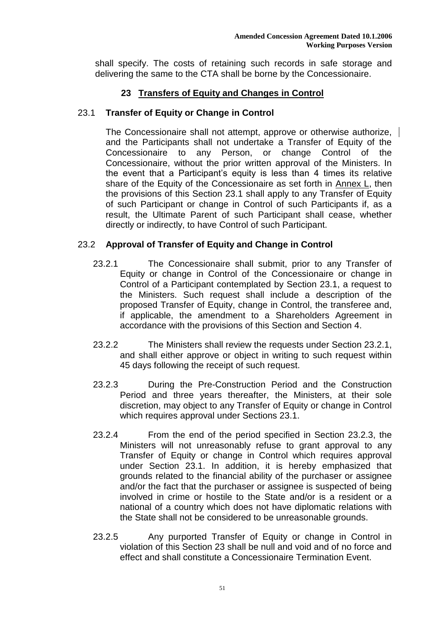shall specify. The costs of retaining such records in safe storage and delivering the same to the CTA shall be borne by the Concessionaire.

# **23 Transfers of Equity and Changes in Control**

### 23.1 **Transfer of Equity or Change in Control**

The Concessionaire shall not attempt, approve or otherwise authorize, and the Participants shall not undertake a Transfer of Equity of the Concessionaire to any Person, or change Control of the Concessionaire, without the prior written approval of the Ministers. In the event that a Participant's equity is less than 4 times its relative share of the Equity of the Concessionaire as set forth in Annex L, then the provisions of this Section 23.1 shall apply to any Transfer of Equity of such Participant or change in Control of such Participants if, as a result, the Ultimate Parent of such Participant shall cease, whether directly or indirectly, to have Control of such Participant.

# 23.2 **Approval of Transfer of Equity and Change in Control**

- 23.2.1 The Concessionaire shall submit, prior to any Transfer of Equity or change in Control of the Concessionaire or change in Control of a Participant contemplated by Section 23.1, a request to the Ministers. Such request shall include a description of the proposed Transfer of Equity, change in Control, the transferee and, if applicable, the amendment to a Shareholders Agreement in accordance with the provisions of this Section and Section 4.
- 23.2.2 The Ministers shall review the requests under Section 23.2.1, and shall either approve or object in writing to such request within 45 days following the receipt of such request.
- 23.2.3 During the Pre-Construction Period and the Construction Period and three years thereafter, the Ministers, at their sole discretion, may object to any Transfer of Equity or change in Control which requires approval under Sections 23.1.
- 23.2.4 From the end of the period specified in Section 23.2.3, the Ministers will not unreasonably refuse to grant approval to any Transfer of Equity or change in Control which requires approval under Section 23.1. In addition, it is hereby emphasized that grounds related to the financial ability of the purchaser or assignee and/or the fact that the purchaser or assignee is suspected of being involved in crime or hostile to the State and/or is a resident or a national of a country which does not have diplomatic relations with the State shall not be considered to be unreasonable grounds.
- 23.2.5 Any purported Transfer of Equity or change in Control in violation of this Section 23 shall be null and void and of no force and effect and shall constitute a Concessionaire Termination Event.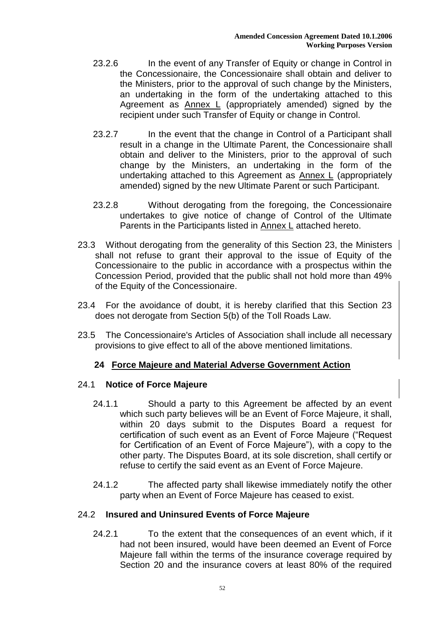- 23.2.6 In the event of any Transfer of Equity or change in Control in the Concessionaire, the Concessionaire shall obtain and deliver to the Ministers, prior to the approval of such change by the Ministers, an undertaking in the form of the undertaking attached to this Agreement as Annex L (appropriately amended) signed by the recipient under such Transfer of Equity or change in Control.
- 23.2.7 In the event that the change in Control of a Participant shall result in a change in the Ultimate Parent, the Concessionaire shall obtain and deliver to the Ministers, prior to the approval of such change by the Ministers, an undertaking in the form of the undertaking attached to this Agreement as Annex L (appropriately amended) signed by the new Ultimate Parent or such Participant.
- 23.2.8 Without derogating from the foregoing, the Concessionaire undertakes to give notice of change of Control of the Ultimate Parents in the Participants listed in Annex L attached hereto.
- 23.3 Without derogating from the generality of this Section 23, the Ministers | shall not refuse to grant their approval to the issue of Equity of the Concessionaire to the public in accordance with a prospectus within the Concession Period, provided that the public shall not hold more than 49% of the Equity of the Concessionaire.
- 23.4 For the avoidance of doubt, it is hereby clarified that this Section 23 does not derogate from Section 5(b) of the Toll Roads Law.
- 23.5 The Concessionaire's Articles of Association shall include all necessary provisions to give effect to all of the above mentioned limitations.

# **24 Force Majeure and Material Adverse Government Action**

### 24.1 **Notice of Force Majeure**

- 24.1.1 Should a party to this Agreement be affected by an event which such party believes will be an Event of Force Majeure, it shall, within 20 days submit to the Disputes Board a request for certification of such event as an Event of Force Majeure ("Request for Certification of an Event of Force Majeure"), with a copy to the other party. The Disputes Board, at its sole discretion, shall certify or refuse to certify the said event as an Event of Force Majeure.
- 24.1.2 The affected party shall likewise immediately notify the other party when an Event of Force Majeure has ceased to exist.

### 24.2 **Insured and Uninsured Events of Force Majeure**

24.2.1 To the extent that the consequences of an event which, if it had not been insured, would have been deemed an Event of Force Majeure fall within the terms of the insurance coverage required by Section 20 and the insurance covers at least 80% of the required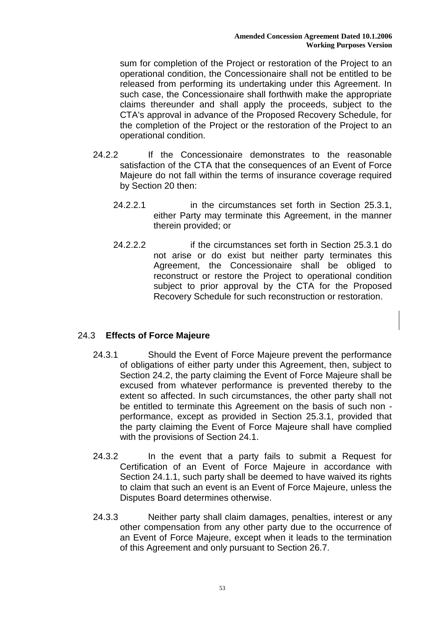sum for completion of the Project or restoration of the Project to an operational condition, the Concessionaire shall not be entitled to be released from performing its undertaking under this Agreement. In such case, the Concessionaire shall forthwith make the appropriate claims thereunder and shall apply the proceeds, subject to the CTA's approval in advance of the Proposed Recovery Schedule, for the completion of the Project or the restoration of the Project to an operational condition.

- 24.2.2 If the Concessionaire demonstrates to the reasonable satisfaction of the CTA that the consequences of an Event of Force Majeure do not fall within the terms of insurance coverage required by Section 20 then:
	- 24.2.2.1 in the circumstances set forth in Section 25.3.1, either Party may terminate this Agreement, in the manner therein provided; or
	- 24.2.2.2 if the circumstances set forth in Section 25.3.1 do not arise or do exist but neither party terminates this Agreement, the Concessionaire shall be obliged to reconstruct or restore the Project to operational condition subject to prior approval by the CTA for the Proposed Recovery Schedule for such reconstruction or restoration.

### 24.3 **Effects of Force Majeure**

- 24.3.1 Should the Event of Force Majeure prevent the performance of obligations of either party under this Agreement, then, subject to Section 24.2, the party claiming the Event of Force Majeure shall be excused from whatever performance is prevented thereby to the extent so affected. In such circumstances, the other party shall not be entitled to terminate this Agreement on the basis of such non performance, except as provided in Section 25.3.1, provided that the party claiming the Event of Force Majeure shall have complied with the provisions of Section 24.1.
- 24.3.2 In the event that a party fails to submit a Request for Certification of an Event of Force Majeure in accordance with Section 24.1.1, such party shall be deemed to have waived its rights to claim that such an event is an Event of Force Majeure, unless the Disputes Board determines otherwise.
- 24.3.3 Neither party shall claim damages, penalties, interest or any other compensation from any other party due to the occurrence of an Event of Force Majeure, except when it leads to the termination of this Agreement and only pursuant to Section 26.7.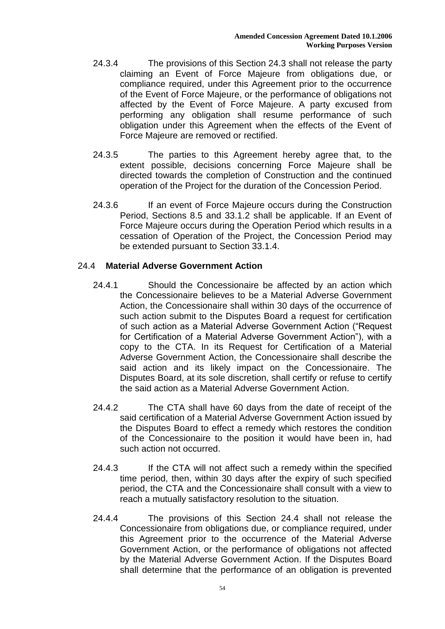- 24.3.4 The provisions of this Section 24.3 shall not release the party claiming an Event of Force Majeure from obligations due, or compliance required, under this Agreement prior to the occurrence of the Event of Force Majeure, or the performance of obligations not affected by the Event of Force Majeure. A party excused from performing any obligation shall resume performance of such obligation under this Agreement when the effects of the Event of Force Majeure are removed or rectified.
- 24.3.5 The parties to this Agreement hereby agree that, to the extent possible, decisions concerning Force Majeure shall be directed towards the completion of Construction and the continued operation of the Project for the duration of the Concession Period.
- 24.3.6 If an event of Force Majeure occurs during the Construction Period, Sections 8.5 and 33.1.2 shall be applicable. If an Event of Force Majeure occurs during the Operation Period which results in a cessation of Operation of the Project, the Concession Period may be extended pursuant to Section 33.1.4.

### 24.4 **Material Adverse Government Action**

- 24.4.1 Should the Concessionaire be affected by an action which the Concessionaire believes to be a Material Adverse Government Action, the Concessionaire shall within 30 days of the occurrence of such action submit to the Disputes Board a request for certification of such action as a Material Adverse Government Action ("Request for Certification of a Material Adverse Government Action"), with a copy to the CTA. In its Request for Certification of a Material Adverse Government Action, the Concessionaire shall describe the said action and its likely impact on the Concessionaire. The Disputes Board, at its sole discretion, shall certify or refuse to certify the said action as a Material Adverse Government Action.
- 24.4.2 The CTA shall have 60 days from the date of receipt of the said certification of a Material Adverse Government Action issued by the Disputes Board to effect a remedy which restores the condition of the Concessionaire to the position it would have been in, had such action not occurred.
- 24.4.3 If the CTA will not affect such a remedy within the specified time period, then, within 30 days after the expiry of such specified period, the CTA and the Concessionaire shall consult with a view to reach a mutually satisfactory resolution to the situation.
- 24.4.4 The provisions of this Section 24.4 shall not release the Concessionaire from obligations due, or compliance required, under this Agreement prior to the occurrence of the Material Adverse Government Action, or the performance of obligations not affected by the Material Adverse Government Action. If the Disputes Board shall determine that the performance of an obligation is prevented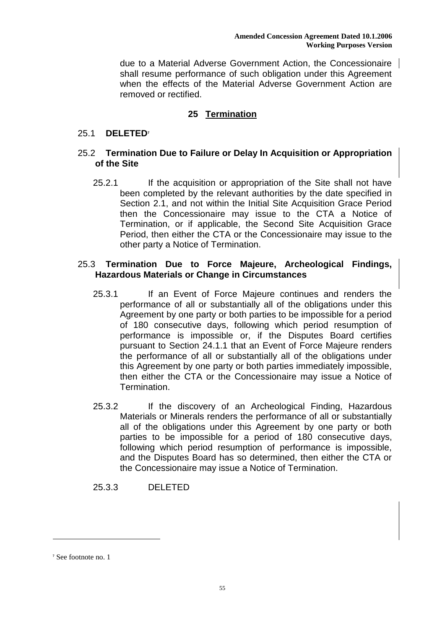due to a Material Adverse Government Action, the Concessionaire shall resume performance of such obligation under this Agreement when the effects of the Material Adverse Government Action are removed or rectified.

# **25 Termination**

### 25.1 **DELETED<sup>7</sup>**

### 25.2 **Termination Due to Failure or Delay In Acquisition or Appropriation of the Site**

25.2.1 If the acquisition or appropriation of the Site shall not have been completed by the relevant authorities by the date specified in Section 2.1, and not within the Initial Site Acquisition Grace Period then the Concessionaire may issue to the CTA a Notice of Termination, or if applicable, the Second Site Acquisition Grace Period, then either the CTA or the Concessionaire may issue to the other party a Notice of Termination.

### 25.3 **Termination Due to Force Majeure, Archeological Findings, Hazardous Materials or Change in Circumstances**

- 25.3.1 If an Event of Force Majeure continues and renders the performance of all or substantially all of the obligations under this Agreement by one party or both parties to be impossible for a period of 180 consecutive days, following which period resumption of performance is impossible or, if the Disputes Board certifies pursuant to Section 24.1.1 that an Event of Force Majeure renders the performance of all or substantially all of the obligations under this Agreement by one party or both parties immediately impossible, then either the CTA or the Concessionaire may issue a Notice of Termination.
- 25.3.2 If the discovery of an Archeological Finding, Hazardous Materials or Minerals renders the performance of all or substantially all of the obligations under this Agreement by one party or both parties to be impossible for a period of 180 consecutive days, following which period resumption of performance is impossible, and the Disputes Board has so determined, then either the CTA or the Concessionaire may issue a Notice of Termination.

### 25.3.3 DELETED

 $\overline{a}$ 

**<sup>7</sup>** See footnote no. 1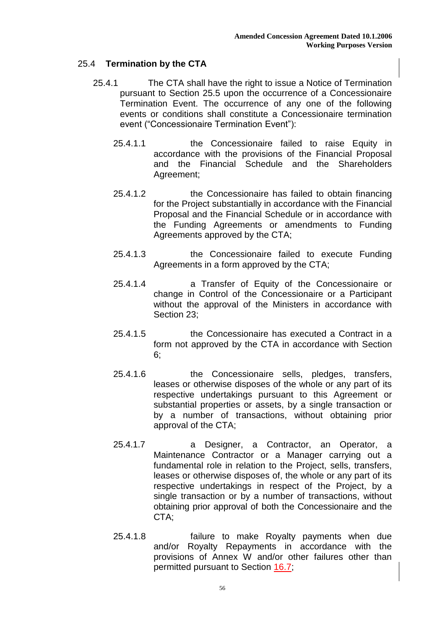# 25.4 **Termination by the CTA**

- 25.4.1 The CTA shall have the right to issue a Notice of Termination pursuant to Section 25.5 upon the occurrence of a Concessionaire Termination Event. The occurrence of any one of the following events or conditions shall constitute a Concessionaire termination event ("Concessionaire Termination Event"):
	- 25.4.1.1 the Concessionaire failed to raise Equity in accordance with the provisions of the Financial Proposal and the Financial Schedule and the Shareholders Agreement;
	- 25.4.1.2 the Concessionaire has failed to obtain financing for the Project substantially in accordance with the Financial Proposal and the Financial Schedule or in accordance with the Funding Agreements or amendments to Funding Agreements approved by the CTA;
	- 25.4.1.3 the Concessionaire failed to execute Funding Agreements in a form approved by the CTA;
	- 25.4.1.4 a Transfer of Equity of the Concessionaire or change in Control of the Concessionaire or a Participant without the approval of the Ministers in accordance with Section 23;
	- 25.4.1.5 the Concessionaire has executed a Contract in a form not approved by the CTA in accordance with Section 6;
	- 25.4.1.6 the Concessionaire sells, pledges, transfers, leases or otherwise disposes of the whole or any part of its respective undertakings pursuant to this Agreement or substantial properties or assets, by a single transaction or by a number of transactions, without obtaining prior approval of the CTA;
	- 25.4.1.7 a Designer, a Contractor, an Operator, a Maintenance Contractor or a Manager carrying out a fundamental role in relation to the Project, sells, transfers, leases or otherwise disposes of, the whole or any part of its respective undertakings in respect of the Project, by a single transaction or by a number of transactions, without obtaining prior approval of both the Concessionaire and the CTA;
	- 25.4.1.8 failure to make Royalty payments when due and/or Royalty Repayments in accordance with the provisions of Annex W and/or other failures other than permitted pursuant to Section 16.7;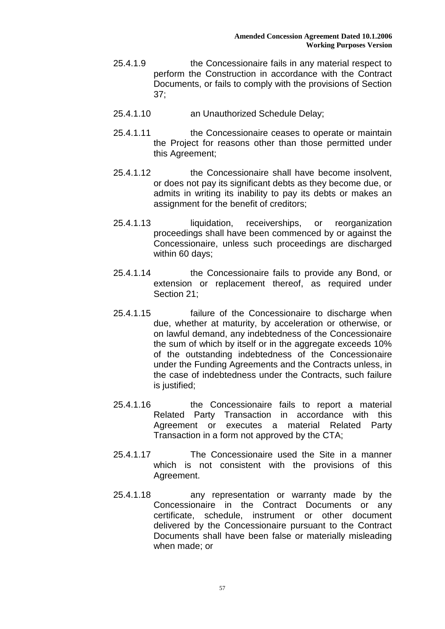- 25.4.1.9 the Concessionaire fails in any material respect to perform the Construction in accordance with the Contract Documents, or fails to comply with the provisions of Section 37;
- 25.4.1.10 an Unauthorized Schedule Delay;
- 25.4.1.11 the Concessionaire ceases to operate or maintain the Project for reasons other than those permitted under this Agreement;
- 25.4.1.12 the Concessionaire shall have become insolvent, or does not pay its significant debts as they become due, or admits in writing its inability to pay its debts or makes an assignment for the benefit of creditors;
- 25.4.1.13 liquidation, receiverships, or reorganization proceedings shall have been commenced by or against the Concessionaire, unless such proceedings are discharged within 60 days;
- 25.4.1.14 the Concessionaire fails to provide any Bond, or extension or replacement thereof, as required under Section 21;
- 25.4.1.15 failure of the Concessionaire to discharge when due, whether at maturity, by acceleration or otherwise, or on lawful demand, any indebtedness of the Concessionaire the sum of which by itself or in the aggregate exceeds 10% of the outstanding indebtedness of the Concessionaire under the Funding Agreements and the Contracts unless, in the case of indebtedness under the Contracts, such failure is justified;
- 25.4.1.16 the Concessionaire fails to report a material Related Party Transaction in accordance with this Agreement or executes a material Related Party Transaction in a form not approved by the CTA;
- 25.4.1.17 The Concessionaire used the Site in a manner which is not consistent with the provisions of this Agreement.
- 25.4.1.18 any representation or warranty made by the Concessionaire in the Contract Documents or any certificate, schedule, instrument or other document delivered by the Concessionaire pursuant to the Contract Documents shall have been false or materially misleading when made; or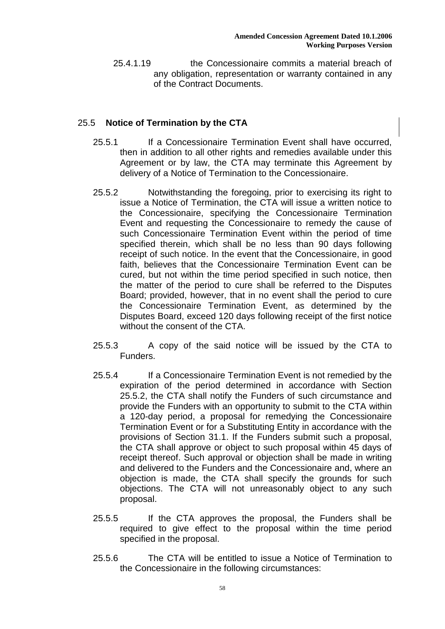25.4.1.19 the Concessionaire commits a material breach of any obligation, representation or warranty contained in any of the Contract Documents.

# 25.5 **Notice of Termination by the CTA**

- 25.5.1 If a Concessionaire Termination Event shall have occurred, then in addition to all other rights and remedies available under this Agreement or by law, the CTA may terminate this Agreement by delivery of a Notice of Termination to the Concessionaire.
- 25.5.2 Notwithstanding the foregoing, prior to exercising its right to issue a Notice of Termination, the CTA will issue a written notice to the Concessionaire, specifying the Concessionaire Termination Event and requesting the Concessionaire to remedy the cause of such Concessionaire Termination Event within the period of time specified therein, which shall be no less than 90 days following receipt of such notice. In the event that the Concessionaire, in good faith, believes that the Concessionaire Termination Event can be cured, but not within the time period specified in such notice, then the matter of the period to cure shall be referred to the Disputes Board; provided, however, that in no event shall the period to cure the Concessionaire Termination Event, as determined by the Disputes Board, exceed 120 days following receipt of the first notice without the consent of the CTA.
- 25.5.3 A copy of the said notice will be issued by the CTA to Funders.
- 25.5.4 If a Concessionaire Termination Event is not remedied by the expiration of the period determined in accordance with Section 25.5.2, the CTA shall notify the Funders of such circumstance and provide the Funders with an opportunity to submit to the CTA within a 120-day period, a proposal for remedying the Concessionaire Termination Event or for a Substituting Entity in accordance with the provisions of Section 31.1. If the Funders submit such a proposal, the CTA shall approve or object to such proposal within 45 days of receipt thereof. Such approval or objection shall be made in writing and delivered to the Funders and the Concessionaire and, where an objection is made, the CTA shall specify the grounds for such objections. The CTA will not unreasonably object to any such proposal.
- 25.5.5 If the CTA approves the proposal, the Funders shall be required to give effect to the proposal within the time period specified in the proposal.
- 25.5.6 The CTA will be entitled to issue a Notice of Termination to the Concessionaire in the following circumstances: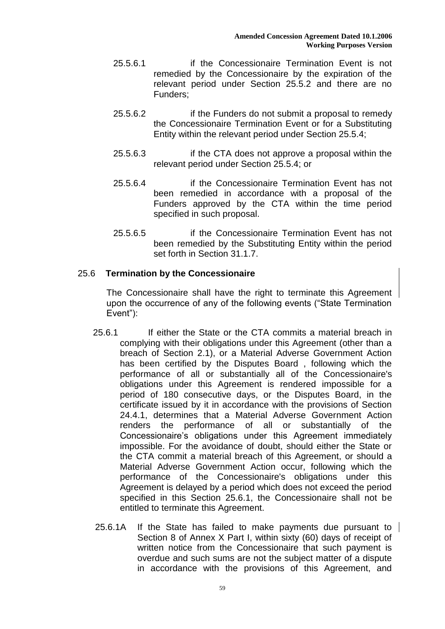- 25.5.6.1 if the Concessionaire Termination Event is not remedied by the Concessionaire by the expiration of the relevant period under Section 25.5.2 and there are no Funders;
- 25.5.6.2 if the Funders do not submit a proposal to remedy the Concessionaire Termination Event or for a Substituting Entity within the relevant period under Section 25.5.4;
- 25.5.6.3 if the CTA does not approve a proposal within the relevant period under Section 25.5.4; or
- 25.5.6.4 if the Concessionaire Termination Event has not been remedied in accordance with a proposal of the Funders approved by the CTA within the time period specified in such proposal.
- 25.5.6.5 if the Concessionaire Termination Event has not been remedied by the Substituting Entity within the period set forth in Section 31.1.7.

# 25.6 **Termination by the Concessionaire**

The Concessionaire shall have the right to terminate this Agreement upon the occurrence of any of the following events ("State Termination Event"):

- 25.6.1 If either the State or the CTA commits a material breach in complying with their obligations under this Agreement (other than a breach of Section 2.1), or a Material Adverse Government Action has been certified by the Disputes Board , following which the performance of all or substantially all of the Concessionaire's obligations under this Agreement is rendered impossible for a period of 180 consecutive days, or the Disputes Board, in the certificate issued by it in accordance with the provisions of Section 24.4.1, determines that a Material Adverse Government Action renders the performance of all or substantially of the Concessionaire's obligations under this Agreement immediately impossible. For the avoidance of doubt, should either the State or the CTA commit a material breach of this Agreement, or should a Material Adverse Government Action occur, following which the performance of the Concessionaire's obligations under this Agreement is delayed by a period which does not exceed the period specified in this Section 25.6.1, the Concessionaire shall not be entitled to terminate this Agreement.
- 25.6.1A If the State has failed to make payments due pursuant to Section 8 of Annex X Part I, within sixty (60) days of receipt of written notice from the Concessionaire that such payment is overdue and such sums are not the subject matter of a dispute in accordance with the provisions of this Agreement, and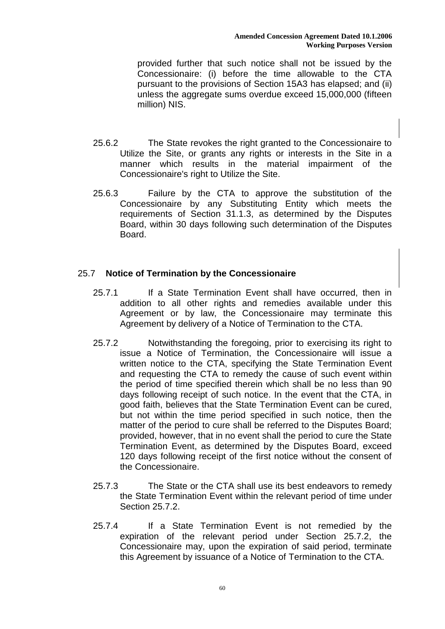provided further that such notice shall not be issued by the Concessionaire: (i) before the time allowable to the CTA pursuant to the provisions of Section 15A3 has elapsed; and (ii) unless the aggregate sums overdue exceed 15,000,000 (fifteen million) NIS.

- 25.6.2 The State revokes the right granted to the Concessionaire to Utilize the Site, or grants any rights or interests in the Site in a manner which results in the material impairment of the Concessionaire's right to Utilize the Site.
- 25.6.3 Failure by the CTA to approve the substitution of the Concessionaire by any Substituting Entity which meets the requirements of Section 31.1.3, as determined by the Disputes Board, within 30 days following such determination of the Disputes Board.

# 25.7 **Notice of Termination by the Concessionaire**

- 25.7.1 If a State Termination Event shall have occurred, then in addition to all other rights and remedies available under this Agreement or by law, the Concessionaire may terminate this Agreement by delivery of a Notice of Termination to the CTA.
- 25.7.2 Notwithstanding the foregoing, prior to exercising its right to issue a Notice of Termination, the Concessionaire will issue a written notice to the CTA, specifying the State Termination Event and requesting the CTA to remedy the cause of such event within the period of time specified therein which shall be no less than 90 days following receipt of such notice. In the event that the CTA, in good faith, believes that the State Termination Event can be cured, but not within the time period specified in such notice, then the matter of the period to cure shall be referred to the Disputes Board; provided, however, that in no event shall the period to cure the State Termination Event, as determined by the Disputes Board, exceed 120 days following receipt of the first notice without the consent of the Concessionaire.
- 25.7.3 The State or the CTA shall use its best endeavors to remedy the State Termination Event within the relevant period of time under Section 25.7.2.
- 25.7.4 If a State Termination Event is not remedied by the expiration of the relevant period under Section 25.7.2, the Concessionaire may, upon the expiration of said period, terminate this Agreement by issuance of a Notice of Termination to the CTA.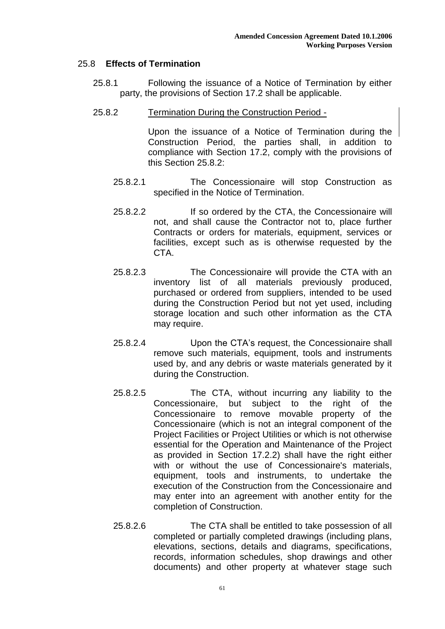#### 25.8 **Effects of Termination**

- 25.8.1 Following the issuance of a Notice of Termination by either party, the provisions of Section 17.2 shall be applicable.
- 25.8.2 Termination During the Construction Period -

Upon the issuance of a Notice of Termination during the Construction Period, the parties shall, in addition to compliance with Section 17.2, comply with the provisions of this Section 25.8.2:

- 25.8.2.1 The Concessionaire will stop Construction as specified in the Notice of Termination.
- 25.8.2.2 If so ordered by the CTA, the Concessionaire will not, and shall cause the Contractor not to, place further Contracts or orders for materials, equipment, services or facilities, except such as is otherwise requested by the CTA.
- 25.8.2.3 The Concessionaire will provide the CTA with an inventory list of all materials previously produced, purchased or ordered from suppliers, intended to be used during the Construction Period but not yet used, including storage location and such other information as the CTA may require.
- 25.8.2.4 Upon the CTA's request, the Concessionaire shall remove such materials, equipment, tools and instruments used by, and any debris or waste materials generated by it during the Construction.
- 25.8.2.5 The CTA, without incurring any liability to the Concessionaire, but subject to the right of the Concessionaire to remove movable property of the Concessionaire (which is not an integral component of the Project Facilities or Project Utilities or which is not otherwise essential for the Operation and Maintenance of the Project as provided in Section 17.2.2) shall have the right either with or without the use of Concessionaire's materials, equipment, tools and instruments, to undertake the execution of the Construction from the Concessionaire and may enter into an agreement with another entity for the completion of Construction.
- 25.8.2.6 The CTA shall be entitled to take possession of all completed or partially completed drawings (including plans, elevations, sections, details and diagrams, specifications, records, information schedules, shop drawings and other documents) and other property at whatever stage such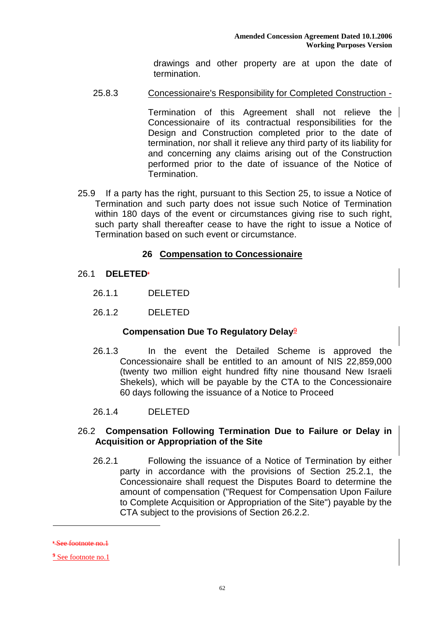drawings and other property are at upon the date of termination.

25.8.3 Concessionaire's Responsibility for Completed Construction -

Termination of this Agreement shall not relieve the Concessionaire of its contractual responsibilities for the Design and Construction completed prior to the date of termination, nor shall it relieve any third party of its liability for and concerning any claims arising out of the Construction performed prior to the date of issuance of the Notice of Termination.

25.9 If a party has the right, pursuant to this Section 25, to issue a Notice of Termination and such party does not issue such Notice of Termination within 180 days of the event or circumstances giving rise to such right, such party shall thereafter cease to have the right to issue a Notice of Termination based on such event or circumstance.

### **26 Compensation to Concessionaire**

- 26.1 **DELETED<sup>8</sup>**
	- 26.1.1 DELETED
	- 26.1.2 DELETED

#### **Compensation Due To Regulatory Delay**9

- 26.1.3 In the event the Detailed Scheme is approved the Concessionaire shall be entitled to an amount of NIS 22,859,000 (twenty two million eight hundred fifty nine thousand New Israeli Shekels), which will be payable by the CTA to the Concessionaire 60 days following the issuance of a Notice to Proceed
- 26.1.4 DELETED

### 26.2 **Compensation Following Termination Due to Failure or Delay in Acquisition or Appropriation of the Site**

26.2.1 Following the issuance of a Notice of Termination by either party in accordance with the provisions of Section 25.2.1, the Concessionaire shall request the Disputes Board to determine the amount of compensation ("Request for Compensation Upon Failure to Complete Acquisition or Appropriation of the Site") payable by the CTA subject to the provisions of Section 26.2.2.

 $\overline{a}$ 

**<sup>8</sup>** See footnote no.1

**<sup>9</sup>** See footnote no.1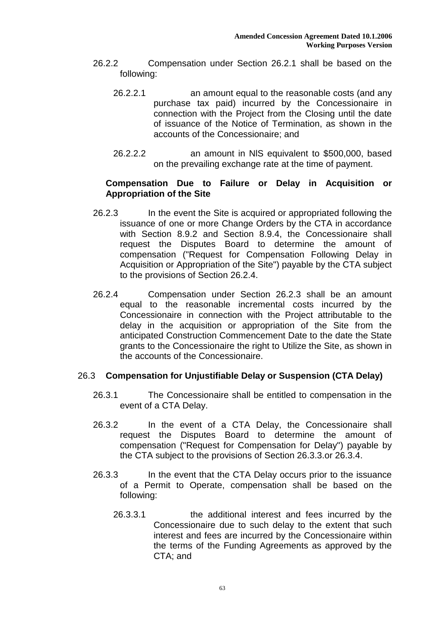- 26.2.2 Compensation under Section 26.2.1 shall be based on the following:
	- 26.2.2.1 an amount equal to the reasonable costs (and any purchase tax paid) incurred by the Concessionaire in connection with the Project from the Closing until the date of issuance of the Notice of Termination, as shown in the accounts of the Concessionaire; and
	- 26.2.2.2 an amount in NlS equivalent to \$500,000, based on the prevailing exchange rate at the time of payment.

### **Compensation Due to Failure or Delay in Acquisition or Appropriation of the Site**

- 26.2.3 In the event the Site is acquired or appropriated following the issuance of one or more Change Orders by the CTA in accordance with Section 8.9.2 and Section 8.9.4, the Concessionaire shall request the Disputes Board to determine the amount of compensation ("Request for Compensation Following Delay in Acquisition or Appropriation of the Site") payable by the CTA subject to the provisions of Section 26.2.4.
- 26.2.4 Compensation under Section 26.2.3 shall be an amount equal to the reasonable incremental costs incurred by the Concessionaire in connection with the Project attributable to the delay in the acquisition or appropriation of the Site from the anticipated Construction Commencement Date to the date the State grants to the Concessionaire the right to Utilize the Site, as shown in the accounts of the Concessionaire.

### 26.3 **Compensation for Unjustifiable Delay or Suspension (CTA Delay)**

- 26.3.1 The Concessionaire shall be entitled to compensation in the event of a CTA Delay.
- 26.3.2 In the event of a CTA Delay, the Concessionaire shall request the Disputes Board to determine the amount of compensation ("Request for Compensation for Delay") payable by the CTA subject to the provisions of Section 26.3.3.or 26.3.4.
- 26.3.3 In the event that the CTA Delay occurs prior to the issuance of a Permit to Operate, compensation shall be based on the following:
	- 26.3.3.1 the additional interest and fees incurred by the Concessionaire due to such delay to the extent that such interest and fees are incurred by the Concessionaire within the terms of the Funding Agreements as approved by the CTA; and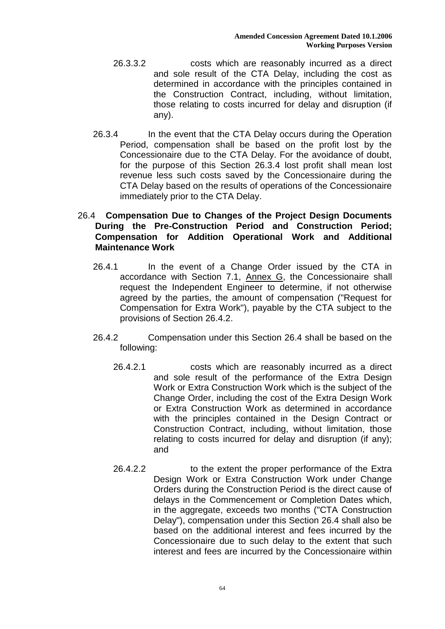- 26.3.3.2 costs which are reasonably incurred as a direct and sole result of the CTA Delay, including the cost as determined in accordance with the principles contained in the Construction Contract, including, without limitation, those relating to costs incurred for delay and disruption (if any).
- 26.3.4 In the event that the CTA Delay occurs during the Operation Period, compensation shall be based on the profit lost by the Concessionaire due to the CTA Delay. For the avoidance of doubt, for the purpose of this Section 26.3.4 lost profit shall mean lost revenue less such costs saved by the Concessionaire during the CTA Delay based on the results of operations of the Concessionaire immediately prior to the CTA Delay.

### 26.4 **Compensation Due to Changes of the Project Design Documents During the Pre-Construction Period and Construction Period; Compensation for Addition Operational Work and Additional Maintenance Work**

- 26.4.1 In the event of a Change Order issued by the CTA in accordance with Section 7.1, Annex G, the Concessionaire shall request the Independent Engineer to determine, if not otherwise agreed by the parties, the amount of compensation ("Request for Compensation for Extra Work"), payable by the CTA subject to the provisions of Section 26.4.2.
- 26.4.2 Compensation under this Section 26.4 shall be based on the following:
	- 26.4.2.1 costs which are reasonably incurred as a direct and sole result of the performance of the Extra Design Work or Extra Construction Work which is the subject of the Change Order, including the cost of the Extra Design Work or Extra Construction Work as determined in accordance with the principles contained in the Design Contract or Construction Contract, including, without limitation, those relating to costs incurred for delay and disruption (if any); and
	- 26.4.2.2 to the extent the proper performance of the Extra Design Work or Extra Construction Work under Change Orders during the Construction Period is the direct cause of delays in the Commencement or Completion Dates which, in the aggregate, exceeds two months ("CTA Construction Delay"), compensation under this Section 26.4 shall also be based on the additional interest and fees incurred by the Concessionaire due to such delay to the extent that such interest and fees are incurred by the Concessionaire within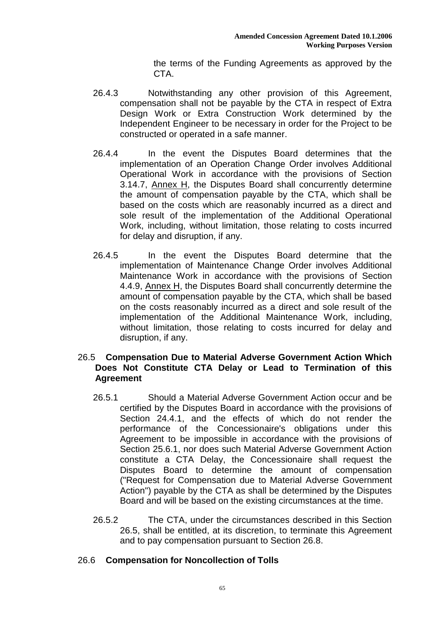the terms of the Funding Agreements as approved by the CTA.

- 26.4.3 Notwithstanding any other provision of this Agreement, compensation shall not be payable by the CTA in respect of Extra Design Work or Extra Construction Work determined by the Independent Engineer to be necessary in order for the Project to be constructed or operated in a safe manner.
- 26.4.4 In the event the Disputes Board determines that the implementation of an Operation Change Order involves Additional Operational Work in accordance with the provisions of Section 3.14.7, Annex H, the Disputes Board shall concurrently determine the amount of compensation payable by the CTA, which shall be based on the costs which are reasonably incurred as a direct and sole result of the implementation of the Additional Operational Work, including, without limitation, those relating to costs incurred for delay and disruption, if any.
- 26.4.5 In the event the Disputes Board determine that the implementation of Maintenance Change Order involves Additional Maintenance Work in accordance with the provisions of Section 4.4.9, Annex H, the Disputes Board shall concurrently determine the amount of compensation payable by the CTA, which shall be based on the costs reasonably incurred as a direct and sole result of the implementation of the Additional Maintenance Work, including, without limitation, those relating to costs incurred for delay and disruption, if any.

# 26.5 **Compensation Due to Material Adverse Government Action Which Does Not Constitute CTA Delay or Lead to Termination of this Agreement**

- 26.5.1 Should a Material Adverse Government Action occur and be certified by the Disputes Board in accordance with the provisions of Section 24.4.1, and the effects of which do not render the performance of the Concessionaire's obligations under this Agreement to be impossible in accordance with the provisions of Section 25.6.1, nor does such Material Adverse Government Action constitute a CTA Delay, the Concessionaire shall request the Disputes Board to determine the amount of compensation ("Request for Compensation due to Material Adverse Government Action") payable by the CTA as shall be determined by the Disputes Board and will be based on the existing circumstances at the time.
- 26.5.2 The CTA, under the circumstances described in this Section 26.5, shall be entitled, at its discretion, to terminate this Agreement and to pay compensation pursuant to Section 26.8.

### 26.6 **Compensation for Noncollection of Tolls**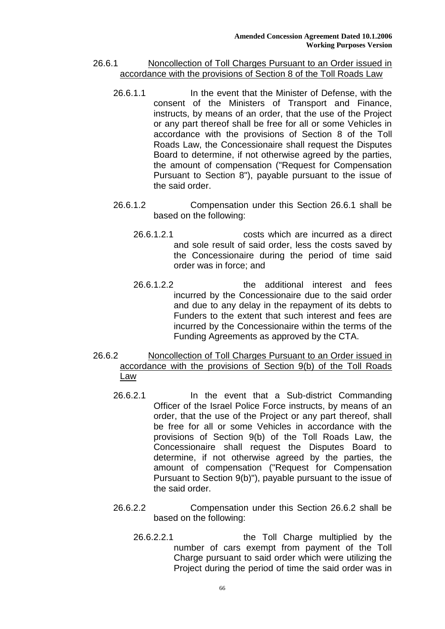- 26.6.1 Noncollection of Toll Charges Pursuant to an Order issued in accordance with the provisions of Section 8 of the Toll Roads Law
	- 26.6.1.1 In the event that the Minister of Defense, with the consent of the Ministers of Transport and Finance, instructs, by means of an order, that the use of the Project or any part thereof shall be free for all or some Vehicles in accordance with the provisions of Section 8 of the Toll Roads Law, the Concessionaire shall request the Disputes Board to determine, if not otherwise agreed by the parties, the amount of compensation ("Request for Compensation Pursuant to Section 8"), payable pursuant to the issue of the said order.
	- 26.6.1.2 Compensation under this Section 26.6.1 shall be based on the following:
		- 26.6.1.2.1 costs which are incurred as a direct and sole result of said order, less the costs saved by the Concessionaire during the period of time said order was in force; and
		- 26.6.1.2.2 the additional interest and fees incurred by the Concessionaire due to the said order and due to any delay in the repayment of its debts to Funders to the extent that such interest and fees are incurred by the Concessionaire within the terms of the Funding Agreements as approved by the CTA.
- 26.6.2 Noncollection of Toll Charges Pursuant to an Order issued in accordance with the provisions of Section 9(b) of the Toll Roads Law
	- 26.6.2.1 In the event that a Sub-district Commanding Officer of the Israel Police Force instructs, by means of an order, that the use of the Project or any part thereof, shall be free for all or some Vehicles in accordance with the provisions of Section 9(b) of the Toll Roads Law, the Concessionaire shall request the Disputes Board to determine, if not otherwise agreed by the parties, the amount of compensation ("Request for Compensation Pursuant to Section 9(b)"), payable pursuant to the issue of the said order.
	- 26.6.2.2 Compensation under this Section 26.6.2 shall be based on the following:
		- 26.6.2.2.1 the Toll Charge multiplied by the number of cars exempt from payment of the Toll Charge pursuant to said order which were utilizing the Project during the period of time the said order was in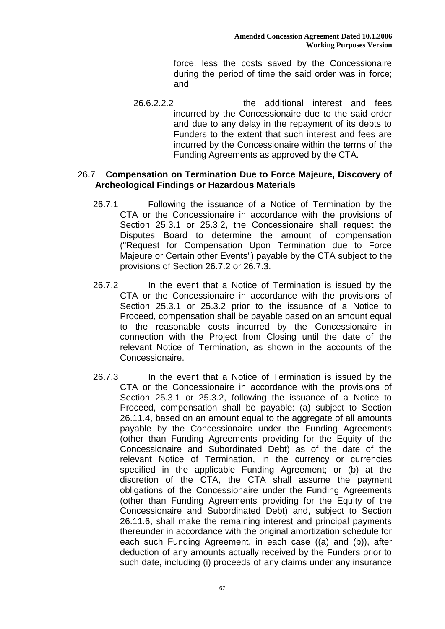force, less the costs saved by the Concessionaire during the period of time the said order was in force; and

26.6.2.2.2 the additional interest and fees incurred by the Concessionaire due to the said order and due to any delay in the repayment of its debts to Funders to the extent that such interest and fees are incurred by the Concessionaire within the terms of the Funding Agreements as approved by the CTA.

#### 26.7 **Compensation on Termination Due to Force Majeure, Discovery of Archeological Findings or Hazardous Materials**

- 26.7.1 Following the issuance of a Notice of Termination by the CTA or the Concessionaire in accordance with the provisions of Section 25.3.1 or 25.3.2, the Concessionaire shall request the Disputes Board to determine the amount of compensation ("Request for Compensation Upon Termination due to Force Majeure or Certain other Events") payable by the CTA subject to the provisions of Section 26.7.2 or 26.7.3.
- 26.7.2 In the event that a Notice of Termination is issued by the CTA or the Concessionaire in accordance with the provisions of Section 25.3.1 or 25.3.2 prior to the issuance of a Notice to Proceed, compensation shall be payable based on an amount equal to the reasonable costs incurred by the Concessionaire in connection with the Project from Closing until the date of the relevant Notice of Termination, as shown in the accounts of the Concessionaire.
- 26.7.3 In the event that a Notice of Termination is issued by the CTA or the Concessionaire in accordance with the provisions of Section 25.3.1 or 25.3.2, following the issuance of a Notice to Proceed, compensation shall be payable: (a) subject to Section 26.11.4, based on an amount equal to the aggregate of all amounts payable by the Concessionaire under the Funding Agreements (other than Funding Agreements providing for the Equity of the Concessionaire and Subordinated Debt) as of the date of the relevant Notice of Termination, in the currency or currencies specified in the applicable Funding Agreement; or (b) at the discretion of the CTA, the CTA shall assume the payment obligations of the Concessionaire under the Funding Agreements (other than Funding Agreements providing for the Equity of the Concessionaire and Subordinated Debt) and, subject to Section 26.11.6, shall make the remaining interest and principal payments thereunder in accordance with the original amortization schedule for each such Funding Agreement, in each case ((a) and (b)), after deduction of any amounts actually received by the Funders prior to such date, including (i) proceeds of any claims under any insurance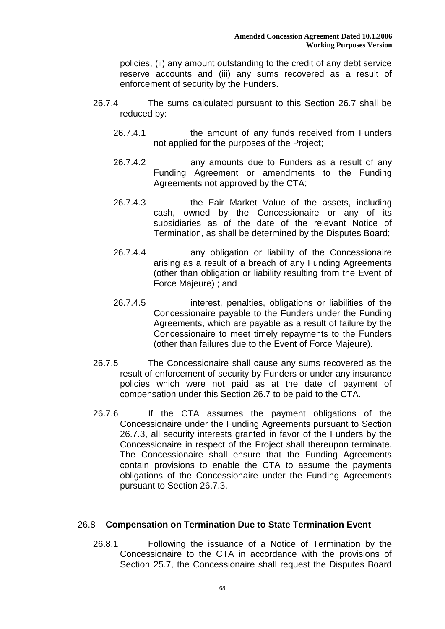policies, (ii) any amount outstanding to the credit of any debt service reserve accounts and (iii) any sums recovered as a result of enforcement of security by the Funders.

- 26.7.4 The sums calculated pursuant to this Section 26.7 shall be reduced by:
	- 26.7.4.1 the amount of any funds received from Funders not applied for the purposes of the Project;
	- 26.7.4.2 any amounts due to Funders as a result of any Funding Agreement or amendments to the Funding Agreements not approved by the CTA;
	- 26.7.4.3 the Fair Market Value of the assets, including cash, owned by the Concessionaire or any of its subsidiaries as of the date of the relevant Notice of Termination, as shall be determined by the Disputes Board;
	- 26.7.4.4 any obligation or liability of the Concessionaire arising as a result of a breach of any Funding Agreements (other than obligation or liability resulting from the Event of Force Majeure) ; and
	- 26.7.4.5 interest, penalties, obligations or liabilities of the Concessionaire payable to the Funders under the Funding Agreements, which are payable as a result of failure by the Concessionaire to meet timely repayments to the Funders (other than failures due to the Event of Force Majeure).
- 26.7.5 The Concessionaire shall cause any sums recovered as the result of enforcement of security by Funders or under any insurance policies which were not paid as at the date of payment of compensation under this Section 26.7 to be paid to the CTA.
- 26.7.6 If the CTA assumes the payment obligations of the Concessionaire under the Funding Agreements pursuant to Section 26.7.3, all security interests granted in favor of the Funders by the Concessionaire in respect of the Project shall thereupon terminate. The Concessionaire shall ensure that the Funding Agreements contain provisions to enable the CTA to assume the payments obligations of the Concessionaire under the Funding Agreements pursuant to Section 26.7.3.

### 26.8 **Compensation on Termination Due to State Termination Event**

26.8.1 Following the issuance of a Notice of Termination by the Concessionaire to the CTA in accordance with the provisions of Section 25.7, the Concessionaire shall request the Disputes Board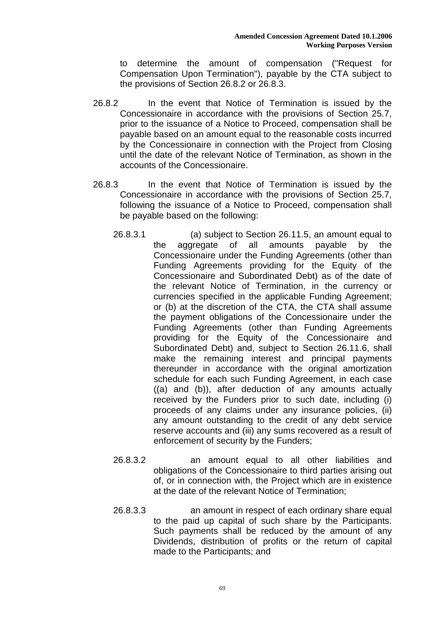to determine the amount of compensation ("Request for Compensation Upon Termination"), payable by the CTA subject to the provisions of Section 26.8.2 or 26.8.3.

- 26.8.2 In the event that Notice of Termination is issued by the Concessionaire in accordance with the provisions of Section 25.7, prior to the issuance of a Notice to Proceed, compensation shall be payable based on an amount equal to the reasonable costs incurred by the Concessionaire in connection with the Project from Closing until the date of the relevant Notice of Termination, as shown in the accounts of the Concessionaire.
- 26.8.3 In the event that Notice of Termination is issued by the Concessionaire in accordance with the provisions of Section 25.7, following the issuance of a Notice to Proceed, compensation shall be payable based on the following:
	- 26.8.3.1 (a) subject to Section 26.11.5, an amount equal to the aggregate of all amounts payable by the Concessionaire under the Funding Agreements (other than Funding Agreements providing for the Equity of the Concessionaire and Subordinated Debt) as of the date of the relevant Notice of Termination, in the currency or currencies specified in the applicable Funding Agreement; or (b) at the discretion of the CTA, the CTA shall assume the payment obligations of the Concessionaire under the Funding Agreements (other than Funding Agreements providing for the Equity of the Concessionaire and Subordinated Debt) and, subject to Section 26.11.6, shall make the remaining interest and principal payments thereunder in accordance with the original amortization schedule for each such Funding Agreement, in each case ((a) and (b)), after deduction of any amounts actually received by the Funders prior to such date, including (i) proceeds of any claims under any insurance policies, (ii) any amount outstanding to the credit of any debt service reserve accounts and (iii) any sums recovered as a result of enforcement of security by the Funders;
	- 26.8.3.2 an amount equal to all other liabilities and obligations of the Concessionaire to third parties arising out of, or in connection with, the Project which are in existence at the date of the relevant Notice of Termination;
	- 26.8.3.3 an amount in respect of each ordinary share equal to the paid up capital of such share by the Participants. Such payments shall be reduced by the amount of any Dividends, distribution of profits or the return of capital made to the Participants; and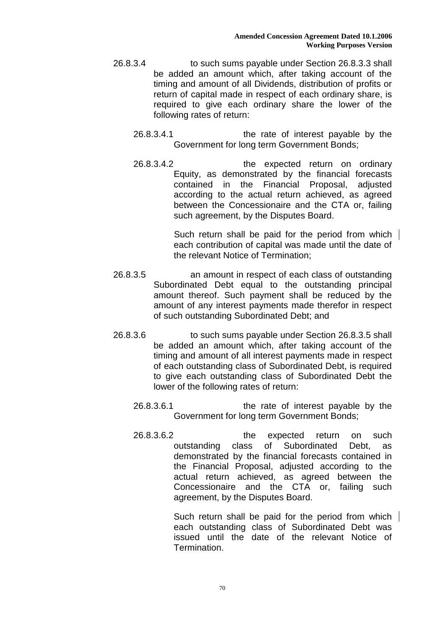- 26.8.3.4 to such sums payable under Section 26.8.3.3 shall be added an amount which, after taking account of the timing and amount of all Dividends, distribution of profits or return of capital made in respect of each ordinary share, is required to give each ordinary share the lower of the following rates of return:
	- 26.8.3.4.1 the rate of interest payable by the Government for long term Government Bonds;
	- 26.8.3.4.2 the expected return on ordinary Equity, as demonstrated by the financial forecasts contained in the Financial Proposal, adjusted according to the actual return achieved, as agreed between the Concessionaire and the CTA or, failing such agreement, by the Disputes Board.

Such return shall be paid for the period from which | each contribution of capital was made until the date of the relevant Notice of Termination;

- 26.8.3.5 an amount in respect of each class of outstanding Subordinated Debt equal to the outstanding principal amount thereof. Such payment shall be reduced by the amount of any interest payments made therefor in respect of such outstanding Subordinated Debt; and
- 26.8.3.6 to such sums payable under Section 26.8.3.5 shall be added an amount which, after taking account of the timing and amount of all interest payments made in respect of each outstanding class of Subordinated Debt, is required to give each outstanding class of Subordinated Debt the lower of the following rates of return:
	- 26.8.3.6.1 the rate of interest payable by the Government for long term Government Bonds;
	- 26.8.3.6.2 the expected return on such outstanding class of Subordinated Debt, as demonstrated by the financial forecasts contained in the Financial Proposal, adjusted according to the actual return achieved, as agreed between the Concessionaire and the CTA or, failing such agreement, by the Disputes Board.

Such return shall be paid for the period from which | each outstanding class of Subordinated Debt was issued until the date of the relevant Notice of Termination.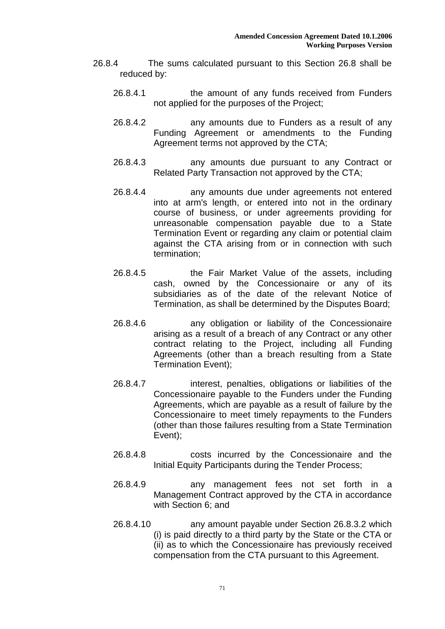- 26.8.4 The sums calculated pursuant to this Section 26.8 shall be reduced by:
	- 26.8.4.1 the amount of any funds received from Funders not applied for the purposes of the Project;
	- 26.8.4.2 any amounts due to Funders as a result of any Funding Agreement or amendments to the Funding Agreement terms not approved by the CTA;
	- 26.8.4.3 any amounts due pursuant to any Contract or Related Party Transaction not approved by the CTA;
	- 26.8.4.4 any amounts due under agreements not entered into at arm's length, or entered into not in the ordinary course of business, or under agreements providing for unreasonable compensation payable due to a State Termination Event or regarding any claim or potential claim against the CTA arising from or in connection with such termination;
	- 26.8.4.5 the Fair Market Value of the assets, including cash, owned by the Concessionaire or any of its subsidiaries as of the date of the relevant Notice of Termination, as shall be determined by the Disputes Board;
	- 26.8.4.6 any obligation or liability of the Concessionaire arising as a result of a breach of any Contract or any other contract relating to the Project, including all Funding Agreements (other than a breach resulting from a State Termination Event);
	- 26.8.4.7 interest, penalties, obligations or liabilities of the Concessionaire payable to the Funders under the Funding Agreements, which are payable as a result of failure by the Concessionaire to meet timely repayments to the Funders (other than those failures resulting from a State Termination Event);
	- 26.8.4.8 costs incurred by the Concessionaire and the Initial Equity Participants during the Tender Process;
	- 26.8.4.9 any management fees not set forth in a Management Contract approved by the CTA in accordance with Section 6; and
	- 26.8.4.10 any amount payable under Section 26.8.3.2 which (i) is paid directly to a third party by the State or the CTA or (ii) as to which the Concessionaire has previously received compensation from the CTA pursuant to this Agreement.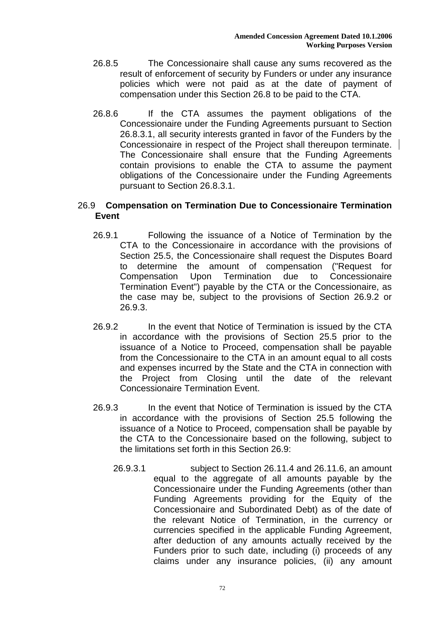- 26.8.5 The Concessionaire shall cause any sums recovered as the result of enforcement of security by Funders or under any insurance policies which were not paid as at the date of payment of compensation under this Section 26.8 to be paid to the CTA.
- 26.8.6 If the CTA assumes the payment obligations of the Concessionaire under the Funding Agreements pursuant to Section 26.8.3.1, all security interests granted in favor of the Funders by the Concessionaire in respect of the Project shall thereupon terminate. The Concessionaire shall ensure that the Funding Agreements contain provisions to enable the CTA to assume the payment obligations of the Concessionaire under the Funding Agreements pursuant to Section 26.8.3.1.

#### 26.9 **Compensation on Termination Due to Concessionaire Termination Event**

- 26.9.1 Following the issuance of a Notice of Termination by the CTA to the Concessionaire in accordance with the provisions of Section 25.5, the Concessionaire shall request the Disputes Board to determine the amount of compensation ("Request for Compensation Upon Termination due to Concessionaire Termination Event") payable by the CTA or the Concessionaire, as the case may be, subject to the provisions of Section 26.9.2 or 26.9.3.
- 26.9.2 In the event that Notice of Termination is issued by the CTA in accordance with the provisions of Section 25.5 prior to the issuance of a Notice to Proceed, compensation shall be payable from the Concessionaire to the CTA in an amount equal to all costs and expenses incurred by the State and the CTA in connection with the Project from Closing until the date of the relevant Concessionaire Termination Event.
- 26.9.3 In the event that Notice of Termination is issued by the CTA in accordance with the provisions of Section 25.5 following the issuance of a Notice to Proceed, compensation shall be payable by the CTA to the Concessionaire based on the following, subject to the limitations set forth in this Section 26.9:
	- 26.9.3.1 subject to Section 26.11.4 and 26.11.6, an amount equal to the aggregate of all amounts payable by the Concessionaire under the Funding Agreements (other than Funding Agreements providing for the Equity of the Concessionaire and Subordinated Debt) as of the date of the relevant Notice of Termination, in the currency or currencies specified in the applicable Funding Agreement, after deduction of any amounts actually received by the Funders prior to such date, including (i) proceeds of any claims under any insurance policies, (ii) any amount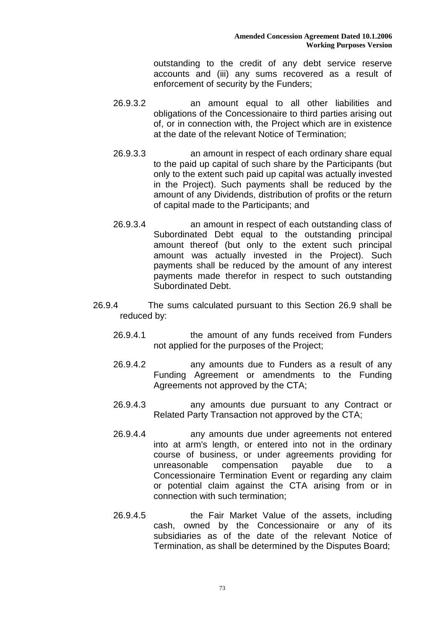outstanding to the credit of any debt service reserve accounts and (iii) any sums recovered as a result of enforcement of security by the Funders;

- 26.9.3.2 an amount equal to all other liabilities and obligations of the Concessionaire to third parties arising out of, or in connection with, the Project which are in existence at the date of the relevant Notice of Termination;
- 26.9.3.3 an amount in respect of each ordinary share equal to the paid up capital of such share by the Participants (but only to the extent such paid up capital was actually invested in the Project). Such payments shall be reduced by the amount of any Dividends, distribution of profits or the return of capital made to the Participants; and
- 26.9.3.4 an amount in respect of each outstanding class of Subordinated Debt equal to the outstanding principal amount thereof (but only to the extent such principal amount was actually invested in the Project). Such payments shall be reduced by the amount of any interest payments made therefor in respect to such outstanding Subordinated Debt.
- 26.9.4 The sums calculated pursuant to this Section 26.9 shall be reduced by:
	- 26.9.4.1 the amount of any funds received from Funders not applied for the purposes of the Project;
	- 26.9.4.2 any amounts due to Funders as a result of any Funding Agreement or amendments to the Funding Agreements not approved by the CTA;
	- 26.9.4.3 any amounts due pursuant to any Contract or Related Party Transaction not approved by the CTA;
	- 26.9.4.4 any amounts due under agreements not entered into at arm's length, or entered into not in the ordinary course of business, or under agreements providing for unreasonable compensation payable due to a Concessionaire Termination Event or regarding any claim or potential claim against the CTA arising from or in connection with such termination;
	- 26.9.4.5 the Fair Market Value of the assets, including cash, owned by the Concessionaire or any of its subsidiaries as of the date of the relevant Notice of Termination, as shall be determined by the Disputes Board;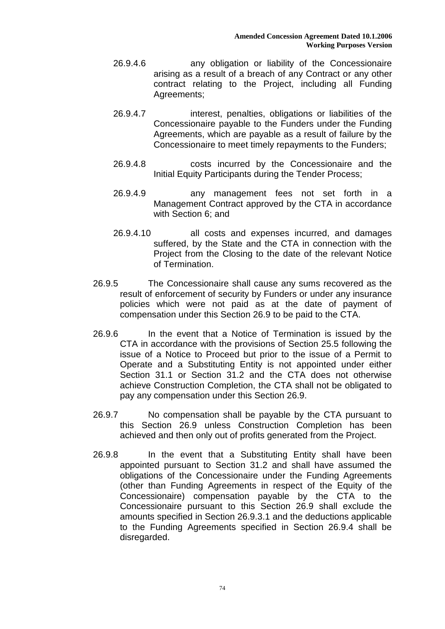- 26.9.4.6 any obligation or liability of the Concessionaire arising as a result of a breach of any Contract or any other contract relating to the Project, including all Funding Agreements;
- 26.9.4.7 interest, penalties, obligations or liabilities of the Concessionaire payable to the Funders under the Funding Agreements, which are payable as a result of failure by the Concessionaire to meet timely repayments to the Funders;
- 26.9.4.8 costs incurred by the Concessionaire and the Initial Equity Participants during the Tender Process;
- 26.9.4.9 any management fees not set forth in a Management Contract approved by the CTA in accordance with Section 6; and
- 26.9.4.10 all costs and expenses incurred, and damages suffered, by the State and the CTA in connection with the Project from the Closing to the date of the relevant Notice of Termination.
- 26.9.5 The Concessionaire shall cause any sums recovered as the result of enforcement of security by Funders or under any insurance policies which were not paid as at the date of payment of compensation under this Section 26.9 to be paid to the CTA.
- 26.9.6 In the event that a Notice of Termination is issued by the CTA in accordance with the provisions of Section 25.5 following the issue of a Notice to Proceed but prior to the issue of a Permit to Operate and a Substituting Entity is not appointed under either Section 31.1 or Section 31.2 and the CTA does not otherwise achieve Construction Completion, the CTA shall not be obligated to pay any compensation under this Section 26.9.
- 26.9.7 No compensation shall be payable by the CTA pursuant to this Section 26.9 unless Construction Completion has been achieved and then only out of profits generated from the Project.
- 26.9.8 In the event that a Substituting Entity shall have been appointed pursuant to Section 31.2 and shall have assumed the obligations of the Concessionaire under the Funding Agreements (other than Funding Agreements in respect of the Equity of the Concessionaire) compensation payable by the CTA to the Concessionaire pursuant to this Section 26.9 shall exclude the amounts specified in Section 26.9.3.1 and the deductions applicable to the Funding Agreements specified in Section 26.9.4 shall be disregarded.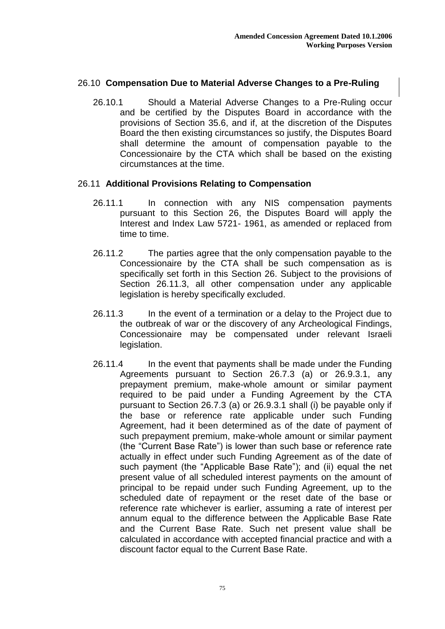# 26.10 **Compensation Due to Material Adverse Changes to a Pre-Ruling**

26.10.1 Should a Material Adverse Changes to a Pre-Ruling occur and be certified by the Disputes Board in accordance with the provisions of Section 35.6, and if, at the discretion of the Disputes Board the then existing circumstances so justify, the Disputes Board shall determine the amount of compensation payable to the Concessionaire by the CTA which shall be based on the existing circumstances at the time.

## 26.11 **Additional Provisions Relating to Compensation**

- 26.11.1 In connection with any NIS compensation payments pursuant to this Section 26, the Disputes Board will apply the Interest and Index Law 5721- 1961, as amended or replaced from time to time.
- 26.11.2 The parties agree that the only compensation payable to the Concessionaire by the CTA shall be such compensation as is specifically set forth in this Section 26. Subject to the provisions of Section 26.11.3, all other compensation under any applicable legislation is hereby specifically excluded.
- 26.11.3 In the event of a termination or a delay to the Project due to the outbreak of war or the discovery of any Archeological Findings, Concessionaire may be compensated under relevant Israeli legislation.
- 26.11.4 In the event that payments shall be made under the Funding Agreements pursuant to Section 26.7.3 (a) or 26.9.3.1, any prepayment premium, make-whole amount or similar payment required to be paid under a Funding Agreement by the CTA pursuant to Section 26.7.3 (a) or 26.9.3.1 shall (i) be payable only if the base or reference rate applicable under such Funding Agreement, had it been determined as of the date of payment of such prepayment premium, make-whole amount or similar payment (the "Current Base Rate") is lower than such base or reference rate actually in effect under such Funding Agreement as of the date of such payment (the "Applicable Base Rate"); and (ii) equal the net present value of all scheduled interest payments on the amount of principal to be repaid under such Funding Agreement, up to the scheduled date of repayment or the reset date of the base or reference rate whichever is earlier, assuming a rate of interest per annum equal to the difference between the Applicable Base Rate and the Current Base Rate. Such net present value shall be calculated in accordance with accepted financial practice and with a discount factor equal to the Current Base Rate.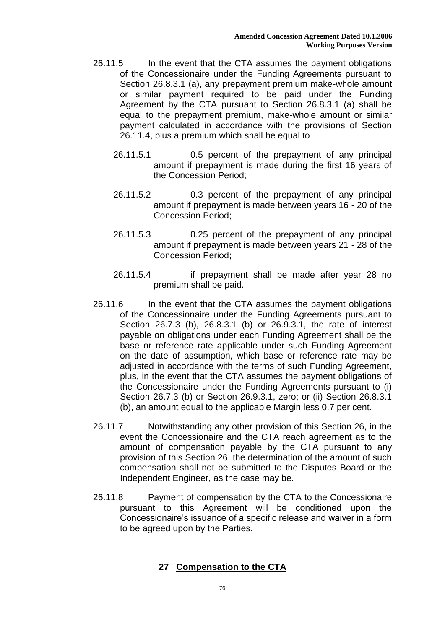- 26.11.5 In the event that the CTA assumes the payment obligations of the Concessionaire under the Funding Agreements pursuant to Section 26.8.3.1 (a), any prepayment premium make-whole amount or similar payment required to be paid under the Funding Agreement by the CTA pursuant to Section 26.8.3.1 (a) shall be equal to the prepayment premium, make-whole amount or similar payment calculated in accordance with the provisions of Section 26.11.4, plus a premium which shall be equal to
	- 26.11.5.1 0.5 percent of the prepayment of any principal amount if prepayment is made during the first 16 years of the Concession Period;
	- 26.11.5.2 0.3 percent of the prepayment of any principal amount if prepayment is made between years 16 - 20 of the Concession Period;
	- 26.11.5.3 0.25 percent of the prepayment of any principal amount if prepayment is made between years 21 - 28 of the Concession Period;
	- 26.11.5.4 if prepayment shall be made after year 28 no premium shall be paid.
- 26.11.6 In the event that the CTA assumes the payment obligations of the Concessionaire under the Funding Agreements pursuant to Section 26.7.3 (b), 26.8.3.1 (b) or 26.9.3.1, the rate of interest payable on obligations under each Funding Agreement shall be the base or reference rate applicable under such Funding Agreement on the date of assumption, which base or reference rate may be adjusted in accordance with the terms of such Funding Agreement, plus, in the event that the CTA assumes the payment obligations of the Concessionaire under the Funding Agreements pursuant to (i) Section 26.7.3 (b) or Section 26.9.3.1, zero; or (ii) Section 26.8.3.1 (b), an amount equal to the applicable Margin less 0.7 per cent.
- 26.11.7 Notwithstanding any other provision of this Section 26, in the event the Concessionaire and the CTA reach agreement as to the amount of compensation payable by the CTA pursuant to any provision of this Section 26, the determination of the amount of such compensation shall not be submitted to the Disputes Board or the Independent Engineer, as the case may be.
- 26.11.8 Payment of compensation by the CTA to the Concessionaire pursuant to this Agreement will be conditioned upon the Concessionaire's issuance of a specific release and waiver in a form to be agreed upon by the Parties.

## **27 Compensation to the CTA**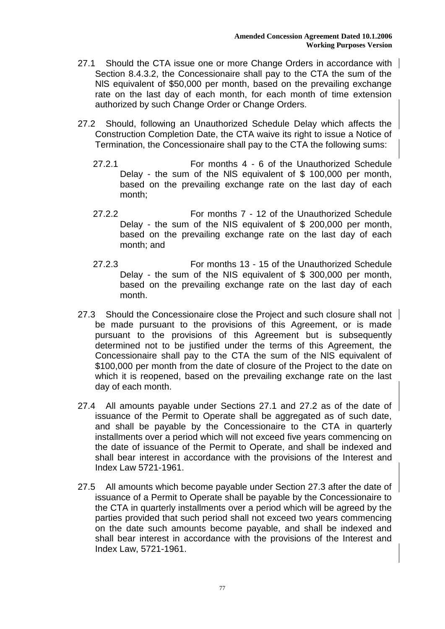- 27.1 Should the CTA issue one or more Change Orders in accordance with | Section 8.4.3.2, the Concessionaire shall pay to the CTA the sum of the NlS equivalent of \$50,000 per month, based on the prevailing exchange rate on the last day of each month, for each month of time extension authorized by such Change Order or Change Orders.
- 27.2 Should, following an Unauthorized Schedule Delay which affects the Construction Completion Date, the CTA waive its right to issue a Notice of Termination, the Concessionaire shall pay to the CTA the following sums:
	- 27.2.1 For months 4 6 of the Unauthorized Schedule Delay - the sum of the NlS equivalent of \$ 100,000 per month, based on the prevailing exchange rate on the last day of each month;
	- 27.2.2 For months 7 12 of the Unauthorized Schedule Delay - the sum of the NIS equivalent of \$ 200,000 per month, based on the prevailing exchange rate on the last day of each month; and
	- 27.2.3 For months 13 15 of the Unauthorized Schedule Delay - the sum of the NIS equivalent of \$ 300,000 per month, based on the prevailing exchange rate on the last day of each month.
- 27.3 Should the Concessionaire close the Project and such closure shall not | be made pursuant to the provisions of this Agreement, or is made pursuant to the provisions of this Agreement but is subsequently determined not to be justified under the terms of this Agreement, the Concessionaire shall pay to the CTA the sum of the NlS equivalent of \$100,000 per month from the date of closure of the Project to the date on which it is reopened, based on the prevailing exchange rate on the last day of each month.
- 27.4 All amounts payable under Sections 27.1 and 27.2 as of the date of issuance of the Permit to Operate shall be aggregated as of such date, and shall be payable by the Concessionaire to the CTA in quarterly installments over a period which will not exceed five years commencing on the date of issuance of the Permit to Operate, and shall be indexed and shall bear interest in accordance with the provisions of the Interest and Index Law 5721-1961.
- 27.5 All amounts which become payable under Section 27.3 after the date of issuance of a Permit to Operate shall be payable by the Concessionaire to the CTA in quarterly installments over a period which will be agreed by the parties provided that such period shall not exceed two years commencing on the date such amounts become payable, and shall be indexed and shall bear interest in accordance with the provisions of the Interest and Index Law, 5721-1961.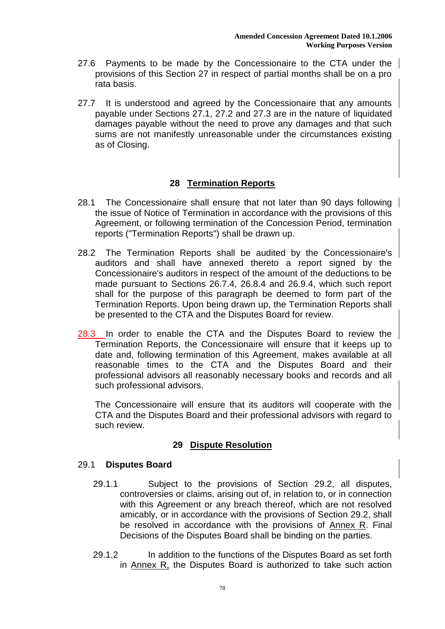- 27.6 Payments to be made by the Concessionaire to the CTA under the provisions of this Section 27 in respect of partial months shall be on a pro rata basis.
- 27.7 It is understood and agreed by the Concessionaire that any amounts payable under Sections 27.1, 27.2 and 27.3 are in the nature of liquidated damages payable without the need to prove any damages and that such sums are not manifestly unreasonable under the circumstances existing as of Closing.

# **28 Termination Reports**

- 28.1 The Concessionaire shall ensure that not later than 90 days following the issue of Notice of Termination in accordance with the provisions of this Agreement, or following termination of the Concession Period, termination reports ("Termination Reports") shall be drawn up.
- 28.2 The Termination Reports shall be audited by the Concessionaire's auditors and shall have annexed thereto a report signed by the Concessionaire's auditors in respect of the amount of the deductions to be made pursuant to Sections 26.7.4, 26.8.4 and 26.9.4, which such report shall for the purpose of this paragraph be deemed to form part of the Termination Reports. Upon being drawn up, the Termination Reports shall be presented to the CTA and the Disputes Board for review.
- 28.3 In order to enable the CTA and the Disputes Board to review the Termination Reports, the Concessionaire will ensure that it keeps up to date and, following termination of this Agreement, makes available at all reasonable times to the CTA and the Disputes Board and their professional advisors all reasonably necessary books and records and all such professional advisors.

The Concessionaire will ensure that its auditors will cooperate with the CTA and the Disputes Board and their professional advisors with regard to such review.

## **29 Dispute Resolution**

#### 29.1 **Disputes Board**

- 29.1.1 Subject to the provisions of Section 29.2, all disputes, controversies or claims, arising out of, in relation to, or in connection with this Agreement or any breach thereof, which are not resolved amicably, or in accordance with the provisions of Section 29.2, shall be resolved in accordance with the provisions of Annex R. Final Decisions of the Disputes Board shall be binding on the parties.
- 29.1.2 In addition to the functions of the Disputes Board as set forth in Annex R, the Disputes Board is authorized to take such action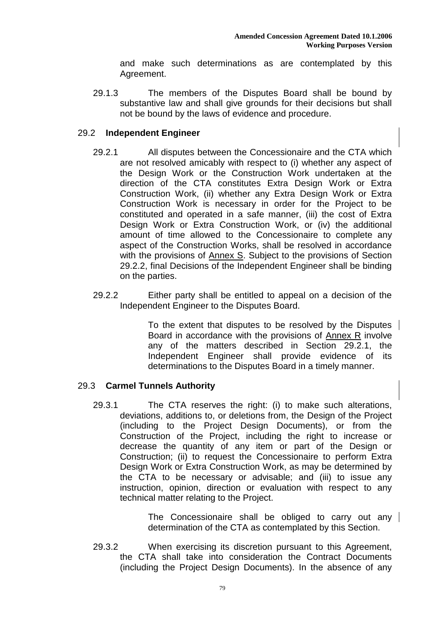and make such determinations as are contemplated by this Agreement.

29.1.3 The members of the Disputes Board shall be bound by substantive law and shall give grounds for their decisions but shall not be bound by the laws of evidence and procedure.

#### 29.2 **Independent Engineer**

- 29.2.1 All disputes between the Concessionaire and the CTA which are not resolved amicably with respect to (i) whether any aspect of the Design Work or the Construction Work undertaken at the direction of the CTA constitutes Extra Design Work or Extra Construction Work, (ii) whether any Extra Design Work or Extra Construction Work is necessary in order for the Project to be constituted and operated in a safe manner, (iii) the cost of Extra Design Work or Extra Construction Work, or (iv) the additional amount of time allowed to the Concessionaire to complete any aspect of the Construction Works, shall be resolved in accordance with the provisions of Annex S. Subject to the provisions of Section 29.2.2, final Decisions of the Independent Engineer shall be binding on the parties.
- 29.2.2 Either party shall be entitled to appeal on a decision of the Independent Engineer to the Disputes Board.

To the extent that disputes to be resolved by the Disputes Board in accordance with the provisions of Annex R involve any of the matters described in Section 29.2.1, the Independent Engineer shall provide evidence of its determinations to the Disputes Board in a timely manner.

## 29.3 **Carmel Tunnels Authority**

29.3.1 The CTA reserves the right: (i) to make such alterations, deviations, additions to, or deletions from, the Design of the Project (including to the Project Design Documents), or from the Construction of the Project, including the right to increase or decrease the quantity of any item or part of the Design or Construction; (ii) to request the Concessionaire to perform Extra Design Work or Extra Construction Work, as may be determined by the CTA to be necessary or advisable; and (iii) to issue any instruction, opinion, direction or evaluation with respect to any technical matter relating to the Project.

> The Concessionaire shall be obliged to carry out any determination of the CTA as contemplated by this Section.

29.3.2 When exercising its discretion pursuant to this Agreement, the CTA shall take into consideration the Contract Documents (including the Project Design Documents). In the absence of any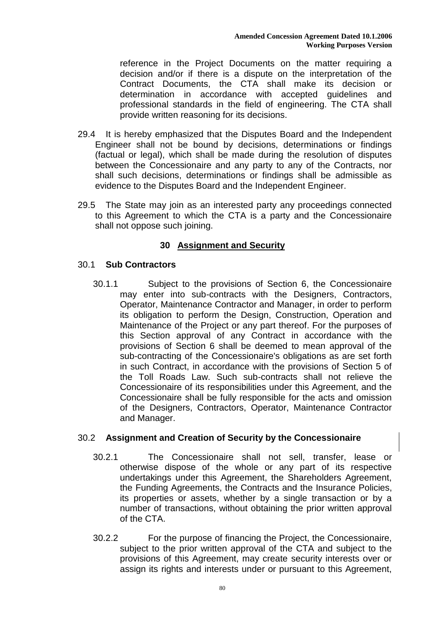reference in the Project Documents on the matter requiring a decision and/or if there is a dispute on the interpretation of the Contract Documents, the CTA shall make its decision or determination in accordance with accepted guidelines and professional standards in the field of engineering. The CTA shall provide written reasoning for its decisions.

- 29.4 It is hereby emphasized that the Disputes Board and the Independent Engineer shall not be bound by decisions, determinations or findings (factual or legal), which shall be made during the resolution of disputes between the Concessionaire and any party to any of the Contracts, nor shall such decisions, determinations or findings shall be admissible as evidence to the Disputes Board and the Independent Engineer.
- 29.5 The State may join as an interested party any proceedings connected to this Agreement to which the CTA is a party and the Concessionaire shall not oppose such joining.

# **30 Assignment and Security**

## 30.1 **Sub Contractors**

30.1.1 Subject to the provisions of Section 6, the Concessionaire may enter into sub-contracts with the Designers, Contractors, Operator, Maintenance Contractor and Manager, in order to perform its obligation to perform the Design, Construction, Operation and Maintenance of the Project or any part thereof. For the purposes of this Section approval of any Contract in accordance with the provisions of Section 6 shall be deemed to mean approval of the sub-contracting of the Concessionaire's obligations as are set forth in such Contract, in accordance with the provisions of Section 5 of the Toll Roads Law. Such sub-contracts shall not relieve the Concessionaire of its responsibilities under this Agreement, and the Concessionaire shall be fully responsible for the acts and omission of the Designers, Contractors, Operator, Maintenance Contractor and Manager.

## 30.2 **Assignment and Creation of Security by the Concessionaire**

- 30.2.1 The Concessionaire shall not sell, transfer, lease or otherwise dispose of the whole or any part of its respective undertakings under this Agreement, the Shareholders Agreement, the Funding Agreements, the Contracts and the Insurance Policies, its properties or assets, whether by a single transaction or by a number of transactions, without obtaining the prior written approval of the CTA.
- 30.2.2 For the purpose of financing the Project, the Concessionaire, subject to the prior written approval of the CTA and subject to the provisions of this Agreement, may create security interests over or assign its rights and interests under or pursuant to this Agreement,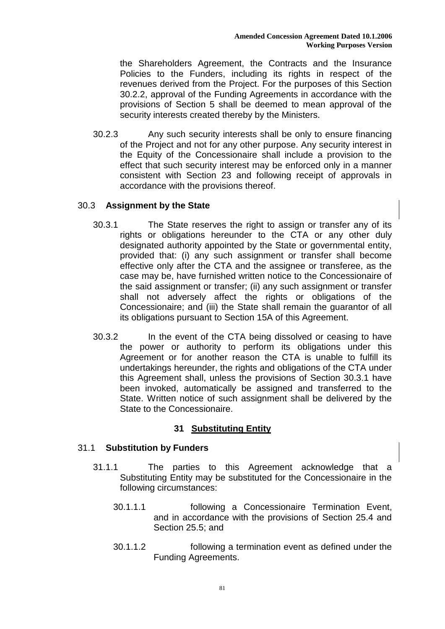the Shareholders Agreement, the Contracts and the Insurance Policies to the Funders, including its rights in respect of the revenues derived from the Project. For the purposes of this Section 30.2.2, approval of the Funding Agreements in accordance with the provisions of Section 5 shall be deemed to mean approval of the security interests created thereby by the Ministers.

30.2.3 Any such security interests shall be only to ensure financing of the Project and not for any other purpose. Any security interest in the Equity of the Concessionaire shall include a provision to the effect that such security interest may be enforced only in a manner consistent with Section 23 and following receipt of approvals in accordance with the provisions thereof.

## 30.3 **Assignment by the State**

- 30.3.1 The State reserves the right to assign or transfer any of its rights or obligations hereunder to the CTA or any other duly designated authority appointed by the State or governmental entity, provided that: (i) any such assignment or transfer shall become effective only after the CTA and the assignee or transferee, as the case may be, have furnished written notice to the Concessionaire of the said assignment or transfer; (ii) any such assignment or transfer shall not adversely affect the rights or obligations of the Concessionaire; and (iii) the State shall remain the guarantor of all its obligations pursuant to Section 15A of this Agreement.
- 30.3.2 In the event of the CTA being dissolved or ceasing to have the power or authority to perform its obligations under this Agreement or for another reason the CTA is unable to fulfill its undertakings hereunder, the rights and obligations of the CTA under this Agreement shall, unless the provisions of Section 30.3.1 have been invoked, automatically be assigned and transferred to the State. Written notice of such assignment shall be delivered by the State to the Concessionaire.

## **31 Substituting Entity**

## 31.1 **Substitution by Funders**

- 31.1.1 The parties to this Agreement acknowledge that a Substituting Entity may be substituted for the Concessionaire in the following circumstances:
	- 30.1.1.1 following a Concessionaire Termination Event, and in accordance with the provisions of Section 25.4 and Section 25.5; and
	- 30.1.1.2 following a termination event as defined under the Funding Agreements.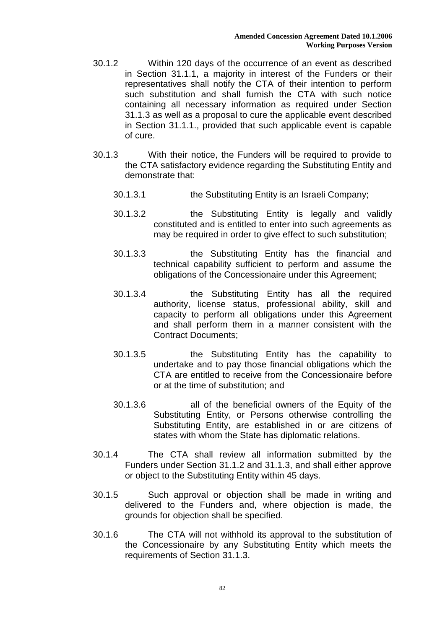- 30.1.2 Within 120 days of the occurrence of an event as described in Section 31.1.1, a majority in interest of the Funders or their representatives shall notify the CTA of their intention to perform such substitution and shall furnish the CTA with such notice containing all necessary information as required under Section 31.1.3 as well as a proposal to cure the applicable event described in Section 31.1.1., provided that such applicable event is capable of cure.
- 30.1.3 With their notice, the Funders will be required to provide to the CTA satisfactory evidence regarding the Substituting Entity and demonstrate that:
	- 30.1.3.1 the Substituting Entity is an Israeli Company;
	- 30.1.3.2 the Substituting Entity is legally and validly constituted and is entitled to enter into such agreements as may be required in order to give effect to such substitution;
	- 30.1.3.3 the Substituting Entity has the financial and technical capability sufficient to perform and assume the obligations of the Concessionaire under this Agreement;
	- 30.1.3.4 the Substituting Entity has all the required authority, license status, professional ability, skill and capacity to perform all obligations under this Agreement and shall perform them in a manner consistent with the Contract Documents;
	- 30.1.3.5 the Substituting Entity has the capability to undertake and to pay those financial obligations which the CTA are entitled to receive from the Concessionaire before or at the time of substitution; and
	- 30.1.3.6 all of the beneficial owners of the Equity of the Substituting Entity, or Persons otherwise controlling the Substituting Entity, are established in or are citizens of states with whom the State has diplomatic relations.
- 30.1.4 The CTA shall review all information submitted by the Funders under Section 31.1.2 and 31.1.3, and shall either approve or object to the Substituting Entity within 45 days.
- 30.1.5 Such approval or objection shall be made in writing and delivered to the Funders and, where objection is made, the grounds for objection shall be specified.
- 30.1.6 The CTA will not withhold its approval to the substitution of the Concessionaire by any Substituting Entity which meets the requirements of Section 31.1.3.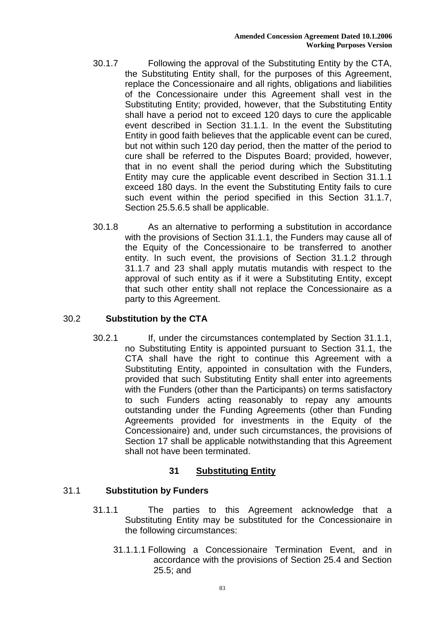- 30.1.7 Following the approval of the Substituting Entity by the CTA, the Substituting Entity shall, for the purposes of this Agreement, replace the Concessionaire and all rights, obligations and liabilities of the Concessionaire under this Agreement shall vest in the Substituting Entity; provided, however, that the Substituting Entity shall have a period not to exceed 120 days to cure the applicable event described in Section 31.1.1. In the event the Substituting Entity in good faith believes that the applicable event can be cured, but not within such 120 day period, then the matter of the period to cure shall be referred to the Disputes Board; provided, however, that in no event shall the period during which the Substituting Entity may cure the applicable event described in Section 31.1.1 exceed 180 days. In the event the Substituting Entity fails to cure such event within the period specified in this Section 31.1.7, Section 25.5.6.5 shall be applicable.
- 30.1.8 As an alternative to performing a substitution in accordance with the provisions of Section 31.1.1, the Funders may cause all of the Equity of the Concessionaire to be transferred to another entity. In such event, the provisions of Section 31.1.2 through 31.1.7 and 23 shall apply mutatis mutandis with respect to the approval of such entity as if it were a Substituting Entity, except that such other entity shall not replace the Concessionaire as a party to this Agreement.

#### 30.2 **Substitution by the CTA**

30.2.1 If, under the circumstances contemplated by Section 31.1.1, no Substituting Entity is appointed pursuant to Section 31.1, the CTA shall have the right to continue this Agreement with a Substituting Entity, appointed in consultation with the Funders, provided that such Substituting Entity shall enter into agreements with the Funders (other than the Participants) on terms satisfactory to such Funders acting reasonably to repay any amounts outstanding under the Funding Agreements (other than Funding Agreements provided for investments in the Equity of the Concessionaire) and, under such circumstances, the provisions of Section 17 shall be applicable notwithstanding that this Agreement shall not have been terminated.

## **31 Substituting Entity**

## 31.1 **Substitution by Funders**

- 31.1.1 The parties to this Agreement acknowledge that a Substituting Entity may be substituted for the Concessionaire in the following circumstances:
	- 31.1.1.1 Following a Concessionaire Termination Event, and in accordance with the provisions of Section 25.4 and Section 25.5; and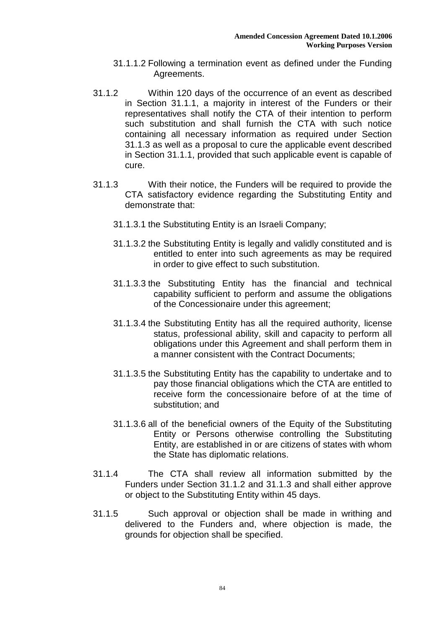- 31.1.1.2 Following a termination event as defined under the Funding Agreements.
- 31.1.2 Within 120 days of the occurrence of an event as described in Section 31.1.1, a majority in interest of the Funders or their representatives shall notify the CTA of their intention to perform such substitution and shall furnish the CTA with such notice containing all necessary information as required under Section 31.1.3 as well as a proposal to cure the applicable event described in Section 31.1.1, provided that such applicable event is capable of cure.
- 31.1.3 With their notice, the Funders will be required to provide the CTA satisfactory evidence regarding the Substituting Entity and demonstrate that:
	- 31.1.3.1 the Substituting Entity is an Israeli Company;
	- 31.1.3.2 the Substituting Entity is legally and validly constituted and is entitled to enter into such agreements as may be required in order to give effect to such substitution.
	- 31.1.3.3 the Substituting Entity has the financial and technical capability sufficient to perform and assume the obligations of the Concessionaire under this agreement;
	- 31.1.3.4 the Substituting Entity has all the required authority, license status, professional ability, skill and capacity to perform all obligations under this Agreement and shall perform them in a manner consistent with the Contract Documents;
	- 31.1.3.5 the Substituting Entity has the capability to undertake and to pay those financial obligations which the CTA are entitled to receive form the concessionaire before of at the time of substitution; and
	- 31.1.3.6 all of the beneficial owners of the Equity of the Substituting Entity or Persons otherwise controlling the Substituting Entity, are established in or are citizens of states with whom the State has diplomatic relations.
- 31.1.4 The CTA shall review all information submitted by the Funders under Section 31.1.2 and 31.1.3 and shall either approve or object to the Substituting Entity within 45 days.
- 31.1.5 Such approval or objection shall be made in writhing and delivered to the Funders and, where objection is made, the grounds for objection shall be specified.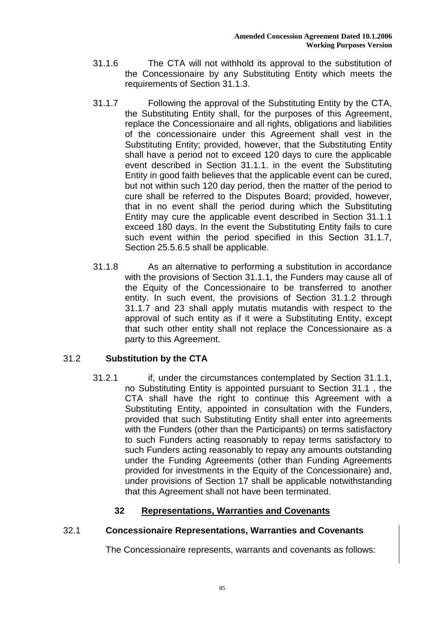- 31.1.6 The CTA will not withhold its approval to the substitution of the Concessionaire by any Substituting Entity which meets the requirements of Section 31.1.3.
- 31.1.7 Following the approval of the Substituting Entity by the CTA, the Substituting Entity shall, for the purposes of this Agreement, replace the Concessionaire and all rights, obligations and liabilities of the concessionaire under this Agreement shall vest in the Substituting Entity; provided, however, that the Substituting Entity shall have a period not to exceed 120 days to cure the applicable event described in Section 31.1.1. in the event the Substituting Entity in good faith believes that the applicable event can be cured, but not within such 120 day period, then the matter of the period to cure shall be referred to the Disputes Board; provided, however, that in no event shall the period during which the Substituting Entity may cure the applicable event described in Section 31.1.1 exceed 180 days. In the event the Substituting Entity fails to cure such event within the period specified in this Section 31.1.7, Section 25.5.6.5 shall be applicable.
- 31.1.8 As an alternative to performing a substitution in accordance with the provisions of Section 31.1.1, the Funders may cause all of the Equity of the Concessionaire to be transferred to another entity. In such event, the provisions of Section 31.1.2 through 31.1.7 and 23 shall apply mutatis mutandis with respect to the approval of such entity as if it were a Substituting Entity, except that such other entity shall not replace the Concessionaire as a party to this Agreement.

# 31.2 **Substitution by the CTA**

31.2.1 if, under the circumstances contemplated by Section 31.1.1, no Substituting Entity is appointed pursuant to Section 31.1 , the CTA shall have the right to continue this Agreement with a Substituting Entity, appointed in consultation with the Funders, provided that such Substituting Entity shall enter into agreements with the Funders (other than the Participants) on terms satisfactory to such Funders acting reasonably to repay terms satisfactory to such Funders acting reasonably to repay any amounts outstanding under the Funding Agreements (other than Funding Agreements provided for investments in the Equity of the Concessionaire) and, under provisions of Section 17 shall be applicable notwithstanding that this Agreement shall not have been terminated.

# **32 Representations, Warranties and Covenants**

# 32.1 **Concessionaire Representations, Warranties and Covenants**

The Concessionaire represents, warrants and covenants as follows: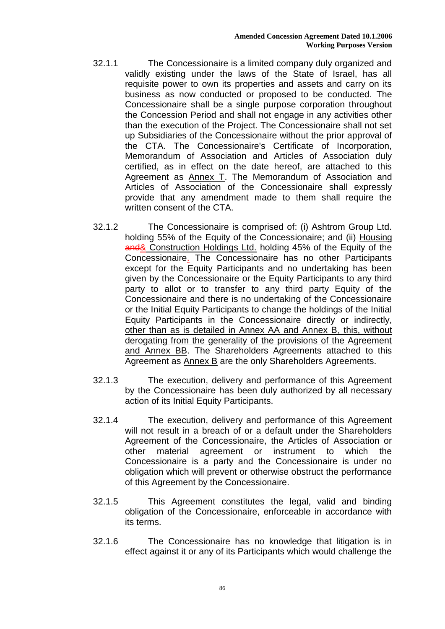- 32.1.1 The Concessionaire is a limited company duly organized and validly existing under the laws of the State of Israel, has all requisite power to own its properties and assets and carry on its business as now conducted or proposed to be conducted. The Concessionaire shall be a single purpose corporation throughout the Concession Period and shall not engage in any activities other than the execution of the Project. The Concessionaire shall not set up Subsidiaries of the Concessionaire without the prior approval of the CTA. The Concessionaire's Certificate of Incorporation, Memorandum of Association and Articles of Association duly certified, as in effect on the date hereof, are attached to this Agreement as Annex T. The Memorandum of Association and Articles of Association of the Concessionaire shall expressly provide that any amendment made to them shall require the written consent of the CTA.
- 32.1.2 The Concessionaire is comprised of: (i) Ashtrom Group Ltd. holding 55% of the Equity of the Concessionaire; and (ii) Housing and& Construction Holdings Ltd. holding 45% of the Equity of the Concessionaire. The Concessionaire has no other Participants except for the Equity Participants and no undertaking has been given by the Concessionaire or the Equity Participants to any third party to allot or to transfer to any third party Equity of the Concessionaire and there is no undertaking of the Concessionaire or the Initial Equity Participants to change the holdings of the Initial Equity Participants in the Concessionaire directly or indirectly, other than as is detailed in Annex AA and Annex B, this, without derogating from the generality of the provisions of the Agreement and Annex BB. The Shareholders Agreements attached to this Agreement as **Annex B** are the only Shareholders Agreements.
- 32.1.3 The execution, delivery and performance of this Agreement by the Concessionaire has been duly authorized by all necessary action of its Initial Equity Participants.
- 32.1.4 The execution, delivery and performance of this Agreement will not result in a breach of or a default under the Shareholders Agreement of the Concessionaire, the Articles of Association or other material agreement or instrument to which the Concessionaire is a party and the Concessionaire is under no obligation which will prevent or otherwise obstruct the performance of this Agreement by the Concessionaire.
- 32.1.5 This Agreement constitutes the legal, valid and binding obligation of the Concessionaire, enforceable in accordance with its terms.
- 32.1.6 The Concessionaire has no knowledge that litigation is in effect against it or any of its Participants which would challenge the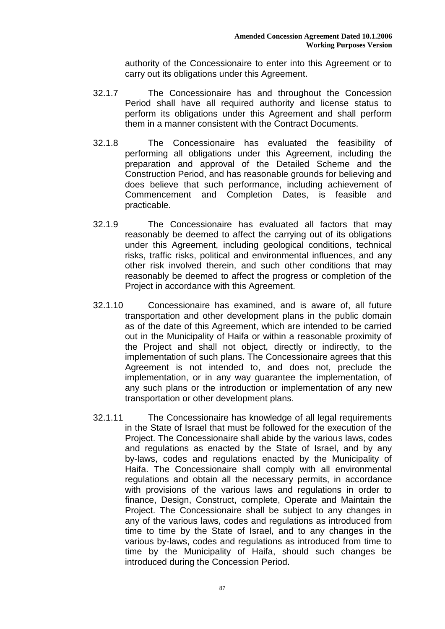authority of the Concessionaire to enter into this Agreement or to carry out its obligations under this Agreement.

- 32.1.7 The Concessionaire has and throughout the Concession Period shall have all required authority and license status to perform its obligations under this Agreement and shall perform them in a manner consistent with the Contract Documents.
- 32.1.8 The Concessionaire has evaluated the feasibility of performing all obligations under this Agreement, including the preparation and approval of the Detailed Scheme and the Construction Period, and has reasonable grounds for believing and does believe that such performance, including achievement of Commencement and Completion Dates, is feasible and practicable.
- 32.1.9 The Concessionaire has evaluated all factors that may reasonably be deemed to affect the carrying out of its obligations under this Agreement, including geological conditions, technical risks, traffic risks, political and environmental influences, and any other risk involved therein, and such other conditions that may reasonably be deemed to affect the progress or completion of the Project in accordance with this Agreement.
- 32.1.10 Concessionaire has examined, and is aware of, all future transportation and other development plans in the public domain as of the date of this Agreement, which are intended to be carried out in the Municipality of Haifa or within a reasonable proximity of the Project and shall not object, directly or indirectly, to the implementation of such plans. The Concessionaire agrees that this Agreement is not intended to, and does not, preclude the implementation, or in any way guarantee the implementation, of any such plans or the introduction or implementation of any new transportation or other development plans.
- 32.1.11 The Concessionaire has knowledge of all legal requirements in the State of Israel that must be followed for the execution of the Project. The Concessionaire shall abide by the various laws, codes and regulations as enacted by the State of Israel, and by any by-laws, codes and regulations enacted by the Municipality of Haifa. The Concessionaire shall comply with all environmental regulations and obtain all the necessary permits, in accordance with provisions of the various laws and regulations in order to finance, Design, Construct, complete, Operate and Maintain the Project. The Concessionaire shall be subject to any changes in any of the various laws, codes and regulations as introduced from time to time by the State of Israel, and to any changes in the various by-laws, codes and regulations as introduced from time to time by the Municipality of Haifa, should such changes be introduced during the Concession Period.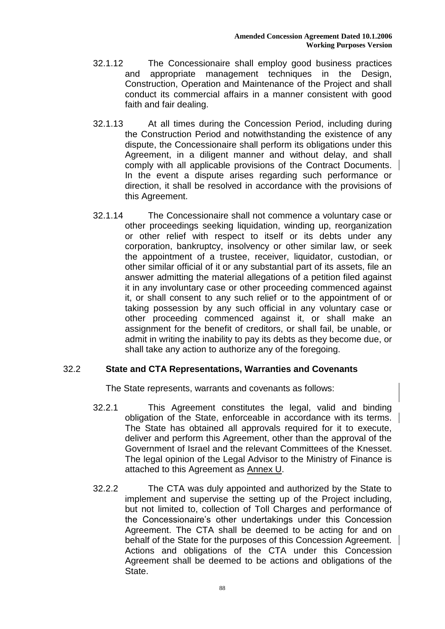- 32.1.12 The Concessionaire shall employ good business practices and appropriate management techniques in the Design, Construction, Operation and Maintenance of the Project and shall conduct its commercial affairs in a manner consistent with good faith and fair dealing.
- 32.1.13 At all times during the Concession Period, including during the Construction Period and notwithstanding the existence of any dispute, the Concessionaire shall perform its obligations under this Agreement, in a diligent manner and without delay, and shall comply with all applicable provisions of the Contract Documents. In the event a dispute arises regarding such performance or direction, it shall be resolved in accordance with the provisions of this Agreement.
- 32.1.14 The Concessionaire shall not commence a voluntary case or other proceedings seeking liquidation, winding up, reorganization or other relief with respect to itself or its debts under any corporation, bankruptcy, insolvency or other similar law, or seek the appointment of a trustee, receiver, liquidator, custodian, or other similar official of it or any substantial part of its assets, file an answer admitting the material allegations of a petition filed against it in any involuntary case or other proceeding commenced against it, or shall consent to any such relief or to the appointment of or taking possession by any such official in any voluntary case or other proceeding commenced against it, or shall make an assignment for the benefit of creditors, or shall fail, be unable, or admit in writing the inability to pay its debts as they become due, or shall take any action to authorize any of the foregoing.

## 32.2 **State and CTA Representations, Warranties and Covenants**

The State represents, warrants and covenants as follows:

- 32.2.1 This Agreement constitutes the legal, valid and binding obligation of the State, enforceable in accordance with its terms. The State has obtained all approvals required for it to execute, deliver and perform this Agreement, other than the approval of the Government of Israel and the relevant Committees of the Knesset. The legal opinion of the Legal Advisor to the Ministry of Finance is attached to this Agreement as Annex U.
- 32.2.2 The CTA was duly appointed and authorized by the State to implement and supervise the setting up of the Project including, but not limited to, collection of Toll Charges and performance of the Concessionaire's other undertakings under this Concession Agreement. The CTA shall be deemed to be acting for and on behalf of the State for the purposes of this Concession Agreement. Actions and obligations of the CTA under this Concession Agreement shall be deemed to be actions and obligations of the State.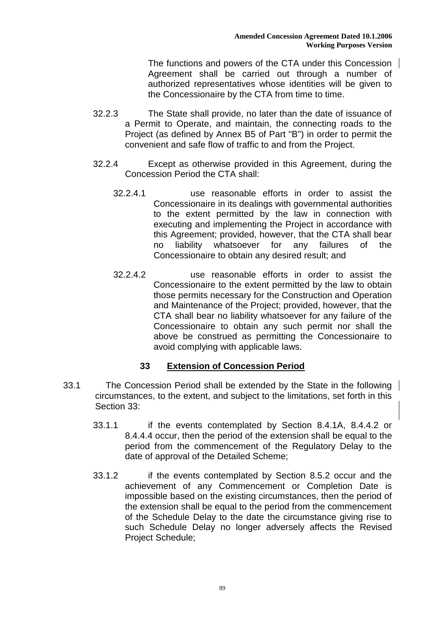The functions and powers of the CTA under this Concession Agreement shall be carried out through a number of authorized representatives whose identities will be given to the Concessionaire by the CTA from time to time.

- 32.2.3 The State shall provide, no later than the date of issuance of a Permit to Operate, and maintain, the connecting roads to the Project (as defined by Annex B5 of Part "B") in order to permit the convenient and safe flow of traffic to and from the Project.
- 32.2.4 Except as otherwise provided in this Agreement, during the Concession Period the CTA shall:
	- 32.2.4.1 use reasonable efforts in order to assist the Concessionaire in its dealings with governmental authorities to the extent permitted by the law in connection with executing and implementing the Project in accordance with this Agreement; provided, however, that the CTA shall bear no liability whatsoever for any failures of the Concessionaire to obtain any desired result; and
	- 32.2.4.2 use reasonable efforts in order to assist the Concessionaire to the extent permitted by the law to obtain those permits necessary for the Construction and Operation and Maintenance of the Project; provided, however, that the CTA shall bear no liability whatsoever for any failure of the Concessionaire to obtain any such permit nor shall the above be construed as permitting the Concessionaire to avoid complying with applicable laws.

## **33 Extension of Concession Period**

- 33.1 The Concession Period shall be extended by the State in the following circumstances, to the extent, and subject to the limitations, set forth in this Section 33:
	- 33.1.1 if the events contemplated by Section 8.4.1A, 8.4.4.2 or 8.4.4.4 occur, then the period of the extension shall be equal to the period from the commencement of the Regulatory Delay to the date of approval of the Detailed Scheme;
	- 33.1.2 if the events contemplated by Section 8.5.2 occur and the achievement of any Commencement or Completion Date is impossible based on the existing circumstances, then the period of the extension shall be equal to the period from the commencement of the Schedule Delay to the date the circumstance giving rise to such Schedule Delay no longer adversely affects the Revised Project Schedule;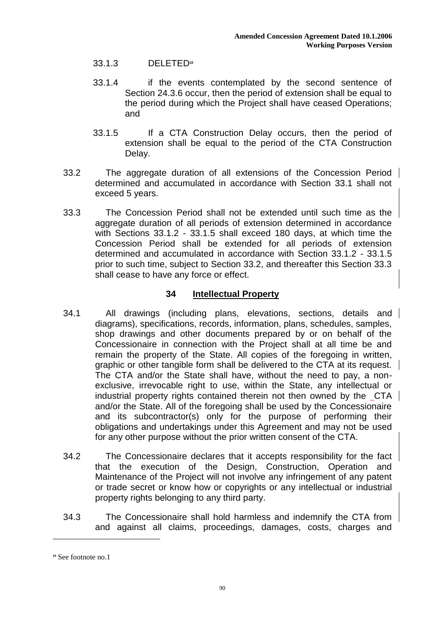# 33.1.3 DELETED**<sup>10</sup>**

- 33.1.4 if the events contemplated by the second sentence of Section 24.3.6 occur, then the period of extension shall be equal to the period during which the Project shall have ceased Operations; and
- 33.1.5 If a CTA Construction Delay occurs, then the period of extension shall be equal to the period of the CTA Construction Delay.
- 33.2 The aggregate duration of all extensions of the Concession Period determined and accumulated in accordance with Section 33.1 shall not exceed 5 years.
- 33.3 The Concession Period shall not be extended until such time as the aggregate duration of all periods of extension determined in accordance with Sections 33.1.2 - 33.1.5 shall exceed 180 days, at which time the Concession Period shall be extended for all periods of extension determined and accumulated in accordance with Section 33.1.2 - 33.1.5 prior to such time, subject to Section 33.2, and thereafter this Section 33.3 shall cease to have any force or effect.

# **34 Intellectual Property**

- 34.1 All drawings (including plans, elevations, sections, details and diagrams), specifications, records, information, plans, schedules, samples, shop drawings and other documents prepared by or on behalf of the Concessionaire in connection with the Project shall at all time be and remain the property of the State. All copies of the foregoing in written, graphic or other tangible form shall be delivered to the CTA at its request. The CTA and/or the State shall have, without the need to pay, a nonexclusive, irrevocable right to use, within the State, any intellectual or industrial property rights contained therein not then owned by the CTA and/or the State. All of the foregoing shall be used by the Concessionaire and its subcontractor(s) only for the purpose of performing their obligations and undertakings under this Agreement and may not be used for any other purpose without the prior written consent of the CTA.
- 34.2 The Concessionaire declares that it accepts responsibility for the fact that the execution of the Design, Construction, Operation and Maintenance of the Project will not involve any infringement of any patent or trade secret or know how or copyrights or any intellectual or industrial property rights belonging to any third party.
- 34.3 The Concessionaire shall hold harmless and indemnify the CTA from and against all claims, proceedings, damages, costs, charges and

 $\overline{a}$ 

**<sup>10</sup>** See footnote no.1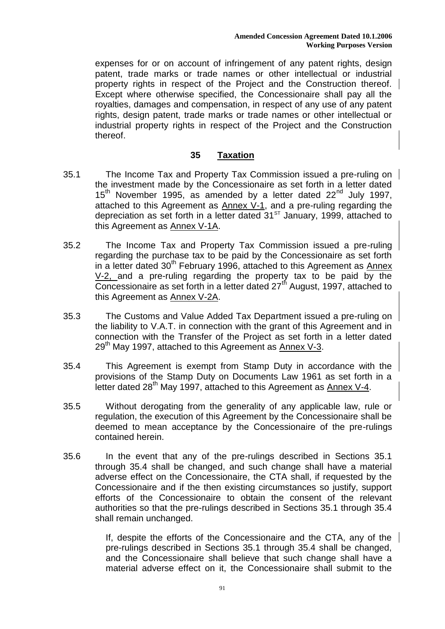expenses for or on account of infringement of any patent rights, design patent, trade marks or trade names or other intellectual or industrial property rights in respect of the Project and the Construction thereof. Except where otherwise specified, the Concessionaire shall pay all the royalties, damages and compensation, in respect of any use of any patent rights, design patent, trade marks or trade names or other intellectual or industrial property rights in respect of the Project and the Construction thereof.

#### **35 Taxation**

- 35.1 The Income Tax and Property Tax Commission issued a pre-ruling on the investment made by the Concessionaire as set forth in a letter dated  $15<sup>th</sup>$  November 1995, as amended by a letter dated 22<sup>nd</sup> July 1997, attached to this Agreement as Annex V-1, and a pre-ruling regarding the depreciation as set forth in a letter dated  $31<sup>ST</sup>$  January, 1999, attached to this Agreement as Annex V-1A.
- 35.2 The Income Tax and Property Tax Commission issued a pre-ruling regarding the purchase tax to be paid by the Concessionaire as set forth in a letter dated  $30<sup>th</sup>$  February 1996, attached to this Agreement as Annex V-2, and a pre-ruling regarding the property tax to be paid by the Concessionaire as set forth in a letter dated  $27<sup>th</sup>$  August, 1997, attached to this Agreement as Annex V-2A.
- 35.3 The Customs and Value Added Tax Department issued a pre-ruling on the liability to V.A.T. in connection with the grant of this Agreement and in connection with the Transfer of the Project as set forth in a letter dated  $29<sup>th</sup>$  May 1997, attached to this Agreement as Annex V-3.
- 35.4 This Agreement is exempt from Stamp Duty in accordance with the provisions of the Stamp Duty on Documents Law 1961 as set forth in a letter dated  $28<sup>th</sup>$  May 1997, attached to this Agreement as Annex V-4.
- 35.5 Without derogating from the generality of any applicable law, rule or regulation, the execution of this Agreement by the Concessionaire shall be deemed to mean acceptance by the Concessionaire of the pre-rulings contained herein.
- 35.6 In the event that any of the pre-rulings described in Sections 35.1 through 35.4 shall be changed, and such change shall have a material adverse effect on the Concessionaire, the CTA shall, if requested by the Concessionaire and if the then existing circumstances so justify, support efforts of the Concessionaire to obtain the consent of the relevant authorities so that the pre-rulings described in Sections 35.1 through 35.4 shall remain unchanged.

If, despite the efforts of the Concessionaire and the CTA, any of the pre-rulings described in Sections 35.1 through 35.4 shall be changed, and the Concessionaire shall believe that such change shall have a material adverse effect on it, the Concessionaire shall submit to the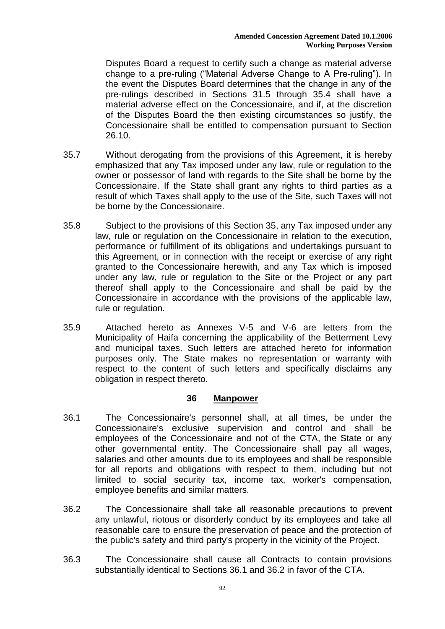Disputes Board a request to certify such a change as material adverse change to a pre-ruling ("Material Adverse Change to A Pre-ruling"). In the event the Disputes Board determines that the change in any of the pre-rulings described in Sections 31.5 through 35.4 shall have a material adverse effect on the Concessionaire, and if, at the discretion of the Disputes Board the then existing circumstances so justify, the Concessionaire shall be entitled to compensation pursuant to Section 26.10.

- 35.7 Without derogating from the provisions of this Agreement, it is hereby emphasized that any Tax imposed under any law, rule or regulation to the owner or possessor of land with regards to the Site shall be borne by the Concessionaire. If the State shall grant any rights to third parties as a result of which Taxes shall apply to the use of the Site, such Taxes will not be borne by the Concessionaire.
- 35.8 Subject to the provisions of this Section 35, any Tax imposed under any law, rule or regulation on the Concessionaire in relation to the execution, performance or fulfillment of its obligations and undertakings pursuant to this Agreement, or in connection with the receipt or exercise of any right granted to the Concessionaire herewith, and any Tax which is imposed under any law, rule or regulation to the Site or the Project or any part thereof shall apply to the Concessionaire and shall be paid by the Concessionaire in accordance with the provisions of the applicable law, rule or regulation.
- 35.9 Attached hereto as Annexes V-5 and V-6 are letters from the Municipality of Haifa concerning the applicability of the Betterment Levy and municipal taxes. Such letters are attached hereto for information purposes only. The State makes no representation or warranty with respect to the content of such letters and specifically disclaims any obligation in respect thereto.

#### **36 Manpower**

- 36.1 The Concessionaire's personnel shall, at all times, be under the Concessionaire's exclusive supervision and control and shall be employees of the Concessionaire and not of the CTA, the State or any other governmental entity. The Concessionaire shall pay all wages, salaries and other amounts due to its employees and shall be responsible for all reports and obligations with respect to them, including but not limited to social security tax, income tax, worker's compensation, employee benefits and similar matters.
- 36.2 The Concessionaire shall take all reasonable precautions to prevent any unlawful, riotous or disorderly conduct by its employees and take all reasonable care to ensure the preservation of peace and the protection of the public's safety and third party's property in the vicinity of the Project.
- 36.3 The Concessionaire shall cause all Contracts to contain provisions substantially identical to Sections 36.1 and 36.2 in favor of the CTA.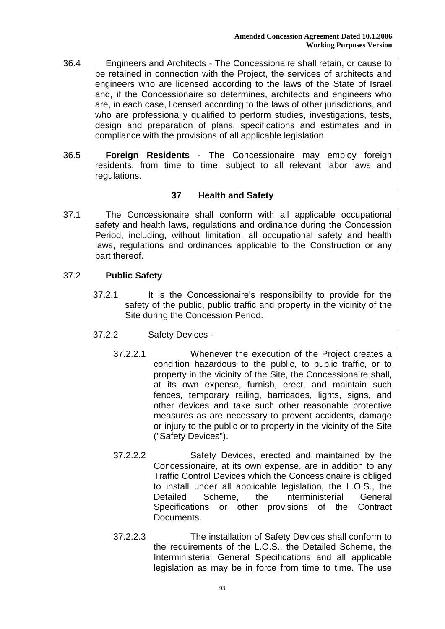- 36.4 Engineers and Architects The Concessionaire shall retain, or cause to be retained in connection with the Project, the services of architects and engineers who are licensed according to the laws of the State of Israel and, if the Concessionaire so determines, architects and engineers who are, in each case, licensed according to the laws of other jurisdictions, and who are professionally qualified to perform studies, investigations, tests, design and preparation of plans, specifications and estimates and in compliance with the provisions of all applicable legislation.
- 36.5 **Foreign Residents** The Concessionaire may employ foreign residents, from time to time, subject to all relevant labor laws and regulations.

## **37 Health and Safety**

37.1 The Concessionaire shall conform with all applicable occupational safety and health laws, regulations and ordinance during the Concession Period, including, without limitation, all occupational safety and health laws, regulations and ordinances applicable to the Construction or any part thereof.

## 37.2 **Public Safety**

37.2.1 It is the Concessionaire's responsibility to provide for the safety of the public, public traffic and property in the vicinity of the Site during the Concession Period.

## 37.2.2 Safety Devices -

- 37.2.2.1 Whenever the execution of the Project creates a condition hazardous to the public, to public traffic, or to property in the vicinity of the Site, the Concessionaire shall, at its own expense, furnish, erect, and maintain such fences, temporary railing, barricades, lights, signs, and other devices and take such other reasonable protective measures as are necessary to prevent accidents, damage or injury to the public or to property in the vicinity of the Site ("Safety Devices").
- 37.2.2.2 Safety Devices, erected and maintained by the Concessionaire, at its own expense, are in addition to any Traffic Control Devices which the Concessionaire is obliged to install under all applicable legislation, the L.O.S., the Detailed Scheme, the Interministerial General Specifications or other provisions of the Contract Documents.
- 37.2.2.3 The installation of Safety Devices shall conform to the requirements of the L.O.S., the Detailed Scheme, the Interministerial General Specifications and all applicable legislation as may be in force from time to time. The use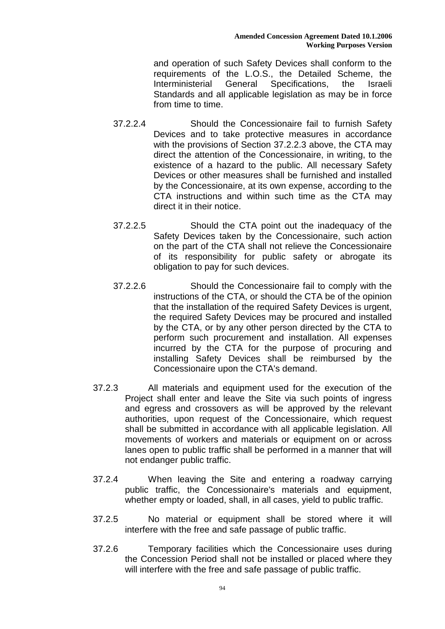and operation of such Safety Devices shall conform to the requirements of the L.O.S., the Detailed Scheme, the Interministerial General Specifications, the Israeli Standards and all applicable legislation as may be in force from time to time.

- 37.2.2.4 Should the Concessionaire fail to furnish Safety Devices and to take protective measures in accordance with the provisions of Section 37.2.2.3 above, the CTA may direct the attention of the Concessionaire, in writing, to the existence of a hazard to the public. All necessary Safety Devices or other measures shall be furnished and installed by the Concessionaire, at its own expense, according to the CTA instructions and within such time as the CTA may direct it in their notice.
- 37.2.2.5 Should the CTA point out the inadequacy of the Safety Devices taken by the Concessionaire, such action on the part of the CTA shall not relieve the Concessionaire of its responsibility for public safety or abrogate its obligation to pay for such devices.
- 37.2.2.6 Should the Concessionaire fail to comply with the instructions of the CTA, or should the CTA be of the opinion that the installation of the required Safety Devices is urgent, the required Safety Devices may be procured and installed by the CTA, or by any other person directed by the CTA to perform such procurement and installation. All expenses incurred by the CTA for the purpose of procuring and installing Safety Devices shall be reimbursed by the Concessionaire upon the CTA's demand.
- 37.2.3 All materials and equipment used for the execution of the Project shall enter and leave the Site via such points of ingress and egress and crossovers as will be approved by the relevant authorities, upon request of the Concessionaire, which request shall be submitted in accordance with all applicable legislation. All movements of workers and materials or equipment on or across lanes open to public traffic shall be performed in a manner that will not endanger public traffic.
- 37.2.4 When leaving the Site and entering a roadway carrying public traffic, the Concessionaire's materials and equipment, whether empty or loaded, shall, in all cases, yield to public traffic.
- 37.2.5 No material or equipment shall be stored where it will interfere with the free and safe passage of public traffic.
- 37.2.6 Temporary facilities which the Concessionaire uses during the Concession Period shall not be installed or placed where they will interfere with the free and safe passage of public traffic.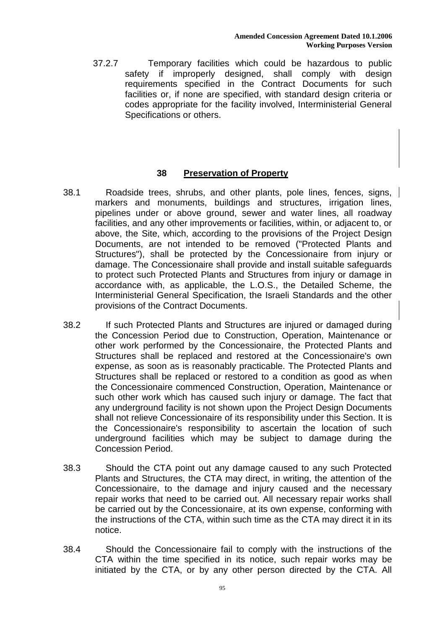37.2.7 Temporary facilities which could be hazardous to public safety if improperly designed, shall comply with design requirements specified in the Contract Documents for such facilities or, if none are specified, with standard design criteria or codes appropriate for the facility involved, Interministerial General Specifications or others.

# **38 Preservation of Property**

- 38.1 Roadside trees, shrubs, and other plants, pole lines, fences, signs, markers and monuments, buildings and structures, irrigation lines, pipelines under or above ground, sewer and water lines, all roadway facilities, and any other improvements or facilities, within, or adjacent to, or above, the Site, which, according to the provisions of the Project Design Documents, are not intended to be removed ("Protected Plants and Structures"), shall be protected by the Concessionaire from injury or damage. The Concessionaire shall provide and install suitable safeguards to protect such Protected Plants and Structures from injury or damage in accordance with, as applicable, the L.O.S., the Detailed Scheme, the Interministerial General Specification, the Israeli Standards and the other provisions of the Contract Documents.
- 38.2 If such Protected Plants and Structures are injured or damaged during the Concession Period due to Construction, Operation, Maintenance or other work performed by the Concessionaire, the Protected Plants and Structures shall be replaced and restored at the Concessionaire's own expense, as soon as is reasonably practicable. The Protected Plants and Structures shall be replaced or restored to a condition as good as when the Concessionaire commenced Construction, Operation, Maintenance or such other work which has caused such injury or damage. The fact that any underground facility is not shown upon the Project Design Documents shall not relieve Concessionaire of its responsibility under this Section. It is the Concessionaire's responsibility to ascertain the location of such underground facilities which may be subject to damage during the Concession Period.
- 38.3 Should the CTA point out any damage caused to any such Protected Plants and Structures, the CTA may direct, in writing, the attention of the Concessionaire, to the damage and injury caused and the necessary repair works that need to be carried out. All necessary repair works shall be carried out by the Concessionaire, at its own expense, conforming with the instructions of the CTA, within such time as the CTA may direct it in its notice.
- 38.4 Should the Concessionaire fail to comply with the instructions of the CTA within the time specified in its notice, such repair works may be initiated by the CTA, or by any other person directed by the CTA. All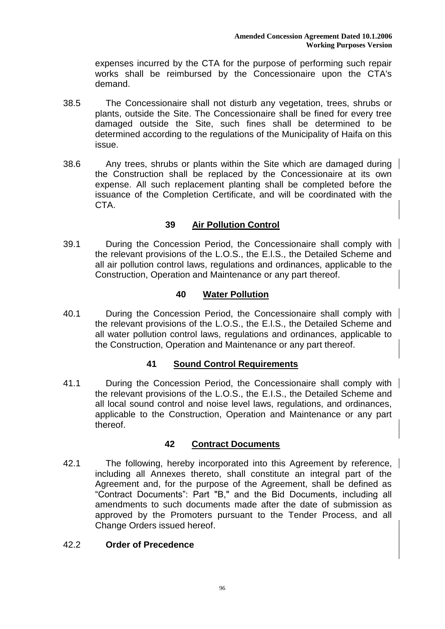expenses incurred by the CTA for the purpose of performing such repair works shall be reimbursed by the Concessionaire upon the CTA's demand.

- 38.5 The Concessionaire shall not disturb any vegetation, trees, shrubs or plants, outside the Site. The Concessionaire shall be fined for every tree damaged outside the Site, such fines shall be determined to be determined according to the regulations of the Municipality of Haifa on this issue.
- 38.6 Any trees, shrubs or plants within the Site which are damaged during the Construction shall be replaced by the Concessionaire at its own expense. All such replacement planting shall be completed before the issuance of the Completion Certificate, and will be coordinated with the CTA.

## **39 Air Pollution Control**

39.1 During the Concession Period, the Concessionaire shall comply with the relevant provisions of the L.O.S., the E.l.S., the Detailed Scheme and all air pollution control laws, regulations and ordinances, applicable to the Construction, Operation and Maintenance or any part thereof.

#### **40 Water Pollution**

40.1 During the Concession Period, the Concessionaire shall comply with the relevant provisions of the L.O.S., the E.l.S., the Detailed Scheme and all water pollution control laws, regulations and ordinances, applicable to the Construction, Operation and Maintenance or any part thereof.

## **41 Sound Control Requirements**

41.1 During the Concession Period, the Concessionaire shall comply with the relevant provisions of the L.O.S., the E.I.S., the Detailed Scheme and all local sound control and noise level laws, regulations, and ordinances, applicable to the Construction, Operation and Maintenance or any part thereof.

## **42 Contract Documents**

42.1 The following, hereby incorporated into this Agreement by reference, including all Annexes thereto, shall constitute an integral part of the Agreement and, for the purpose of the Agreement, shall be defined as "Contract Documents": Part "B," and the Bid Documents, including all amendments to such documents made after the date of submission as approved by the Promoters pursuant to the Tender Process, and all Change Orders issued hereof.

#### 42.2 **Order of Precedence**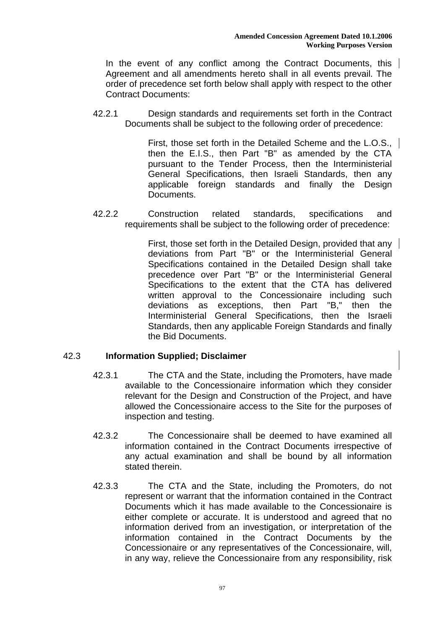In the event of any conflict among the Contract Documents, this Agreement and all amendments hereto shall in all events prevail. The order of precedence set forth below shall apply with respect to the other Contract Documents:

42.2.1 Design standards and requirements set forth in the Contract Documents shall be subject to the following order of precedence:

> First, those set forth in the Detailed Scheme and the L.O.S., | then the E.I.S., then Part "B" as amended by the CTA pursuant to the Tender Process, then the Interministerial General Specifications, then Israeli Standards, then any applicable foreign standards and finally the Design Documents.

42.2.2 Construction related standards, specifications and requirements shall be subject to the following order of precedence:

> First, those set forth in the Detailed Design, provided that any deviations from Part "B" or the Interministerial General Specifications contained in the Detailed Design shall take precedence over Part "B" or the Interministerial General Specifications to the extent that the CTA has delivered written approval to the Concessionaire including such deviations as exceptions, then Part "B," then the Interministerial General Specifications, then the Israeli Standards, then any applicable Foreign Standards and finally the Bid Documents.

## 42.3 **Information Supplied; Disclaimer**

- 42.3.1 The CTA and the State, including the Promoters, have made available to the Concessionaire information which they consider relevant for the Design and Construction of the Project, and have allowed the Concessionaire access to the Site for the purposes of inspection and testing.
- 42.3.2 The Concessionaire shall be deemed to have examined all information contained in the Contract Documents irrespective of any actual examination and shall be bound by all information stated therein.
- 42.3.3 The CTA and the State, including the Promoters, do not represent or warrant that the information contained in the Contract Documents which it has made available to the Concessionaire is either complete or accurate. It is understood and agreed that no information derived from an investigation, or interpretation of the information contained in the Contract Documents by the Concessionaire or any representatives of the Concessionaire, will, in any way, relieve the Concessionaire from any responsibility, risk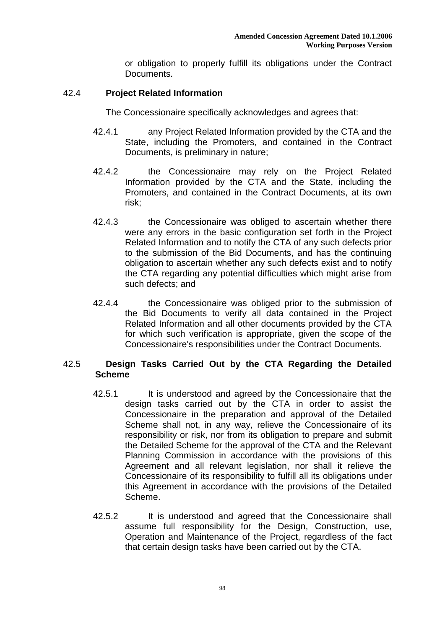or obligation to properly fulfill its obligations under the Contract Documents.

## 42.4 **Project Related Information**

The Concessionaire specifically acknowledges and agrees that:

- 42.4.1 any Project Related Information provided by the CTA and the State, including the Promoters, and contained in the Contract Documents, is preliminary in nature;
- 42.4.2 the Concessionaire may rely on the Project Related Information provided by the CTA and the State, including the Promoters, and contained in the Contract Documents, at its own risk;
- 42.4.3 the Concessionaire was obliged to ascertain whether there were any errors in the basic configuration set forth in the Project Related Information and to notify the CTA of any such defects prior to the submission of the Bid Documents, and has the continuing obligation to ascertain whether any such defects exist and to notify the CTA regarding any potential difficulties which might arise from such defects; and
- 42.4.4 the Concessionaire was obliged prior to the submission of the Bid Documents to verify all data contained in the Project Related Information and all other documents provided by the CTA for which such verification is appropriate, given the scope of the Concessionaire's responsibilities under the Contract Documents.

# 42.5 **Design Tasks Carried Out by the CTA Regarding the Detailed Scheme**

- 42.5.1 It is understood and agreed by the Concessionaire that the design tasks carried out by the CTA in order to assist the Concessionaire in the preparation and approval of the Detailed Scheme shall not, in any way, relieve the Concessionaire of its responsibility or risk, nor from its obligation to prepare and submit the Detailed Scheme for the approval of the CTA and the Relevant Planning Commission in accordance with the provisions of this Agreement and all relevant legislation, nor shall it relieve the Concessionaire of its responsibility to fulfill all its obligations under this Agreement in accordance with the provisions of the Detailed Scheme.
- 42.5.2 It is understood and agreed that the Concessionaire shall assume full responsibility for the Design, Construction, use, Operation and Maintenance of the Project, regardless of the fact that certain design tasks have been carried out by the CTA.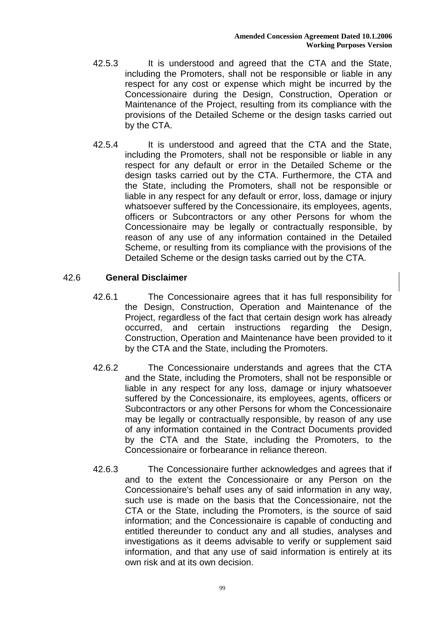- 42.5.3 It is understood and agreed that the CTA and the State, including the Promoters, shall not be responsible or liable in any respect for any cost or expense which might be incurred by the Concessionaire during the Design, Construction, Operation or Maintenance of the Project, resulting from its compliance with the provisions of the Detailed Scheme or the design tasks carried out by the CTA.
- 42.5.4 It is understood and agreed that the CTA and the State, including the Promoters, shall not be responsible or liable in any respect for any default or error in the Detailed Scheme or the design tasks carried out by the CTA. Furthermore, the CTA and the State, including the Promoters, shall not be responsible or liable in any respect for any default or error, loss, damage or injury whatsoever suffered by the Concessionaire, its employees, agents, officers or Subcontractors or any other Persons for whom the Concessionaire may be legally or contractually responsible, by reason of any use of any information contained in the Detailed Scheme, or resulting from its compliance with the provisions of the Detailed Scheme or the design tasks carried out by the CTA.

## 42.6 **General Disclaimer**

- 42.6.1 The Concessionaire agrees that it has full responsibility for the Design, Construction, Operation and Maintenance of the Project, regardless of the fact that certain design work has already occurred, and certain instructions regarding the Design, Construction, Operation and Maintenance have been provided to it by the CTA and the State, including the Promoters.
- 42.6.2 The Concessionaire understands and agrees that the CTA and the State, including the Promoters, shall not be responsible or liable in any respect for any loss, damage or injury whatsoever suffered by the Concessionaire, its employees, agents, officers or Subcontractors or any other Persons for whom the Concessionaire may be legally or contractually responsible, by reason of any use of any information contained in the Contract Documents provided by the CTA and the State, including the Promoters, to the Concessionaire or forbearance in reliance thereon.
- 42.6.3 The Concessionaire further acknowledges and agrees that if and to the extent the Concessionaire or any Person on the Concessionaire's behalf uses any of said information in any way, such use is made on the basis that the Concessionaire, not the CTA or the State, including the Promoters, is the source of said information; and the Concessionaire is capable of conducting and entitled thereunder to conduct any and all studies, analyses and investigations as it deems advisable to verify or supplement said information, and that any use of said information is entirely at its own risk and at its own decision.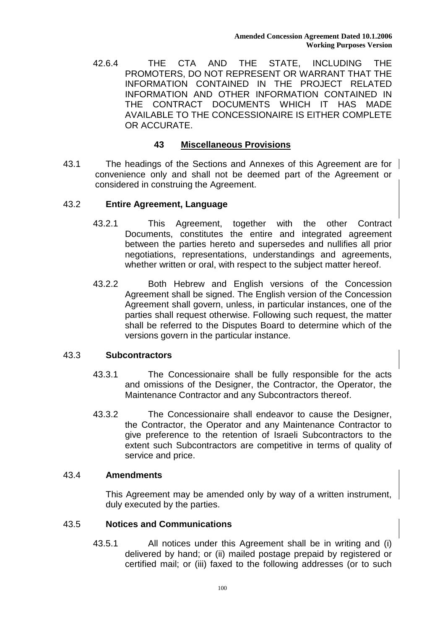42.6.4 THE CTA AND THE STATE, INCLUDING THE PROMOTERS, DO NOT REPRESENT OR WARRANT THAT THE INFORMATION CONTAINED IN THE PROJECT RELATED INFORMATION AND OTHER INFORMATION CONTAINED IN THE CONTRACT DOCUMENTS WHICH IT HAS MADE AVAILABLE TO THE CONCESSIONAIRE IS EITHER COMPLETE OR ACCURATE.

## **43 Miscellaneous Provisions**

43.1 The headings of the Sections and Annexes of this Agreement are for convenience only and shall not be deemed part of the Agreement or considered in construing the Agreement.

#### 43.2 **Entire Agreement, Language**

- 43.2.1 This Agreement, together with the other Contract Documents, constitutes the entire and integrated agreement between the parties hereto and supersedes and nullifies all prior negotiations, representations, understandings and agreements, whether written or oral, with respect to the subject matter hereof.
- 43.2.2 Both Hebrew and English versions of the Concession Agreement shall be signed. The English version of the Concession Agreement shall govern, unless, in particular instances, one of the parties shall request otherwise. Following such request, the matter shall be referred to the Disputes Board to determine which of the versions govern in the particular instance.

#### 43.3 **Subcontractors**

- 43.3.1 The Concessionaire shall be fully responsible for the acts and omissions of the Designer, the Contractor, the Operator, the Maintenance Contractor and any Subcontractors thereof.
- 43.3.2 The Concessionaire shall endeavor to cause the Designer, the Contractor, the Operator and any Maintenance Contractor to give preference to the retention of Israeli Subcontractors to the extent such Subcontractors are competitive in terms of quality of service and price.

#### 43.4 **Amendments**

This Agreement may be amended only by way of a written instrument, duly executed by the parties.

#### 43.5 **Notices and Communications**

43.5.1 All notices under this Agreement shall be in writing and (i) delivered by hand; or (ii) mailed postage prepaid by registered or certified mail; or (iii) faxed to the following addresses (or to such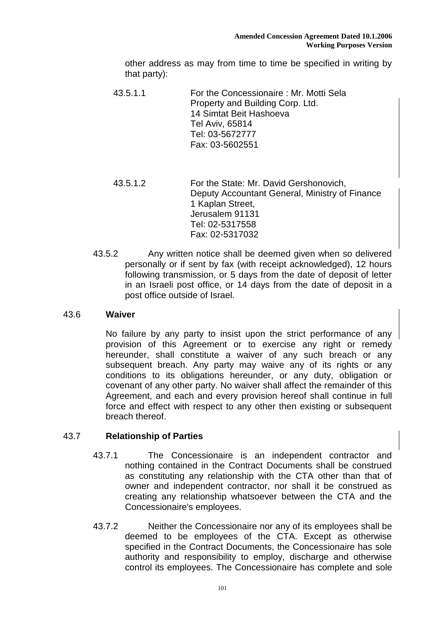other address as may from time to time be specified in writing by that party):

43.5.1.1 For the Concessionaire : Mr. Motti Sela Property and Building Corp. Ltd. 14 Simtat Beit Hashoeva Tel Aviv, 65814 Tel: 03-5672777 Fax: 03-5602551

43.5.1.2 For the State: Mr. David Gershonovich, Deputy Accountant General, Ministry of Finance 1 Kaplan Street, Jerusalem 91131 Tel: 02-5317558 Fax: 02-5317032

43.5.2 Any written notice shall be deemed given when so delivered personally or if sent by fax (with receipt acknowledged), 12 hours following transmission, or 5 days from the date of deposit of letter in an Israeli post office, or 14 days from the date of deposit in a post office outside of Israel.

#### 43.6 **Waiver**

No failure by any party to insist upon the strict performance of any provision of this Agreement or to exercise any right or remedy hereunder, shall constitute a waiver of any such breach or any subsequent breach. Any party may waive any of its rights or any conditions to its obligations hereunder, or any duty, obligation or covenant of any other party. No waiver shall affect the remainder of this Agreement, and each and every provision hereof shall continue in full force and effect with respect to any other then existing or subsequent breach thereof.

## 43.7 **Relationship of Parties**

- 43.7.1 The Concessionaire is an independent contractor and nothing contained in the Contract Documents shall be construed as constituting any relationship with the CTA other than that of owner and independent contractor, nor shall it be construed as creating any relationship whatsoever between the CTA and the Concessionaire's employees.
- 43.7.2 Neither the Concessionaire nor any of its employees shall be deemed to be employees of the CTA. Except as otherwise specified in the Contract Documents, the Concessionaire has sole authority and responsibility to employ, discharge and otherwise control its employees. The Concessionaire has complete and sole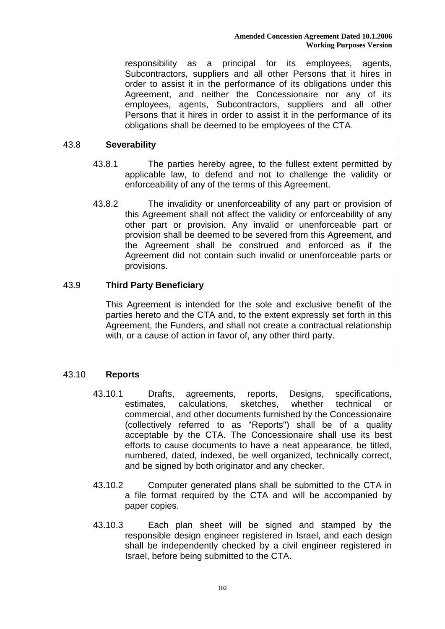responsibility as a principal for its employees, agents, Subcontractors, suppliers and all other Persons that it hires in order to assist it in the performance of its obligations under this Agreement, and neither the Concessionaire nor any of its employees, agents, Subcontractors, suppliers and all other Persons that it hires in order to assist it in the performance of its obligations shall be deemed to be employees of the CTA.

#### 43.8 **Severability**

- 43.8.1 The parties hereby agree, to the fullest extent permitted by applicable law, to defend and not to challenge the validity or enforceability of any of the terms of this Agreement.
- 43.8.2 The invalidity or unenforceability of any part or provision of this Agreement shall not affect the validity or enforceability of any other part or provision. Any invalid or unenforceable part or provision shall be deemed to be severed from this Agreement, and the Agreement shall be construed and enforced as if the Agreement did not contain such invalid or unenforceable parts or provisions.

## 43.9 **Third Party Beneficiary**

This Agreement is intended for the sole and exclusive benefit of the parties hereto and the CTA and, to the extent expressly set forth in this Agreement, the Funders, and shall not create a contractual relationship with, or a cause of action in favor of, any other third party.

#### 43.10 **Reports**

- 43.10.1 Drafts, agreements, reports, Designs, specifications, estimates, calculations, sketches, whether technical or commercial, and other documents furnished by the Concessionaire (collectively referred to as "Reports") shall be of a quality acceptable by the CTA. The Concessionaire shall use its best efforts to cause documents to have a neat appearance, be titled, numbered, dated, indexed, be well organized, technically correct, and be signed by both originator and any checker.
- 43.10.2 Computer generated plans shall be submitted to the CTA in a file format required by the CTA and will be accompanied by paper copies.
- 43.10.3 Each plan sheet will be signed and stamped by the responsible design engineer registered in Israel, and each design shall be independently checked by a civil engineer registered in Israel, before being submitted to the CTA.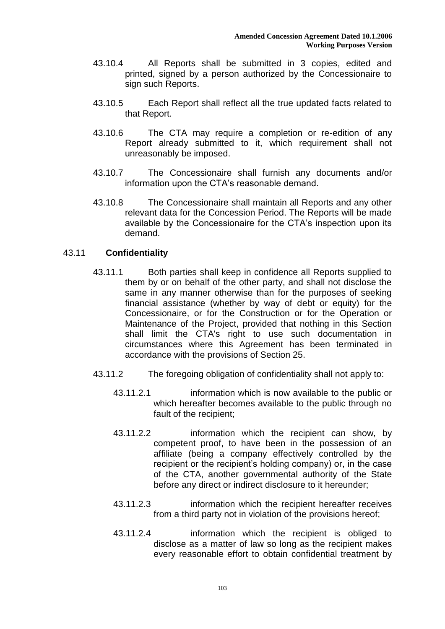- 43.10.4 All Reports shall be submitted in 3 copies, edited and printed, signed by a person authorized by the Concessionaire to sign such Reports.
- 43.10.5 Each Report shall reflect all the true updated facts related to that Report.
- 43.10.6 The CTA may require a completion or re-edition of any Report already submitted to it, which requirement shall not unreasonably be imposed.
- 43.10.7 The Concessionaire shall furnish any documents and/or information upon the CTA's reasonable demand.
- 43.10.8 The Concessionaire shall maintain all Reports and any other relevant data for the Concession Period. The Reports will be made available by the Concessionaire for the CTA's inspection upon its demand.

#### 43.11 **Confidentiality**

- 43.11.1 Both parties shall keep in confidence all Reports supplied to them by or on behalf of the other party, and shall not disclose the same in any manner otherwise than for the purposes of seeking financial assistance (whether by way of debt or equity) for the Concessionaire, or for the Construction or for the Operation or Maintenance of the Project, provided that nothing in this Section shall limit the CTA's right to use such documentation in circumstances where this Agreement has been terminated in accordance with the provisions of Section 25.
- 43.11.2 The foregoing obligation of confidentiality shall not apply to:
	- 43.11.2.1 information which is now available to the public or which hereafter becomes available to the public through no fault of the recipient;
	- 43.11.2.2 information which the recipient can show, by competent proof, to have been in the possession of an affiliate (being a company effectively controlled by the recipient or the recipient's holding company) or, in the case of the CTA, another governmental authority of the State before any direct or indirect disclosure to it hereunder;
	- 43.11.2.3 information which the recipient hereafter receives from a third party not in violation of the provisions hereof;
	- 43.11.2.4 information which the recipient is obliged to disclose as a matter of law so long as the recipient makes every reasonable effort to obtain confidential treatment by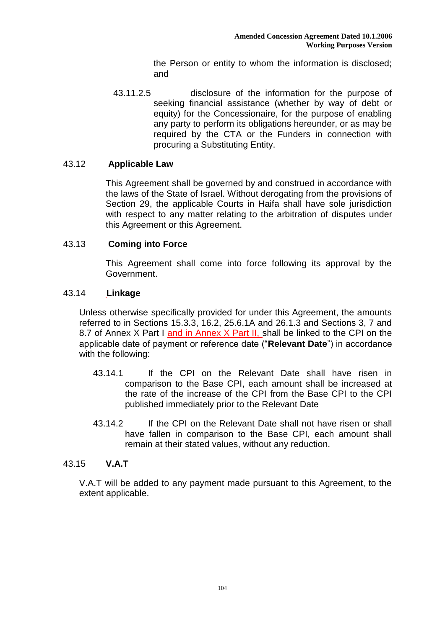the Person or entity to whom the information is disclosed; and

43.11.2.5 disclosure of the information for the purpose of seeking financial assistance (whether by way of debt or equity) for the Concessionaire, for the purpose of enabling any party to perform its obligations hereunder, or as may be required by the CTA or the Funders in connection with procuring a Substituting Entity.

## 43.12 **Applicable Law**

This Agreement shall be governed by and construed in accordance with the laws of the State of Israel. Without derogating from the provisions of Section 29, the applicable Courts in Haifa shall have sole jurisdiction with respect to any matter relating to the arbitration of disputes under this Agreement or this Agreement.

# 43.13 **Coming into Force**

This Agreement shall come into force following its approval by the Government.

## 43.14 **Linkage**

Unless otherwise specifically provided for under this Agreement, the amounts referred to in Sections 15.3.3, 16.2, 25.6.1A and 26.1.3 and Sections 3, 7 and 8.7 of Annex X Part I and in Annex X Part II, shall be linked to the CPI on the applicable date of payment or reference date ("**Relevant Date**") in accordance with the following:

- 43.14.1 If the CPI on the Relevant Date shall have risen in comparison to the Base CPI, each amount shall be increased at the rate of the increase of the CPI from the Base CPI to the CPI published immediately prior to the Relevant Date
- 43.14.2 If the CPI on the Relevant Date shall not have risen or shall have fallen in comparison to the Base CPI, each amount shall remain at their stated values, without any reduction.

# 43.15 **V.A.T**

V.A.T will be added to any payment made pursuant to this Agreement, to the extent applicable.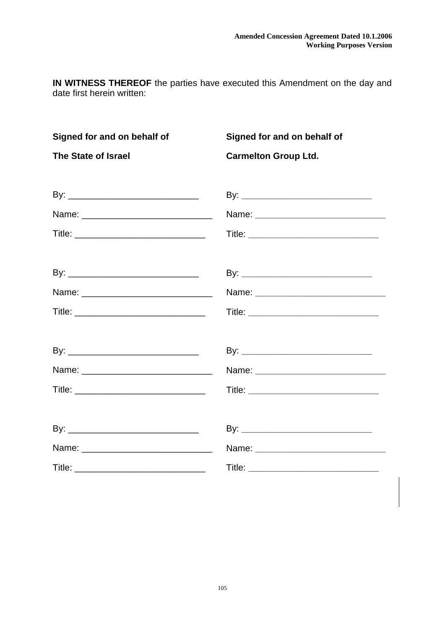**IN WITNESS THEREOF** the parties have executed this Amendment on the day and date first herein written:

| Signed for and on behalf of | Signed for and on behalf of |
|-----------------------------|-----------------------------|
| The State of Israel         | <b>Carmelton Group Ltd.</b> |
|                             |                             |
|                             |                             |
|                             |                             |
|                             |                             |
|                             |                             |
|                             |                             |
|                             |                             |
|                             |                             |
|                             |                             |
|                             |                             |
|                             |                             |
|                             |                             |
|                             |                             |
|                             |                             |
|                             |                             |
|                             |                             |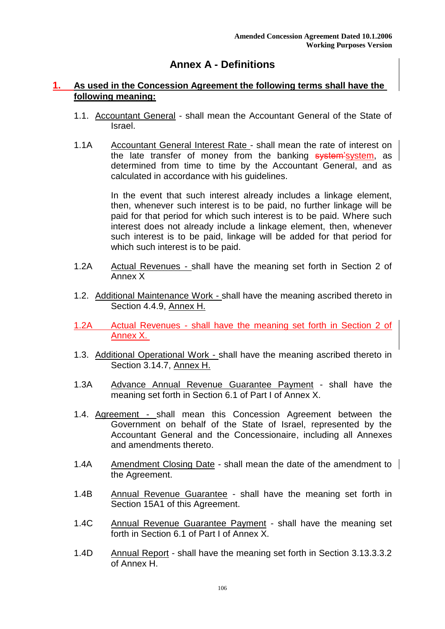# **Annex A - Definitions**

# **1. As used in the Concession Agreement the following terms shall have the following meaning:**

- 1.1. Accountant General shall mean the Accountant General of the State of Israel.
- 1.1A Accountant General Interest Rate shall mean the rate of interest on the late transfer of money from the banking system'system, as determined from time to time by the Accountant General, and as calculated in accordance with his guidelines.

In the event that such interest already includes a linkage element, then, whenever such interest is to be paid, no further linkage will be paid for that period for which such interest is to be paid. Where such interest does not already include a linkage element, then, whenever such interest is to be paid, linkage will be added for that period for which such interest is to be paid.

- 1.2A Actual Revenues shall have the meaning set forth in Section 2 of Annex X
- 1.2. Additional Maintenance Work shall have the meaning ascribed thereto in Section 4.4.9, Annex H.
- 1.2A Actual Revenues shall have the meaning set forth in Section 2 of Annex X.
- 1.3. Additional Operational Work shall have the meaning ascribed thereto in Section 3.14.7, Annex H.
- 1.3A Advance Annual Revenue Guarantee Payment shall have the meaning set forth in Section 6.1 of Part I of Annex X.
- 1.4. Agreement shall mean this Concession Agreement between the Government on behalf of the State of Israel, represented by the Accountant General and the Concessionaire, including all Annexes and amendments thereto.
- 1.4A Amendment Closing Date shall mean the date of the amendment to | the Agreement.
- 1.4B Annual Revenue Guarantee shall have the meaning set forth in Section 15A1 of this Agreement.
- 1.4C Annual Revenue Guarantee Payment shall have the meaning set forth in Section 6.1 of Part I of Annex X.
- 1.4D Annual Report shall have the meaning set forth in Section 3.13.3.3.2 of Annex H.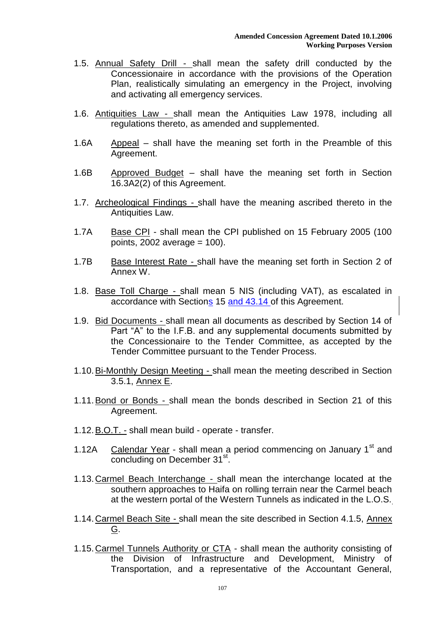- 1.5. Annual Safety Drill shall mean the safety drill conducted by the Concessionaire in accordance with the provisions of the Operation Plan, realistically simulating an emergency in the Project, involving and activating all emergency services.
- 1.6. Antiquities Law shall mean the Antiquities Law 1978, including all regulations thereto, as amended and supplemented.
- 1.6A Appeal shall have the meaning set forth in the Preamble of this Agreement.
- 1.6B Approved Budget shall have the meaning set forth in Section 16.3A2(2) of this Agreement.
- 1.7. Archeological Findings shall have the meaning ascribed thereto in the Antiquities Law.
- 1.7A Base CPI shall mean the CPI published on 15 February 2005 (100 points,  $2002$  average =  $100$ ).
- 1.7B Base Interest Rate shall have the meaning set forth in Section 2 of Annex W.
- 1.8. Base Toll Charge shall mean 5 NIS (including VAT), as escalated in accordance with Sections 15 and 43.14 of this Agreement.
- 1.9. Bid Documents shall mean all documents as described by Section 14 of Part "A" to the I.F.B. and any supplemental documents submitted by the Concessionaire to the Tender Committee, as accepted by the Tender Committee pursuant to the Tender Process.
- 1.10.Bi-Monthly Design Meeting shall mean the meeting described in Section 3.5.1, Annex E.
- 1.11.Bond or Bonds shall mean the bonds described in Section 21 of this Agreement.
- 1.12.B.O.T. shall mean build operate transfer.
- 1.12A Calendar Year shall mean a period commencing on January 1<sup>st</sup> and concluding on December 31<sup>st</sup>.
- 1.13.Carmel Beach Interchange shall mean the interchange located at the southern approaches to Haifa on rolling terrain near the Carmel beach at the western portal of the Western Tunnels as indicated in the L.O.S.
- 1.14.Carmel Beach Site shall mean the site described in Section 4.1.5, Annex G.
- 1.15.Carmel Tunnels Authority or CTA shall mean the authority consisting of the Division of Infrastructure and Development, Ministry of Transportation, and a representative of the Accountant General,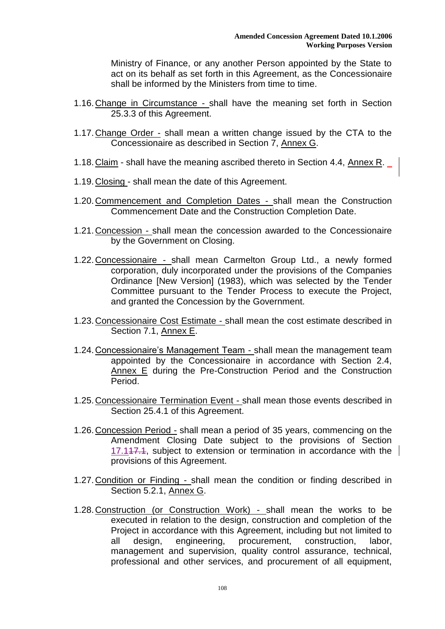Ministry of Finance, or any another Person appointed by the State to act on its behalf as set forth in this Agreement, as the Concessionaire shall be informed by the Ministers from time to time.

- 1.16.Change in Circumstance shall have the meaning set forth in Section 25.3.3 of this Agreement.
- 1.17.Change Order shall mean a written change issued by the CTA to the Concessionaire as described in Section 7, Annex G.
- 1.18. Claim shall have the meaning ascribed thereto in Section 4.4, Annex R. \_
- 1.19.Closing shall mean the date of this Agreement.
- 1.20.Commencement and Completion Dates shall mean the Construction Commencement Date and the Construction Completion Date.
- 1.21.Concession shall mean the concession awarded to the Concessionaire by the Government on Closing.
- 1.22.Concessionaire shall mean Carmelton Group Ltd., a newly formed corporation, duly incorporated under the provisions of the Companies Ordinance [New Version] (1983), which was selected by the Tender Committee pursuant to the Tender Process to execute the Project, and granted the Concession by the Government.
- 1.23.Concessionaire Cost Estimate shall mean the cost estimate described in Section 7.1, Annex E.
- 1.24.Concessionaire's Management Team shall mean the management team appointed by the Concessionaire in accordance with Section 2.4, Annex E during the Pre-Construction Period and the Construction Period.
- 1.25.Concessionaire Termination Event shall mean those events described in Section 25.4.1 of this Agreement.
- 1.26.Concession Period shall mean a period of 35 years, commencing on the Amendment Closing Date subject to the provisions of Section 17.147.1, subject to extension or termination in accordance with the  $\parallel$ provisions of this Agreement.
- 1.27.Condition or Finding shall mean the condition or finding described in Section 5.2.1, Annex G.
- 1.28.Construction (or Construction Work) shall mean the works to be executed in relation to the design, construction and completion of the Project in accordance with this Agreement, including but not limited to all design, engineering, procurement, construction, labor, management and supervision, quality control assurance, technical, professional and other services, and procurement of all equipment,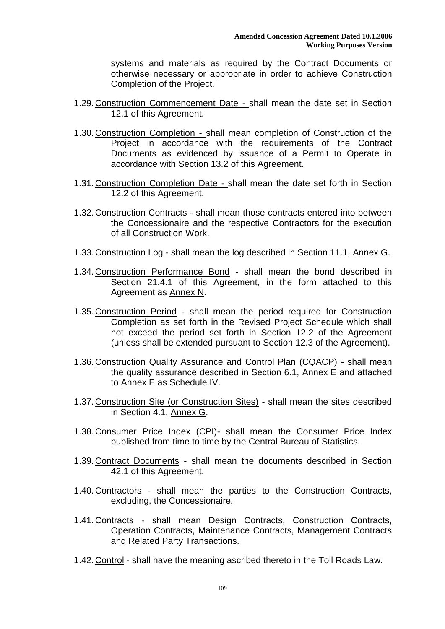systems and materials as required by the Contract Documents or otherwise necessary or appropriate in order to achieve Construction Completion of the Project.

- 1.29.Construction Commencement Date shall mean the date set in Section 12.1 of this Agreement.
- 1.30.Construction Completion shall mean completion of Construction of the Project in accordance with the requirements of the Contract Documents as evidenced by issuance of a Permit to Operate in accordance with Section 13.2 of this Agreement.
- 1.31.Construction Completion Date shall mean the date set forth in Section 12.2 of this Agreement.
- 1.32.Construction Contracts shall mean those contracts entered into between the Concessionaire and the respective Contractors for the execution of all Construction Work.
- 1.33.Construction Log shall mean the log described in Section 11.1, Annex G.
- 1.34.Construction Performance Bond shall mean the bond described in Section 21.4.1 of this Agreement, in the form attached to this Agreement as Annex N.
- 1.35.Construction Period shall mean the period required for Construction Completion as set forth in the Revised Project Schedule which shall not exceed the period set forth in Section 12.2 of the Agreement (unless shall be extended pursuant to Section 12.3 of the Agreement).
- 1.36.Construction Quality Assurance and Control Plan (CQACP) shall mean the quality assurance described in Section 6.1, Annex E and attached to Annex E as Schedule IV.
- 1.37.Construction Site (or Construction Sites) shall mean the sites described in Section 4.1, Annex G.
- 1.38.Consumer Price Index (CPI)- shall mean the Consumer Price Index published from time to time by the Central Bureau of Statistics.
- 1.39.Contract Documents shall mean the documents described in Section 42.1 of this Agreement.
- 1.40.Contractors shall mean the parties to the Construction Contracts, excluding, the Concessionaire*.*
- 1.41.Contracts shall mean Design Contracts, Construction Contracts, Operation Contracts, Maintenance Contracts, Management Contracts and Related Party Transactions.
- 1.42.Control shall have the meaning ascribed thereto in the Toll Roads Law.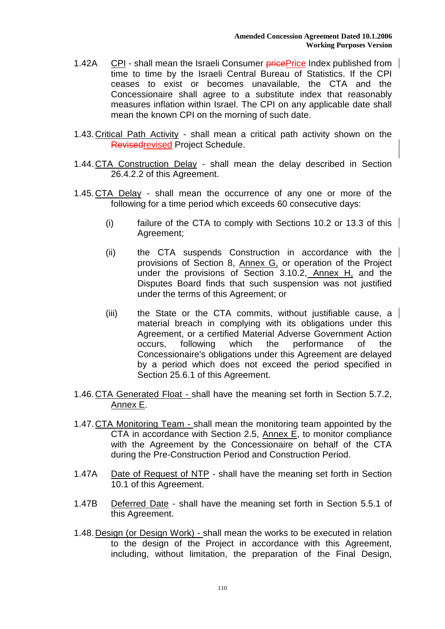- 1.42A CPI shall mean the Israeli Consumer pricePrice Index published from | time to time by the Israeli Central Bureau of Statistics. If the CPI ceases to exist or becomes unavailable, the CTA and the Concessionaire shall agree to a substitute index that reasonably measures inflation within Israel. The CPI on any applicable date shall mean the known CPI on the morning of such date.
- 1.43.Critical Path Activity shall mean a critical path activity shown on the Revisedrevised Project Schedule.
- 1.44.CTA Construction Delay shall mean the delay described in Section 26.4.2.2 of this Agreement.
- 1.45.CTA Delay shall mean the occurrence of any one or more of the following for a time period which exceeds 60 consecutive days:
	- $(i)$  failure of the CTA to comply with Sections 10.2 or 13.3 of this  $\vert$ Agreement;
	- $(ii)$  the CTA suspends Construction in accordance with the provisions of Section 8, Annex G, or operation of the Project under the provisions of Section 3.10.2, Annex H, and the Disputes Board finds that such suspension was not justified under the terms of this Agreement; or
	- (iii) the State or the CTA commits, without justifiable cause, a  $\vert$ material breach in complying with its obligations under this Agreement, or a certified Material Adverse Government Action occurs, following which the performance of the Concessionaire's obligations under this Agreement are delayed by a period which does not exceed the period specified in Section 25.6.1 of this Agreement.
- 1.46.CTA Generated Float shall have the meaning set forth in Section 5.7.2, Annex E.
- 1.47.CTA Monitoring Team shall mean the monitoring team appointed by the CTA in accordance with Section 2.5,  $\Delta$ nnex  $E$ , to monitor compliance with the Agreement by the Concessionaire on behalf of the CTA during the Pre-Construction Period and Construction Period.
- 1.47A Date of Request of NTP shall have the meaning set forth in Section [10.1](#page-18-0) of this Agreement.
- 1.47B Deferred Date shall have the meaning set forth in Section 5.5.1 of this Agreement.
- 1.48.Design (or Design Work) shall mean the works to be executed in relation to the design of the Project in accordance with this Agreement, including, without limitation, the preparation of the Final Design,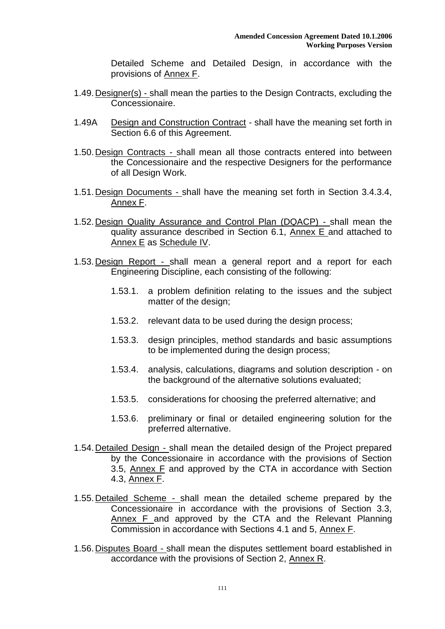Detailed Scheme and Detailed Design, in accordance with the provisions of Annex F.

- 1.49. Designer(s) shall mean the parties to the Design Contracts, excluding the Concessionaire.
- 1.49A Design and Construction Contract shall have the meaning set forth in Section [6.6](#page-12-0) of this Agreement.
- 1.50.Design Contracts shall mean all those contracts entered into between the Concessionaire and the respective Designers for the performance of all Design Work.
- 1.51.Design Documents shall have the meaning set forth in Section 3.4.3.4, Annex F.
- 1.52.Design Quality Assurance and Control Plan (DQACP) shall mean the quality assurance described in Section 6.1, Annex E and attached to Annex E as Schedule IV.
- 1.53.Design Report shall mean a general report and a report for each Engineering Discipline, each consisting of the following:
	- 1.53.1. a problem definition relating to the issues and the subject matter of the design;
	- 1.53.2. relevant data to be used during the design process;
	- 1.53.3. design principles, method standards and basic assumptions to be implemented during the design process;
	- 1.53.4. analysis, calculations, diagrams and solution description on the background of the alternative solutions evaluated;
	- 1.53.5. considerations for choosing the preferred alternative; and
	- 1.53.6. preliminary or final or detailed engineering solution for the preferred alternative.
- 1.54.Detailed Design shall mean the detailed design of the Project prepared by the Concessionaire in accordance with the provisions of Section 3.5, Annex F and approved by the CTA in accordance with Section 4.3, Annex F.
- 1.55.Detailed Scheme shall mean the detailed scheme prepared by the Concessionaire in accordance with the provisions of Section 3.3, Annex F and approved by the CTA and the Relevant Planning Commission in accordance with Sections 4.1 and 5, Annex F.
- 1.56.Disputes Board shall mean the disputes settlement board established in accordance with the provisions of Section 2, Annex R.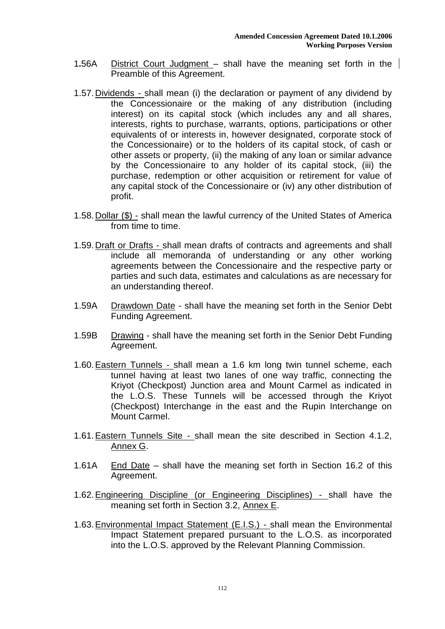- 1**.**56A District Court Judgment shall have the meaning set forth in the Preamble of this Agreement.
- 1.57.Dividends shall mean (i) the declaration or payment of any dividend by the Concessionaire or the making of any distribution (including interest) on its capital stock (which includes any and all shares, interests, rights to purchase, warrants, options, participations or other equivalents of or interests in, however designated, corporate stock of the Concessionaire) or to the holders of its capital stock, of cash or other assets or property, (ii) the making of any loan or similar advance by the Concessionaire to any holder of its capital stock, (iii) the purchase, redemption or other acquisition or retirement for value of any capital stock of the Concessionaire or (iv) any other distribution of profit.
- 1.58. Dollar (\$) shall mean the lawful currency of the United States of America from time to time.
- 1.59.Draft or Drafts shall mean drafts of contracts and agreements and shall include all memoranda of understanding or any other working agreements between the Concessionaire and the respective party or parties and such data, estimates and calculations as are necessary for an understanding thereof.
- 1.59A Drawdown Date shall have the meaning set forth in the Senior Debt Funding Agreement.
- 1.59B Drawing shall have the meaning set forth in the Senior Debt Funding Agreement.
- 1.60.Eastern Tunnels shall mean a 1.6 km long twin tunnel scheme, each tunnel having at least two lanes of one way traffic, connecting the Kriyot (Checkpost) Junction area and Mount Carmel as indicated in the L.O.S. These Tunnels will be accessed through the Kriyot (Checkpost) Interchange in the east and the Rupin Interchange on Mount Carmel.
- 1.61.Eastern Tunnels Site shall mean the site described in Section 4.1.2, Annex G.
- 1.61A End Date shall have the meaning set forth in Section [16.2](#page-27-0) of this Agreement.
- 1.62.Engineering Discipline (or Engineering Disciplines) shall have the meaning set forth in Section 3.2, Annex E.
- 1.63.Environmental Impact Statement (E.I.S.) shall mean the Environmental Impact Statement prepared pursuant to the L.O.S. as incorporated into the L.O.S. approved by the Relevant Planning Commission.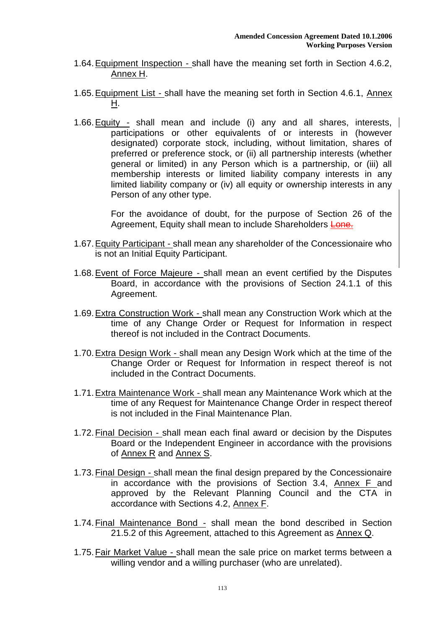- 1.64.Equipment Inspection shall have the meaning set forth in Section 4.6.2, Annex H.
- 1.65.Equipment List shall have the meaning set forth in Section 4.6.1, Annex H.
- 1.66.Equity shall mean and include (i) any and all shares, interests, participations or other equivalents of or interests in (however designated) corporate stock, including, without limitation, shares of preferred or preference stock, or (ii) all partnership interests (whether general or limited) in any Person which is a partnership, or (iii) all membership interests or limited liability company interests in any limited liability company or (iv) all equity or ownership interests in any Person of any other type.

For the avoidance of doubt, for the purpose of Section 26 of the Agreement, Equity shall mean to include Shareholders Lone.

- 1.67. Equity Participant shall mean any shareholder of the Concessionaire who is not an Initial Equity Participant.
- 1.68.Event of Force Majeure shall mean an event certified by the Disputes Board, in accordance with the provisions of Section 24.1.1 of this Agreement.
- 1.69.Extra Construction Work shall mean any Construction Work which at the time of any Change Order or Request for Information in respect thereof is not included in the Contract Documents.
- 1.70.Extra Design Work shall mean any Design Work which at the time of the Change Order or Request for Information in respect thereof is not included in the Contract Documents.
- 1.71. Extra Maintenance Work shall mean any Maintenance Work which at the time of any Request for Maintenance Change Order in respect thereof is not included in the Final Maintenance Plan.
- 1.72.Final Decision shall mean each final award or decision by the Disputes Board or the Independent Engineer in accordance with the provisions of Annex R and Annex S.
- 1.73.Final Design shall mean the final design prepared by the Concessionaire in accordance with the provisions of Section 3.4, Annex F and approved by the Relevant Planning Council and the CTA in accordance with Sections 4.2, Annex F.
- 1.74.Final Maintenance Bond shall mean the bond described in Section 21.5.2 of this Agreement, attached to this Agreement as Annex Q.
- 1.75.Fair Market Value shall mean the sale price on market terms between a willing vendor and a willing purchaser (who are unrelated).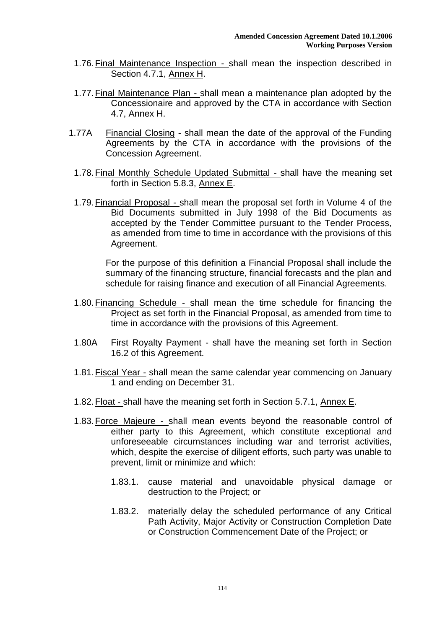- 1.76.Final Maintenance Inspection shall mean the inspection described in Section 4.7.1, Annex H.
- 1.77. Final Maintenance Plan shall mean a maintenance plan adopted by the Concessionaire and approved by the CTA in accordance with Section 4.7, Annex H.
- 1.77A Financial Closing shall mean the date of the approval of the Funding Agreements by the CTA in accordance with the provisions of the Concession Agreement.
	- 1.78. Final Monthly Schedule Updated Submittal shall have the meaning set forth in Section 5.8.3, Annex E.
	- 1.79.Financial Proposal shall mean the proposal set forth in Volume 4 of the Bid Documents submitted in July 1998 of the Bid Documents as accepted by the Tender Committee pursuant to the Tender Process, as amended from time to time in accordance with the provisions of this Agreement.

For the purpose of this definition a Financial Proposal shall include the summary of the financing structure, financial forecasts and the plan and schedule for raising finance and execution of all Financial Agreements.

- 1.80.Financing Schedule shall mean the time schedule for financing the Project as set forth in the Financial Proposal, as amended from time to time in accordance with the provisions of this Agreement.
- 1.80A First Royalty Payment shall have the meaning set forth in Section 16.2 of this Agreement.
- 1.81.Fiscal Year shall mean the same calendar year commencing on January 1 and ending on December 31.
- 1.82.Float shall have the meaning set forth in Section 5.7.1, Annex E.
- 1.83.Force Majeure shall mean events beyond the reasonable control of either party to this Agreement, which constitute exceptional and unforeseeable circumstances including war and terrorist activities, which, despite the exercise of diligent efforts, such party was unable to prevent, limit or minimize and which:
	- 1.83.1. cause material and unavoidable physical damage or destruction to the Project; or
	- 1.83.2. materially delay the scheduled performance of any Critical Path Activity, Major Activity or Construction Completion Date or Construction Commencement Date of the Project; or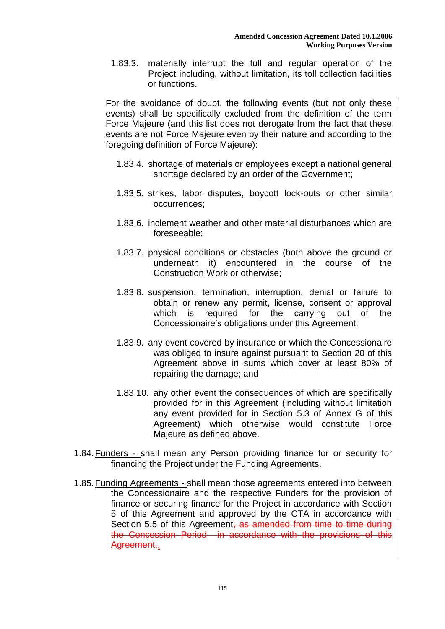1.83.3. materially interrupt the full and regular operation of the Project including, without limitation, its toll collection facilities or functions.

For the avoidance of doubt, the following events (but not only these | events) shall be specifically excluded from the definition of the term Force Majeure (and this list does not derogate from the fact that these events are not Force Majeure even by their nature and according to the foregoing definition of Force Majeure):

- 1.83.4. shortage of materials or employees except a national general shortage declared by an order of the Government;
- 1.83.5. strikes, labor disputes, boycott lock-outs or other similar occurrences;
- 1.83.6. inclement weather and other material disturbances which are foreseeable;
- 1.83.7. physical conditions or obstacles (both above the ground or underneath it) encountered in the course of the Construction Work or otherwise;
- 1.83.8. suspension, termination, interruption, denial or failure to obtain or renew any permit, license, consent or approval which is required for the carrying out of the Concessionaire's obligations under this Agreement;
- 1.83.9. any event covered by insurance or which the Concessionaire was obliged to insure against pursuant to Section 20 of this Agreement above in sums which cover at least 80% of repairing the damage; and
- 1.83.10. any other event the consequences of which are specifically provided for in this Agreement (including without limitation any event provided for in Section 5.3 of Annex G of this Agreement) which otherwise would constitute Force Majeure as defined above.
- 1.84.Funders shall mean any Person providing finance for or security for financing the Project under the Funding Agreements.
- 1.85.Funding Agreements shall mean those agreements entered into between the Concessionaire and the respective Funders for the provision of finance or securing finance for the Project in accordance with Section 5 of this Agreement and approved by the CTA in accordance with Section 5.5 of this Agreement, as amended from time to time during the Concession Period in accordance with the provisions of this Agreement..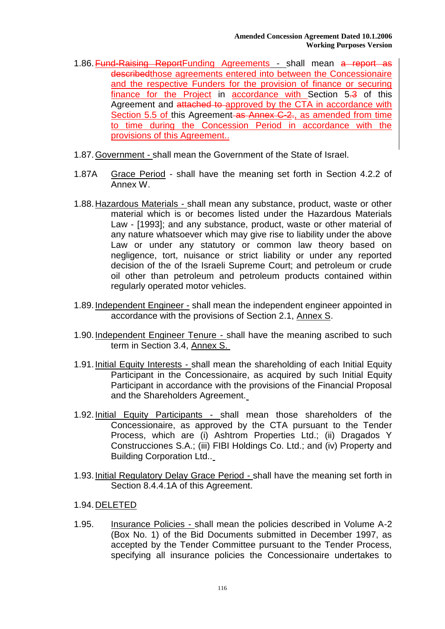- 1.86. Fund-Raising Report Funding Agreements shall mean a report as describedthose agreements entered into between the Concessionaire and the respective Funders for the provision of finance or securing finance for the Project in accordance with Section 5.3 of this Agreement and attached to approved by the CTA in accordance with Section 5.5 of this Agreement as Annex C-2., as amended from time to time during the Concession Period in accordance with the provisions of this Agreement..
- 1.87.Government shall mean the Government of the State of Israel.
- 1.87A Grace Period shall have the meaning set forth in Section 4.2.2 of Annex W.
- 1.88.Hazardous Materials shall mean any substance, product, waste or other material which is or becomes listed under the Hazardous Materials Law - [1993]; and any substance, product, waste or other material of any nature whatsoever which may give rise to liability under the above Law or under any statutory or common law theory based on negligence, tort, nuisance or strict liability or under any reported decision of the of the Israeli Supreme Court; and petroleum or crude oil other than petroleum and petroleum products contained within regularly operated motor vehicles.
- 1.89. Independent Engineer shall mean the independent engineer appointed in accordance with the provisions of Section 2.1, Annex S.
- 1.90. Independent Engineer Tenure shall have the meaning ascribed to such term in Section 3.4, Annex S.
- 1.91.Initial Equity Interests shall mean the shareholding of each Initial Equity Participant in the Concessionaire, as acquired by such Initial Equity Participant in accordance with the provisions of the Financial Proposal and the Shareholders Agreement.
- 1.92.Initial Equity Participants shall mean those shareholders of the Concessionaire, as approved by the CTA pursuant to the Tender Process, which are (i) Ashtrom Properties Ltd.; (ii) Dragados Y Construcciones S.A.; (iii) FIBI Holdings Co. Ltd.; and (iv) Property and Building Corporation Ltd..
- 1.93.Initial Regulatory Delay Grace Period shall have the meaning set forth in Section 8.4.4.1A of this Agreement.
- 1.94.DELETED
- 1.95. Insurance Policies shall mean the policies described in Volume A-2 (Box No. 1) of the Bid Documents submitted in December 1997, as accepted by the Tender Committee pursuant to the Tender Process, specifying all insurance policies the Concessionaire undertakes to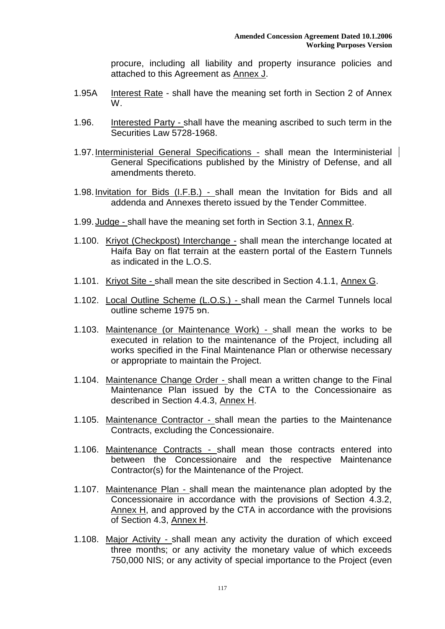procure, including all liability and property insurance policies and attached to this Agreement as Annex J.

- 1.95A Interest Rate shall have the meaning set forth in Section 2 of Annex W.
- 1.96. Interested Party shall have the meaning ascribed to such term in the Securities Law 5728-1968.
- 1.97.Interministerial General Specifications shall mean the Interministerial General Specifications published by the Ministry of Defense, and all amendments thereto.
- 1.98.Invitation for Bids (I.F.B.) shall mean the Invitation for Bids and all addenda and Annexes thereto issued by the Tender Committee.
- 1.99. Judge shall have the meaning set forth in Section 3.1, Annex R.
- 1.100. Kriyot (Checkpost) Interchange shall mean the interchange located at Haifa Bay on flat terrain at the eastern portal of the Eastern Tunnels as indicated in the L.O.S.
- 1.101. Kriyot Site shall mean the site described in Section 4.1.1, Annex G.
- 1.102. Local Outline Scheme (L.O.S.) shall mean the Carmel Tunnels local outline scheme 1975 חפ.
- 1.103. Maintenance (or Maintenance Work) shall mean the works to be executed in relation to the maintenance of the Project, including all works specified in the Final Maintenance Plan or otherwise necessary or appropriate to maintain the Project.
- 1.104. Maintenance Change Order shall mean a written change to the Final Maintenance Plan issued by the CTA to the Concessionaire as described in Section 4.4.3, Annex H.
- 1.105. Maintenance Contractor shall mean the parties to the Maintenance Contracts, excluding the Concessionaire.
- 1.106. Maintenance Contracts shall mean those contracts entered into between the Concessionaire and the respective Maintenance Contractor(s) for the Maintenance of the Project.
- 1.107. Maintenance Plan shall mean the maintenance plan adopted by the Concessionaire in accordance with the provisions of Section 4.3.2, Annex H, and approved by the CTA in accordance with the provisions of Section 4.3, Annex H.
- 1.108. Major Activity shall mean any activity the duration of which exceed three months; or any activity the monetary value of which exceeds 750,000 NIS; or any activity of special importance to the Project (even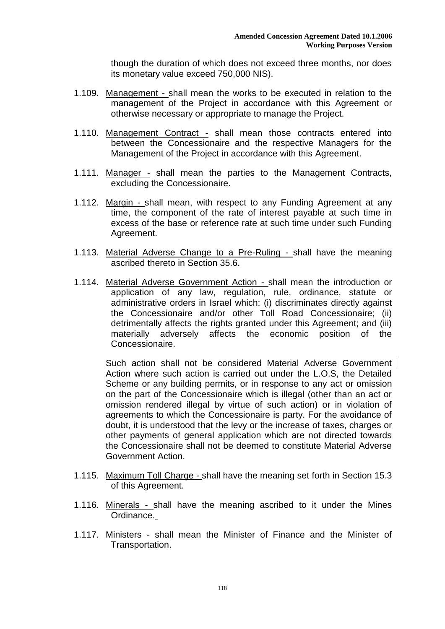though the duration of which does not exceed three months, nor does its monetary value exceed 750,000 NIS).

- 1.109. Management shall mean the works to be executed in relation to the management of the Project in accordance with this Agreement or otherwise necessary or appropriate to manage the Project.
- 1.110. Management Contract shall mean those contracts entered into between the Concessionaire and the respective Managers for the Management of the Project in accordance with this Agreement.
- 1.111. Manager shall mean the parties to the Management Contracts, excluding the Concessionaire.
- 1.112. Margin shall mean, with respect to any Funding Agreement at any time, the component of the rate of interest payable at such time in excess of the base or reference rate at such time under such Funding Agreement.
- 1.113. Material Adverse Change to a Pre-Ruling shall have the meaning ascribed thereto in Section 35.6.
- 1.114. Material Adverse Government Action shall mean the introduction or application of any law, regulation, rule, ordinance, statute or administrative orders in Israel which: (i) discriminates directly against the Concessionaire and/or other Toll Road Concessionaire; (ii) detrimentally affects the rights granted under this Agreement; and (iii) materially adversely affects the economic position of the Concessionaire.

Such action shall not be considered Material Adverse Government Action where such action is carried out under the L.O.S, the Detailed Scheme or any building permits, or in response to any act or omission on the part of the Concessionaire which is illegal (other than an act or omission rendered illegal by virtue of such action) or in violation of agreements to which the Concessionaire is party. For the avoidance of doubt, it is understood that the levy or the increase of taxes, charges or other payments of general application which are not directed towards the Concessionaire shall not be deemed to constitute Material Adverse Government Action.

- 1.115. Maximum Toll Charge shall have the meaning set forth in Section 15.3 of this Agreement.
- 1.116. Minerals shall have the meaning ascribed to it under the Mines Ordinance.
- 1.117. Ministers shall mean the Minister of Finance and the Minister of Transportation.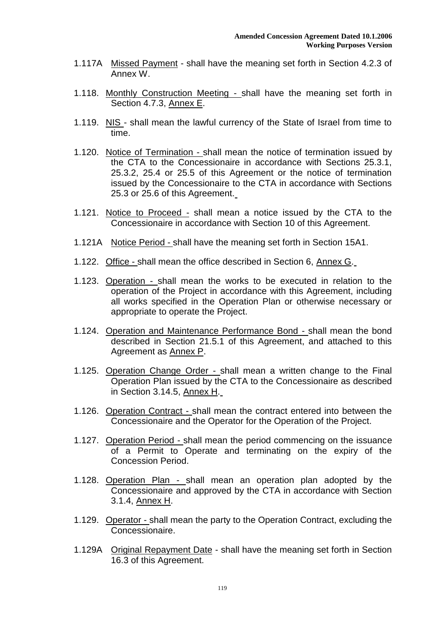- 1.117A Missed Payment shall have the meaning set forth in Section 4.2.3 of Annex W.
- 1.118. Monthly Construction Meeting shall have the meaning set forth in Section 4.7.3, Annex E.
- 1.119. NIS shall mean the lawful currency of the State of Israel from time to time.
- 1.120. Notice of Termination shall mean the notice of termination issued by the CTA to the Concessionaire in accordance with Sections 25.3.1, 25.3.2, 25.4 or 25.5 of this Agreement or the notice of termination issued by the Concessionaire to the CTA in accordance with Sections 25.3 or 25.6 of this Agreement.
- 1.121. Notice to Proceed shall mean a notice issued by the CTA to the Concessionaire in accordance with Section 10 of this Agreement.
- 1.121A Notice Period shall have the meaning set forth in Section 15A1.
- 1.122. Office shall mean the office described in Section 6, Annex G.
- 1.123. Operation shall mean the works to be executed in relation to the operation of the Project in accordance with this Agreement, including all works specified in the Operation Plan or otherwise necessary or appropriate to operate the Project.
- 1.124. Operation and Maintenance Performance Bond shall mean the bond described in Section 21.5.1 of this Agreement, and attached to this Agreement as Annex P.
- 1.125. Operation Change Order shall mean a written change to the Final Operation Plan issued by the CTA to the Concessionaire as described in Section 3.14.5, Annex H.
- 1.126. Operation Contract shall mean the contract entered into between the Concessionaire and the Operator for the Operation of the Project.
- 1.127. Operation Period shall mean the period commencing on the issuance of a Permit to Operate and terminating on the expiry of the Concession Period.
- 1.128. Operation Plan shall mean an operation plan adopted by the Concessionaire and approved by the CTA in accordance with Section 3.1.4, Annex H.
- 1.129. Operator shall mean the party to the Operation Contract, excluding the Concessionaire.
- 1.129A Original Repayment Date shall have the meaning set forth in Section 16.3 of this Agreement.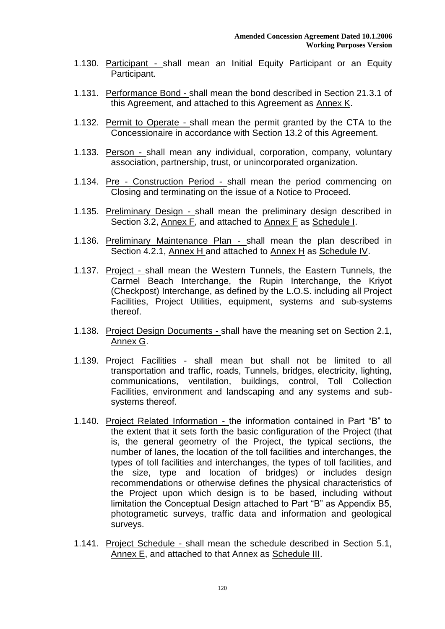- 1.130. Participant shall mean an Initial Equity Participant or an Equity Participant.
- 1.131. Performance Bond shall mean the bond described in Section 21.3.1 of this Agreement, and attached to this Agreement as Annex K.
- 1.132. Permit to Operate shall mean the permit granted by the CTA to the Concessionaire in accordance with Section 13.2 of this Agreement.
- 1.133. Person shall mean any individual, corporation, company, voluntary association, partnership, trust, or unincorporated organization.
- 1.134. Pre Construction Period shall mean the period commencing on Closing and terminating on the issue of a Notice to Proceed.
- 1.135. Preliminary Design shall mean the preliminary design described in Section 3.2, Annex F, and attached to Annex F as Schedule I.
- 1.136. Preliminary Maintenance Plan shall mean the plan described in Section 4.2.1, Annex H and attached to Annex H as Schedule IV.
- 1.137. Project shall mean the Western Tunnels, the Eastern Tunnels, the Carmel Beach Interchange, the Rupin Interchange, the Kriyot (Checkpost) Interchange, as defined by the L.O.S. including all Project Facilities, Project Utilities, equipment, systems and sub-systems thereof.
- 1.138. Project Design Documents shall have the meaning set on Section 2.1, Annex G.
- 1.139. Project Facilities shall mean but shall not be limited to all transportation and traffic, roads, Tunnels, bridges, electricity, lighting, communications, ventilation, buildings, control, Toll Collection Facilities, environment and landscaping and any systems and subsystems thereof.
- 1.140. Project Related Information the information contained in Part "B" to the extent that it sets forth the basic configuration of the Project (that is, the general geometry of the Project, the typical sections, the number of lanes, the location of the toll facilities and interchanges, the types of toll facilities and interchanges, the types of toll facilities, and the size, type and location of bridges) or includes design recommendations or otherwise defines the physical characteristics of the Project upon which design is to be based, including without limitation the Conceptual Design attached to Part "B" as Appendix B5, photogrametic surveys, traffic data and information and geological surveys.
- 1.141. Project Schedule shall mean the schedule described in Section 5.1, Annex E, and attached to that Annex as Schedule III.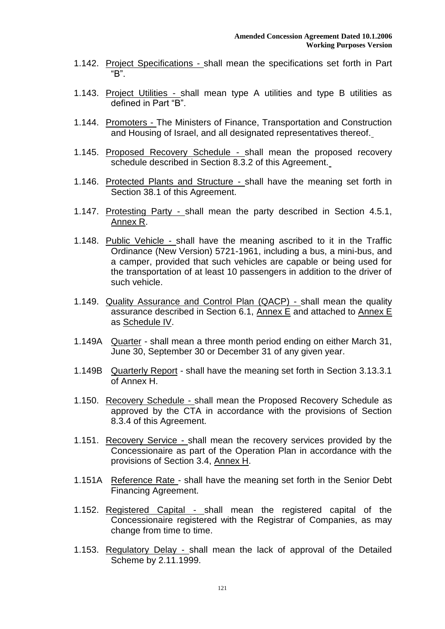- 1.142. Project Specifications shall mean the specifications set forth in Part "B".
- 1.143. Project Utilities shall mean type A utilities and type B utilities as defined in Part "B".
- 1.144. Promoters The Ministers of Finance, Transportation and Construction and Housing of Israel, and all designated representatives thereof.
- 1.145. Proposed Recovery Schedule shall mean the proposed recovery schedule described in Section 8.3.2 of this Agreement.
- 1.146. Protected Plants and Structure shall have the meaning set forth in Section 38.1 of this Agreement.
- 1.147. Protesting Party shall mean the party described in Section 4.5.1, Annex R.
- 1.148. Public Vehicle shall have the meaning ascribed to it in the Traffic Ordinance (New Version) 5721-1961, including a bus, a mini-bus, and a camper, provided that such vehicles are capable or being used for the transportation of at least 10 passengers in addition to the driver of such vehicle.
- 1.149. Quality Assurance and Control Plan (QACP) shall mean the quality assurance described in Section 6.1, Annex E and attached to Annex E as Schedule IV.
- 1.149A Quarter shall mean a three month period ending on either March 31, June 30, September 30 or December 31 of any given year.
- 1.149B Quarterly Report shall have the meaning set forth in Section 3.13.3.1 of Annex H.
- 1.150. Recovery Schedule shall mean the Proposed Recovery Schedule as approved by the CTA in accordance with the provisions of Section 8.3.4 of this Agreement.
- 1.151. Recovery Service shall mean the recovery services provided by the Concessionaire as part of the Operation Plan in accordance with the provisions of Section 3.4, Annex H.
- 1.151A Reference Rate shall have the meaning set forth in the Senior Debt Financing Agreement.
- 1.152. Registered Capital shall mean the registered capital of the Concessionaire registered with the Registrar of Companies, as may change from time to time.
- 1.153. Regulatory Delay shall mean the lack of approval of the Detailed Scheme by 2.11.1999.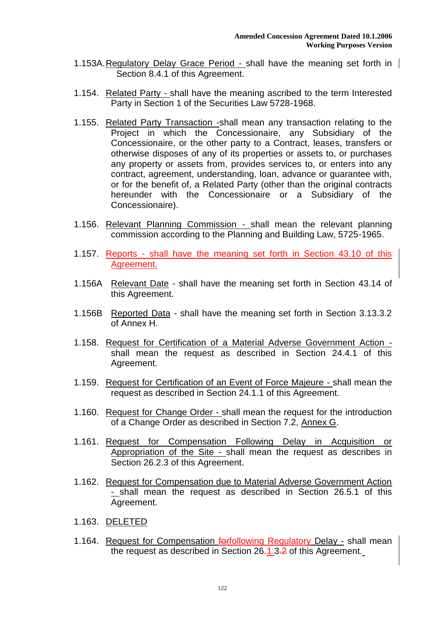- 1.153A. Regulatory Delay Grace Period shall have the meaning set forth in  $\vert$ Section 8.4.1 of this Agreement.
- 1.154. Related Party shall have the meaning ascribed to the term Interested Party in Section 1 of the Securities Law 5728-1968.
- 1.155. Related Party Transaction -shall mean any transaction relating to the Project in which the Concessionaire, any Subsidiary of the Concessionaire, or the other party to a Contract, leases, transfers or otherwise disposes of any of its properties or assets to, or purchases any property or assets from, provides services to, or enters into any contract, agreement, understanding, loan, advance or guarantee with, or for the benefit of, a Related Party (other than the original contracts hereunder with the Concessionaire or a Subsidiary of the Concessionaire).
- 1.156. Relevant Planning Commission shall mean the relevant planning commission according to the Planning and Building Law, 5725-1965.
- 1.157. Reports shall have the meaning set forth in Section 43.10 of this Agreement.
- 1.156A Relevant Date shall have the meaning set forth in Section [43.14](#page-103-0) of this Agreement.
- 1.156B Reported Data shall have the meaning set forth in Section 3.13.3.2 of Annex H.
- 1.158. Request for Certification of a Material Adverse Government Action shall mean the request as described in Section 24.4.1 of this Agreement.
- 1.159. Request for Certification of an Event of Force Majeure shall mean the request as described in Section 24.1.1 of this Agreement.
- 1.160. Request for Change Order shall mean the request for the introduction of a Change Order as described in Section 7.2, Annex G.
- 1.161. Request for Compensation Following Delay in Acquisition or Appropriation of the Site - shall mean the request as describes in Section 26.2.3 of this Agreement.
- 1.162. Request for Compensation due to Material Adverse Government Action - shall mean the request as described in Section 26.5.1 of this Agreement.
- 1.163. DELETED
- 1.164. Request for Compensation **forfollowing Regulatory Delay shall mean** the request as described in Section 26.1.3.2 of this Agreement.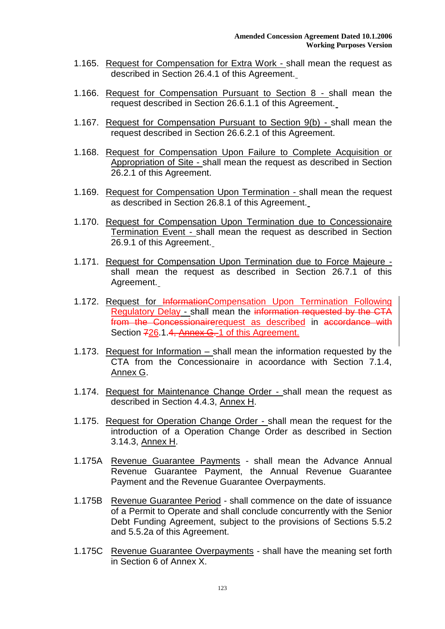- 1.165. Request for Compensation for Extra Work shall mean the request as described in Section 26.4.1 of this Agreement.
- 1.166. Request for Compensation Pursuant to Section 8 shall mean the request described in Section 26.6.1.1 of this Agreement.
- 1.167. Request for Compensation Pursuant to Section 9(b) shall mean the request described in Section 26.6.2.1 of this Agreement.
- 1.168. Request for Compensation Upon Failure to Complete Acquisition or Appropriation of Site - shall mean the request as described in Section 26.2.1 of this Agreement.
- 1.169. Request for Compensation Upon Termination shall mean the request as described in Section 26.8.1 of this Agreement.
- 1.170. Request for Compensation Upon Termination due to Concessionaire Termination Event - shall mean the request as described in Section 26.9.1 of this Agreement.
- 1.171. Request for Compensation Upon Termination due to Force Majeure shall mean the request as described in Section 26.7.1 of this Agreement.
- 1.172. Request for InformationCompensation Upon Termination Following Regulatory Delay - shall mean the information requested by the CTA from the Concessionairerequest as described in accordance with Section 726.1.4, Annex G. 1 of this Agreement.
- 1.173. Request for Information shall mean the information requested by the CTA from the Concessionaire in acoordance with Section 7.1.4, Annex G.
- 1.174. Request for Maintenance Change Order shall mean the request as described in Section 4.4.3, Annex H.
- 1.175. Request for Operation Change Order shall mean the request for the introduction of a Operation Change Order as described in Section 3.14.3, Annex H.
- 1.175A Revenue Guarantee Payments shall mean the Advance Annual Revenue Guarantee Payment, the Annual Revenue Guarantee Payment and the Revenue Guarantee Overpayments.
- 1.175B Revenue Guarantee Period shall commence on the date of issuance of a Permit to Operate and shall conclude concurrently with the Senior Debt Funding Agreement, subject to the provisions of Sections 5.5.2 and 5.5.2a of this Agreement.
- 1.175C Revenue Guarantee Overpayments shall have the meaning set forth in Section 6 of Annex X.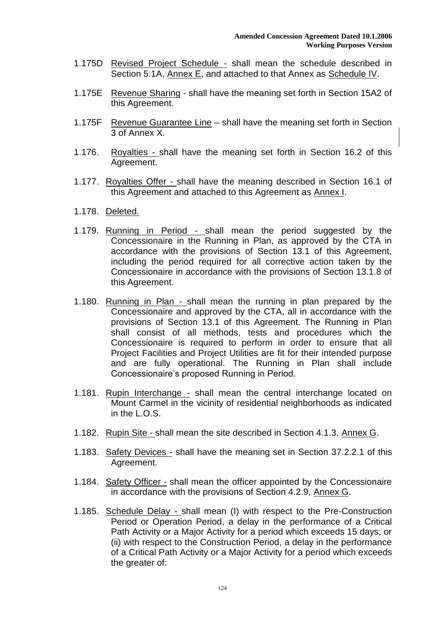- 1.175D Revised Project Schedule shall mean the schedule described in Section 5.1A, Annex E, and attached to that Annex as Schedule IV.
- 1.175E Revenue Sharing shall have the meaning set forth in Section 15A2 of this Agreement.
- 1.175F Revenue Guarantee Line shall have the meaning set forth in Section 3 of Annex X.
- 1.176. Royalties shall have the meaning set forth in Section 16.2 of this Agreement.
- 1.177. Royalties Offer shall have the meaning described in Section 16.1 of this Agreement and attached to this Agreement as Annex I.
- 1.178. Deleted.
- 1.179. Running in Period shall mean the period suggested by the Concessionaire in the Running in Plan, as approved by the CTA in accordance with the provisions of Section 13.1 of this Agreement, including the period required for all corrective action taken by the Concessionaire in accordance with the provisions of Section 13.1.8 of this Agreement.
- 1.180. Running in Plan shall mean the running in plan prepared by the Concessionaire and approved by the CTA, all in accordance with the provisions of Section 13.1 of this Agreement. The Running in Plan shall consist of all methods, tests and procedures which the Concessionaire is required to perform in order to ensure that all Project Facilities and Project Utilities are fit for their intended purpose and are fully operational. The Running in Plan shall include Concessionaire's proposed Running in Period.
- 1.181. Rupin Interchange shall mean the central interchange located on Mount Carmel in the vicinity of residential neighborhoods as indicated in the L.O.S.
- 1.182. Rupin Site shall mean the site described in Section 4.1.3, Annex G.
- 1.183. Safety Devices shall have the meaning set in Section 37.2.2.1 of this Agreement.
- 1.184. Safety Officer shall mean the officer appointed by the Concessionaire in accordance with the provisions of Section 4.2.9, Annex G.
- 1.185. Schedule Delay shall mean (I) with respect to the Pre-Construction Period or Operation Period, a delay in the performance of a Critical Path Activity or a Major Activity for a period which exceeds 15 days; or (ii) with respect to the Construction Period, a delay in the performance of a Critical Path Activity or a Major Activity for a period which exceeds the greater of: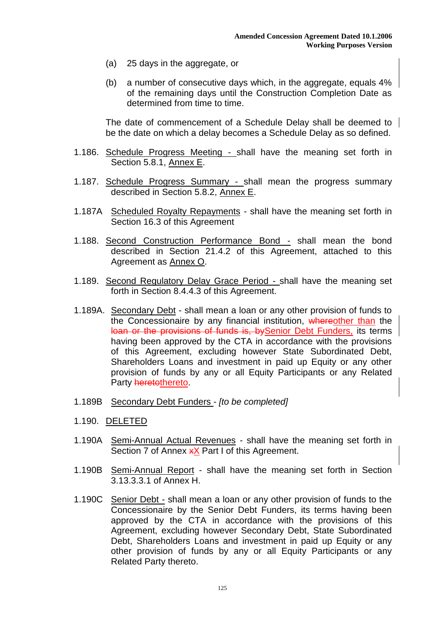- (a) 25 days in the aggregate, or
- (b) a number of consecutive days which, in the aggregate, equals 4% of the remaining days until the Construction Completion Date as determined from time to time.

The date of commencement of a Schedule Delay shall be deemed to be the date on which a delay becomes a Schedule Delay as so defined.

- 1.186. Schedule Progress Meeting shall have the meaning set forth in Section 5.8.1, Annex E.
- 1.187. Schedule Progress Summary shall mean the progress summary described in Section 5.8.2, Annex E.
- 1.187A Scheduled Royalty Repayments shall have the meaning set forth in Section 16.3 of this Agreement
- 1.188. Second Construction Performance Bond shall mean the bond described in Section 21.4.2 of this Agreement, attached to this Agreement as Annex O.
- 1.189. Second Regulatory Delay Grace Period shall have the meaning set forth in Section 8.4.4.3 of this Agreement.
- 1.189A. Secondary Debt shall mean a loan or any other provision of funds to the Concessionaire by any financial institution, whereother than the loan or the provisions of funds is, by Senior Debt Funders, its terms having been approved by the CTA in accordance with the provisions of this Agreement, excluding however State Subordinated Debt, Shareholders Loans and investment in paid up Equity or any other provision of funds by any or all Equity Participants or any Related Party heretothereto.
- 1.189B Secondary Debt Funders *[to be completed]*
- 1.190. DELETED
- 1.190A Semi-Annual Actual Revenues shall have the meaning set forth in Section 7 of Annex xX Part I of this Agreement.
- 1.190B Semi-Annual Report shall have the meaning set forth in Section 3.13.3.3.1 of Annex H.
- 1.190C Senior Debt shall mean a loan or any other provision of funds to the Concessionaire by the Senior Debt Funders, its terms having been approved by the CTA in accordance with the provisions of this Agreement, excluding however Secondary Debt, State Subordinated Debt, Shareholders Loans and investment in paid up Equity or any other provision of funds by any or all Equity Participants or any Related Party thereto.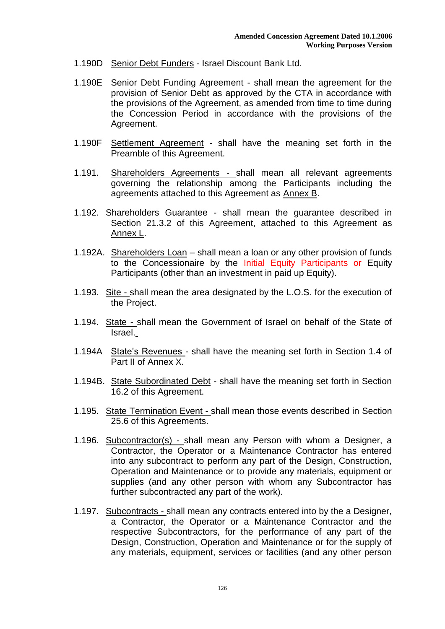- 1.190D Senior Debt Funders Israel Discount Bank Ltd.
- 1.190E Senior Debt Funding Agreement shall mean the agreement for the provision of Senior Debt as approved by the CTA in accordance with the provisions of the Agreement, as amended from time to time during the Concession Period in accordance with the provisions of the Agreement.
- 1.190F Settlement Agreement shall have the meaning set forth in the Preamble of this Agreement.
- 1.191. Shareholders Agreements shall mean all relevant agreements governing the relationship among the Participants including the agreements attached to this Agreement as Annex B.
- 1.192. Shareholders Guarantee shall mean the guarantee described in Section 21.3.2 of this Agreement, attached to this Agreement as Annex L.
- 1.192A. Shareholders Loan shall mean a loan or any other provision of funds to the Concessionaire by the  $\frac{1}{1}$  Equity Participants or Equity | Participants (other than an investment in paid up Equity).
- 1.193. Site shall mean the area designated by the L.O.S. for the execution of the Project.
- 1.194. State shall mean the Government of Israel on behalf of the State of Israel.
- 1.194A State's Revenues shall have the meaning set forth in Section 1.4 of Part II of Annex X.
- 1.194B. State Subordinated Debt shall have the meaning set forth in Section 16.2 of this Agreement.
- 1.195. State Termination Event shall mean those events described in Section 25.6 of this Agreements.
- 1.196. Subcontractor(s) shall mean any Person with whom a Designer, a Contractor, the Operator or a Maintenance Contractor has entered into any subcontract to perform any part of the Design, Construction, Operation and Maintenance or to provide any materials, equipment or supplies (and any other person with whom any Subcontractor has further subcontracted any part of the work).
- 1.197. Subcontracts shall mean any contracts entered into by the a Designer, a Contractor, the Operator or a Maintenance Contractor and the respective Subcontractors, for the performance of any part of the Design, Construction, Operation and Maintenance or for the supply of any materials, equipment, services or facilities (and any other person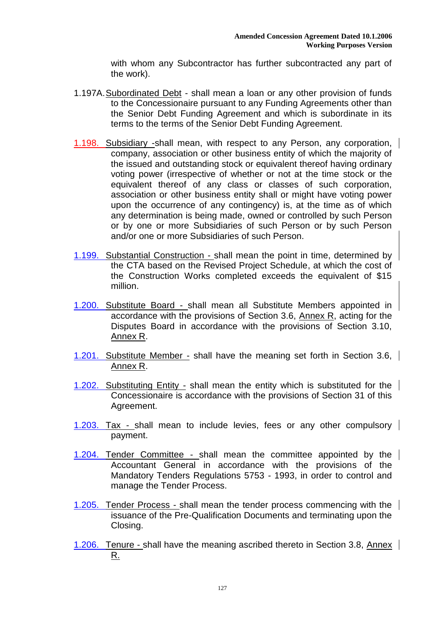with whom any Subcontractor has further subcontracted any part of the work).

- 1.197A.Subordinated Debt shall mean a loan or any other provision of funds to the Concessionaire pursuant to any Funding Agreements other than the Senior Debt Funding Agreement and which is subordinate in its terms to the terms of the Senior Debt Funding Agreement.
- 1.198. Subsidiary -shall mean, with respect to any Person, any corporation,  $|$ company, association or other business entity of which the majority of the issued and outstanding stock or equivalent thereof having ordinary voting power (irrespective of whether or not at the time stock or the equivalent thereof of any class or classes of such corporation, association or other business entity shall or might have voting power upon the occurrence of any contingency) is, at the time as of which any determination is being made, owned or controlled by such Person or by one or more Subsidiaries of such Person or by such Person and/or one or more Subsidiaries of such Person.
- 1.199. Substantial Construction shall mean the point in time, determined by the CTA based on the Revised Project Schedule, at which the cost of the Construction Works completed exceeds the equivalent of \$15 million.
- 1.200. Substitute Board shall mean all Substitute Members appointed in accordance with the provisions of Section 3.6, Annex R, acting for the Disputes Board in accordance with the provisions of Section 3.10, Annex R.
- 1.201. Substitute Member shall have the meaning set forth in Section 3.6, Annex R.
- 1.202. Substituting Entity shall mean the entity which is substituted for the Concessionaire is accordance with the provisions of Section 31 of this Agreement.
- 1.203. Tax shall mean to include levies, fees or any other compulsory | payment.
- 1.204. Tender Committee shall mean the committee appointed by the Accountant General in accordance with the provisions of the Mandatory Tenders Regulations 5753 - 1993, in order to control and manage the Tender Process.
- 1.205. Tender Process shall mean the tender process commencing with the issuance of the Pre-Qualification Documents and terminating upon the Closing.
- 1.206. Tenure shall have the meaning ascribed thereto in Section 3.8, Annex R.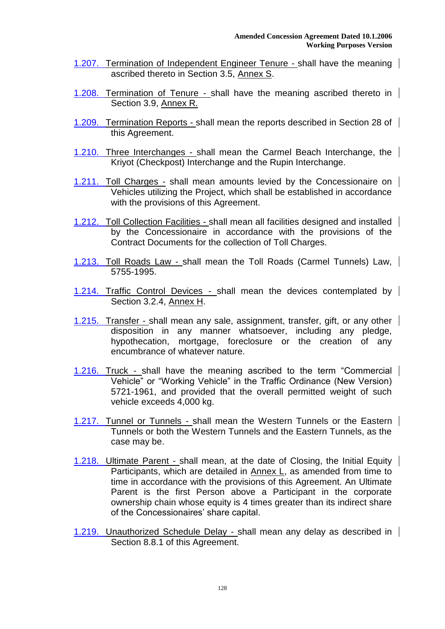- 1.207. Termination of Independent Engineer Tenure shall have the meaning ascribed thereto in Section 3.5, Annex S.
- 1.208. Termination of Tenure shall have the meaning ascribed thereto in Section 3.9, Annex R.
- 1.209. Termination Reports shall mean the reports described in Section 28 of | this Agreement.
- 1.210. Three Interchanges shall mean the Carmel Beach Interchange, the Kriyot (Checkpost) Interchange and the Rupin Interchange.
- 1.211. Toll Charges shall mean amounts levied by the Concessionaire on Vehicles utilizing the Project, which shall be established in accordance with the provisions of this Agreement.
- 1.212. Toll Collection Facilities shall mean all facilities designed and installed by the Concessionaire in accordance with the provisions of the Contract Documents for the collection of Toll Charges.
- 1.213. Toll Roads Law shall mean the Toll Roads (Carmel Tunnels) Law, 5755-1995.
- 1.214. Traffic Control Devices shall mean the devices contemplated by Section 3.2.4, Annex H.
- 1.215. Transfer shall mean any sale, assignment, transfer, gift, or any other | disposition in any manner whatsoever, including any pledge, hypothecation, mortgage, foreclosure or the creation of any encumbrance of whatever nature.
- 1.216. Truck shall have the meaning ascribed to the term "Commercial Vehicle" or "Working Vehicle" in the Traffic Ordinance (New Version) 5721-1961, and provided that the overall permitted weight of such vehicle exceeds 4,000 kg.
- 1.217. Tunnel or Tunnels shall mean the Western Tunnels or the Eastern Tunnels or both the Western Tunnels and the Eastern Tunnels, as the case may be.
- 1.218. Ultimate Parent shall mean, at the date of Closing, the Initial Equity  $\vert$ Participants, which are detailed in Annex L, as amended from time to time in accordance with the provisions of this Agreement. An Ultimate Parent is the first Person above a Participant in the corporate ownership chain whose equity is 4 times greater than its indirect share of the Concessionaires' share capital.
- 1.219. Unauthorized Schedule Delay shall mean any delay as described in Section 8.8.1 of this Agreement.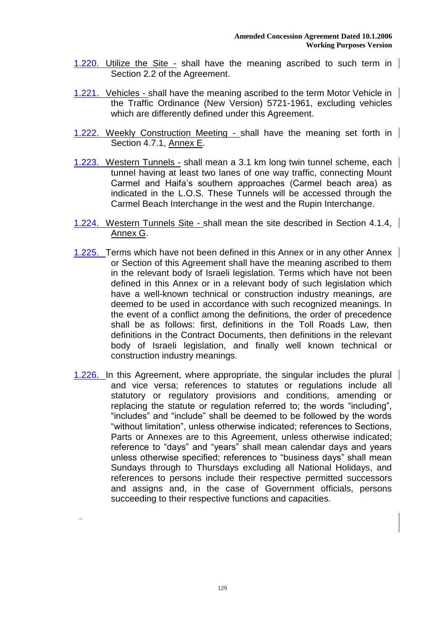- 1.220. Utilize the Site shall have the meaning ascribed to such term in Section 2.2 of the Agreement.
- 1.221. Vehicles shall have the meaning ascribed to the term Motor Vehicle in the Traffic Ordinance (New Version) 5721-1961, excluding vehicles which are differently defined under this Agreement.
- 1.222. Weekly Construction Meeting shall have the meaning set forth in Section 4.7.1, Annex E.
- 1.223. Western Tunnels shall mean a 3.1 km long twin tunnel scheme, each tunnel having at least two lanes of one way traffic, connecting Mount Carmel and Haifa's southern approaches (Carmel beach area) as indicated in the L.O.S. These Tunnels will be accessed through the Carmel Beach Interchange in the west and the Rupin Interchange.
- 1.224. Western Tunnels Site shall mean the site described in Section 4.1.4, | Annex G.
- 1.225. Terms which have not been defined in this Annex or in any other Annex or Section of this Agreement shall have the meaning ascribed to them in the relevant body of Israeli legislation. Terms which have not been defined in this Annex or in a relevant body of such legislation which have a well-known technical or construction industry meanings, are deemed to be used in accordance with such recognized meanings. In the event of a conflict among the definitions, the order of precedence shall be as follows: first, definitions in the Toll Roads Law, then definitions in the Contract Documents, then definitions in the relevant body of Israeli legislation, and finally well known technical or construction industry meanings.
- 1.226. In this Agreement, where appropriate, the singular includes the plural and vice versa; references to statutes or regulations include all statutory or regulatory provisions and conditions, amending or replacing the statute or regulation referred to; the words "including", "includes" and "include" shall be deemed to be followed by the words "without limitation", unless otherwise indicated; references to Sections, Parts or Annexes are to this Agreement, unless otherwise indicated; reference to "days" and "years" shall mean calendar days and years unless otherwise specified; references to "business days" shall mean Sundays through to Thursdays excluding all National Holidays, and references to persons include their respective permitted successors and assigns and, in the case of Government officials, persons succeeding to their respective functions and capacities.